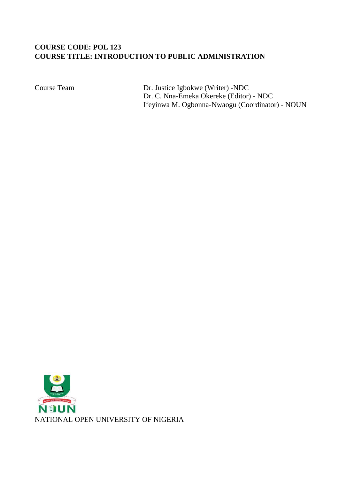# **COURSE CODE: POL 123 COURSE TITLE: INTRODUCTION TO PUBLIC ADMINISTRATION**

Course Team Dr. Justice Igbokwe (Writer) -NDC Dr. C. Nna-Emeka Okereke (Editor) - NDC Ifeyinwa M. Ogbonna-Nwaogu (Coordinator) - NOUN

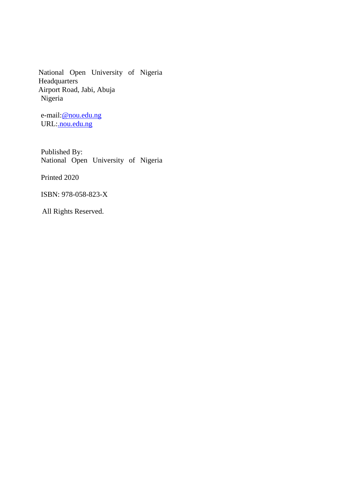National Open University of Nigeria **Headquarters** Airport Road, Jabi, Abuja Nigeria

e-mail:@nou.edu.ng URL:*nou.edu.ng* 

Published By: National Open University of Nigeria

Printed 2020

ISBN: 978-058-823-X

All Rights Reserved.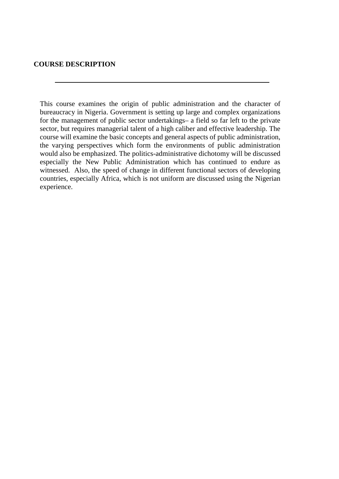### **COURSE DESCRIPTION**

This course examines the origin of public administration and the character of bureaucracy in Nigeria. Government is setting up large and complex organizations for the management of public sector undertakings– a field so far left to the private sector, but requires managerial talent of a high caliber and effective leadership. The course will examine the basic concepts and general aspects of public administration, the varying perspectives which form the environments of public administration would also be emphasized. The politics-administrative dichotomy will be discussed especially the New Public Administration which has continued to endure as witnessed. Also, the speed of change in different functional sectors of developing countries, especially Africa, which is not uniform are discussed using the Nigerian experience.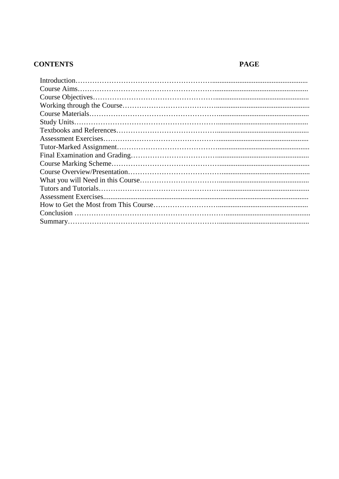# **CONTENTS**

# **PAGE**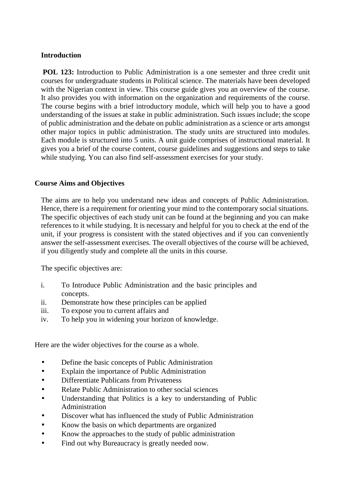## **Introduction**

**POL 123:** Introduction to Public Administration is a one semester and three credit unit courses for undergraduate students in Political science. The materials have been developed with the Nigerian context in view. This course guide gives you an overview of the course. It also provides you with information on the organization and requirements of the course. The course begins with a brief introductory module, which will help you to have a good understanding of the issues at stake in public administration. Such issues include; the scope of public administration and the debate on public administration as a science or arts amongst other major topics in public administration. The study units are structured into modules. Each module is structured into 5 units. A unit guide comprises of instructional material. It gives you a brief of the course content, course guidelines and suggestions and steps to take while studying. You can also find self-assessment exercises for your study.

## **Course Aims and Objectives**

The aims are to help you understand new ideas and concepts of Public Administration. Hence, there is a requirement for orienting your mind to the contemporary social situations. The specific objectives of each study unit can be found at the beginning and you can make references to it while studying. It is necessary and helpful for you to check at the end of the unit, if your progress is consistent with the stated objectives and if you can conveniently answer the self-assessment exercises. The overall objectives of the course will be achieved, if you diligently study and complete all the units in this course.

The specific objectives are:

- i. To Introduce Public Administration and the basic principles and concepts.
- ii. Demonstrate how these principles can be applied
- iii. To expose you to current affairs and
- iv. To help you in widening your horizon of knowledge.

Here are the wider objectives for the course as a whole.

- Define the basic concepts of Public Administration
- Explain the importance of Public Administration
- Differentiate Publicans from Privateness
- Relate Public Administration to other social sciences
- Understanding that Politics is a key to understanding of Public Administration
- Discover what has influenced the study of Public Administration
- Know the basis on which departments are organized
- Know the approaches to the study of public administration
- Find out why Bureaucracy is greatly needed now.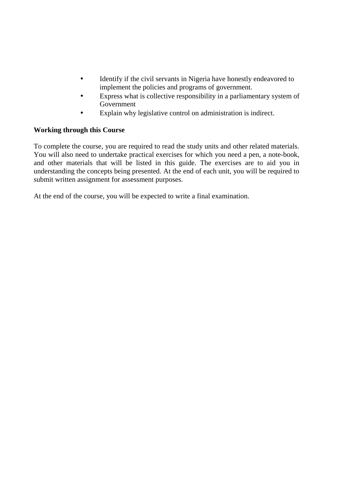- Identify if the civil servants in Nigeria have honestly endeavored to implement the policies and programs of government.
- Express what is collective responsibility in a parliamentary system of Government
- Explain why legislative control on administration is indirect.

## **Working through this Course**

To complete the course, you are required to read the study units and other related materials. You will also need to undertake practical exercises for which you need a pen, a note-book, and other materials that will be listed in this guide. The exercises are to aid you in understanding the concepts being presented. At the end of each unit, you will be required to submit written assignment for assessment purposes.

At the end of the course, you will be expected to write a final examination.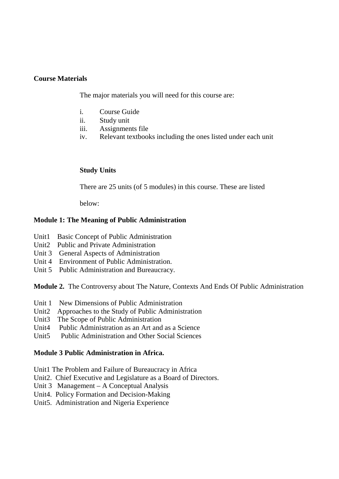### **Course Materials**

The major materials you will need for this course are:

- i. Course Guide
- ii. Study unit
- iii. Assignments file
- iv. Relevant textbooks including the ones listed under each unit

### **Study Units**

There are 25 units (of 5 modules) in this course. These are listed

below:

### **Module 1: The Meaning of Public Administration**

- Unit1 Basic Concept of Public Administration
- Unit2 Public and Private Administration
- Unit 3 General Aspects of Administration
- Unit 4 Environment of Public Administration.
- Unit 5 Public Administration and Bureaucracy.

**Module 2.** The Controversy about The Nature, Contexts And Ends Of Public Administration

- Unit 1 New Dimensions of Public Administration
- Unit2 Approaches to the Study of Public Administration
- Unit3 The Scope of Public Administration
- Unit4 Public Administration as an Art and as a Science
- Unit5 Public Administration and Other Social Sciences

### **Module 3 Public Administration in Africa.**

- Unit1 The Problem and Failure of Bureaucracy in Africa
- Unit2. Chief Executive and Legislature as a Board of Directors.
- Unit 3 Management A Conceptual Analysis
- Unit4. Policy Formation and Decision-Making
- Unit5. Administration and Nigeria Experience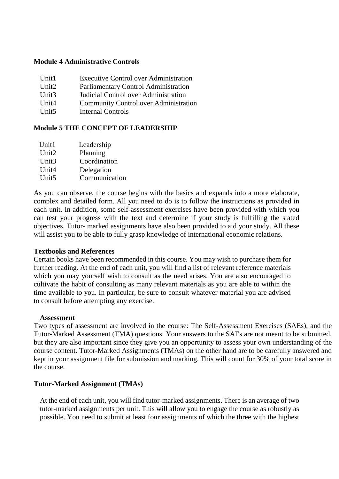### **Module 4 Administrative Controls**

| Unit1             | <b>Executive Control over Administration</b> |
|-------------------|----------------------------------------------|
| Unit <sub>2</sub> | Parliamentary Control Administration         |
| Unit <sub>3</sub> | Judicial Control over Administration         |
| Unit <sub>4</sub> | <b>Community Control over Administration</b> |
| Unit <sub>5</sub> | Internal Controls                            |

### **Module 5 THE CONCEPT OF LEADERSHIP**

| Unit1             | Leadership    |  |
|-------------------|---------------|--|
| Unit <sub>2</sub> | Planning      |  |
| Unit <sub>3</sub> | Coordination  |  |
| Unit <sub>4</sub> | Delegation    |  |
| Unit <sub>5</sub> | Communication |  |
|                   |               |  |

As you can observe, the course begins with the basics and expands into a more elaborate, complex and detailed form. All you need to do is to follow the instructions as provided in each unit. In addition, some self-assessment exercises have been provided with which you can test your progress with the text and determine if your study is fulfilling the stated objectives. Tutor- marked assignments have also been provided to aid your study. All these will assist you to be able to fully grasp knowledge of international economic relations.

### **Textbooks and References**

Certain books have been recommended in this course. You may wish to purchase them for further reading. At the end of each unit, you will find a list of relevant reference materials which you may yourself wish to consult as the need arises. You are also encouraged to cultivate the habit of consulting as many relevant materials as you are able to within the time available to you. In particular, be sure to consult whatever material you are advised to consult before attempting any exercise.

#### **Assessment**

Two types of assessment are involved in the course: The Self-Assessment Exercises (SAEs), and the Tutor-Marked Assessment (TMA) questions. Your answers to the SAEs are not meant to be submitted, but they are also important since they give you an opportunity to assess your own understanding of the course content. Tutor-Marked Assignments (TMAs) on the other hand are to be carefully answered and kept in your assignment file for submission and marking. This will count for 30% of your total score in the course.

### **Tutor-Marked Assignment (TMAs)**

At the end of each unit, you will find tutor-marked assignments. There is an average of two tutor-marked assignments per unit. This will allow you to engage the course as robustly as possible. You need to submit at least four assignments of which the three with the highest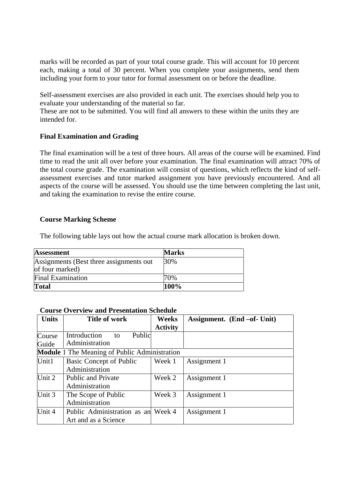marks will be recorded as part of your total course grade. This will account for 10 percent each, making a total of 30 percent. When you complete your assignments, send them including your form to your tutor for formal assessment on or before the deadline.

Self-assessment exercises are also provided in each unit. The exercises should help you to evaluate your understanding of the material so far.

These are not to be submitted. You will find all answers to these within the units they are intended for.

### **Final Examination and Grading**

The final examination will be a test of three hours. All areas of the course will be examined. Find time to read the unit all over before your examination. The final examination will attract 70% of the total course grade. The examination will consist of questions, which reflects the kind of self assessment exercises and tutor marked assignment you have previously encountered. And all aspects of the course will be assessed. You should use the time between completing the last unit, and taking the examination to revise the entire course.

### **Course Marking Scheme**

The following table lays out how the actual course mark allocation is broken down.

| <b>Assessment</b>                        | <b>Marks</b> |
|------------------------------------------|--------------|
| Assignments (Best three assignments out) | 30%          |
| of four marked)                          |              |
| <b>Final Examination</b>                 | 70%          |
| <b>Total</b>                             | 100%         |

### **Course Overview and Presentation Schedule**

| <b>Units</b> | <b>Title of work</b>                                 | Weeks           | Assignment. (End -of- Unit) |
|--------------|------------------------------------------------------|-----------------|-----------------------------|
|              |                                                      | <b>Activity</b> |                             |
| Course       | Introduction<br>Public<br>to                         |                 |                             |
| Guide        | Administration                                       |                 |                             |
|              | <b>Module</b> 1 The Meaning of Public Administration |                 |                             |
| Unit1        | Basic Concept of Public                              | Week 1          | Assignment 1                |
|              | Administration                                       |                 |                             |
| Unit 2       | <b>Public and Private</b>                            | Week 2          | Assignment 1                |
|              | Administration                                       |                 |                             |
| Unit 3       | The Scope of Public                                  | Week 3          | Assignment 1                |
|              | Administration                                       |                 |                             |
| Unit 4       | Public Administration as an Week 4                   |                 | Assignment 1                |
|              | Art and as a Science                                 |                 |                             |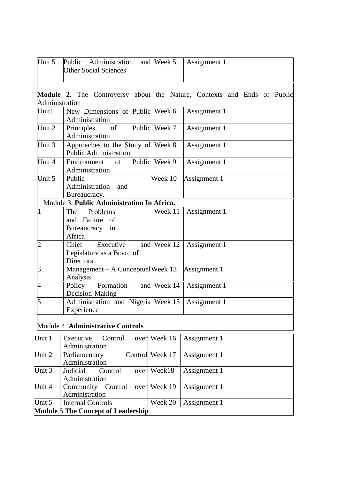| Unit 5         | Public Administration<br><b>Other Social Sciences</b>               | and Week 5    | Assignment 1                                                            |
|----------------|---------------------------------------------------------------------|---------------|-------------------------------------------------------------------------|
| Administration |                                                                     |               | Module 2. The Controversy about the Nature, Contexts and Ends of Public |
| Unit1          | New Dimensions of Public Week 6<br>Administration                   |               | Assignment 1                                                            |
| Unit 2         | of<br>Principles<br>Administration                                  | Public Week 7 | Assignment 1                                                            |
| Unit 3         | Approaches to the Study of Week 8<br><b>Public Administration</b>   |               | Assignment 1                                                            |
| Unit 4         | Environment<br>$\sigma$<br>Administration                           | Public Week 9 | Assignment 1                                                            |
| Unit 5         | Public<br>Administration<br>and<br>Bureaucracy.                     | Week 10       | Assignment 1                                                            |
|                | Module 3. Public Administration In Africa.                          |               |                                                                         |
| $\mathbf{1}$   | Problems<br>The<br>and Failure of<br>Bureaucracy<br>in<br>Africa    | Week 11       | Assignment 1                                                            |
| $\overline{2}$ | Chief<br>Executive<br>Legislature as a Board of<br><b>Directors</b> | and Week 12   | Assignment 1                                                            |
| $\vert$ 3      | Management – A Conceptual Week 13<br>Analysis                       |               | Assignment 1                                                            |
| $\overline{4}$ | Formation<br>Policy<br>Decision-Making                              | and Week 14   | Assignment 1                                                            |
| $\overline{5}$ | Administration and Nigeria Week 15<br>Experience                    |               | Assignment 1                                                            |

# Module 4. **Administrative Controls**

| Unit 1                                    | Executive<br>Control              | over Week 16    | Assignment 1 |  |
|-------------------------------------------|-----------------------------------|-----------------|--------------|--|
|                                           | Administration                    |                 |              |  |
| Unit 2                                    | Parliamentary                     | Control Week 17 | Assignment 1 |  |
|                                           | Administration                    |                 |              |  |
| Unit 3                                    | Judicial<br>Control               | over Week18     | Assignment 1 |  |
|                                           | Administration                    |                 |              |  |
| Unit 4                                    | Control over Week 19<br>Community |                 | Assignment 1 |  |
|                                           | Administration                    |                 |              |  |
| Unit 5                                    | <b>Internal Controls</b>          | Week 20         | Assignment 1 |  |
| <b>Module 5 The Concept of Leadership</b> |                                   |                 |              |  |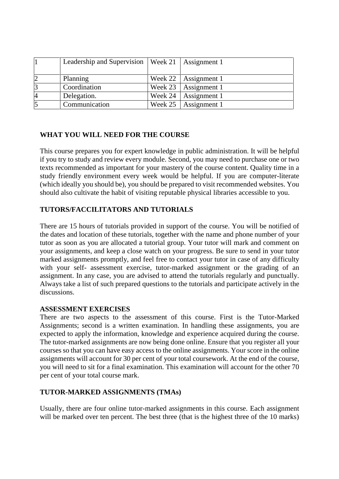|                | Leadership and Supervision   Week 21   Assignment 1 |           |                          |
|----------------|-----------------------------------------------------|-----------|--------------------------|
|                | Planning                                            |           | Week 22   Assignment 1   |
| $\overline{3}$ | Coordination                                        |           | Week $23$   Assignment 1 |
| $\overline{4}$ | Delegation.                                         | Week $24$ | Assignment 1             |
| $\overline{5}$ | Communication                                       |           | Week $25$   Assignment 1 |

## **WHAT YOU WILL NEED FOR THE COURSE**

This course prepares you for expert knowledge in public administration. It will be helpful if you try to study and review every module. Second, you may need to purchase one or two texts recommended as important for your mastery of the course content. Quality time in a study friendly environment every week would be helpful. If you are computer-literate (which ideally you should be), you should be prepared to visit recommended websites. You should also cultivate the habit of visiting reputable physical libraries accessible to you.

### **TUTORS/FACCILITATORS AND TUTORIALS**

There are 15 hours of tutorials provided in support of the course. You will be notified of the dates and location of these tutorials, together with the name and phone number of your tutor as soon as you are allocated a tutorial group. Your tutor will mark and comment on your assignments, and keep a close watch on your progress. Be sure to send in your tutor marked assignments promptly, and feel free to contact your tutor in case of any difficulty with your self- assessment exercise, tutor-marked assignment or the grading of an assignment. In any case, you are advised to attend the tutorials regularly and punctually. Always take a list of such prepared questions to the tutorials and participate actively in the discussions.

### **ASSESSMENT EXERCISES**

There are two aspects to the assessment of this course. First is the Tutor-Marked Assignments; second is a written examination. In handling these assignments, you are expected to apply the information, knowledge and experience acquired during the course. The tutor-marked assignments are now being done online. Ensure that you register all your courses so that you can have easy access to the online assignments. Your score in the online assignments will account for 30 per cent of your total coursework. At the end of the course, you will need to sit for a final examination. This examination will account for the other 70 per cent of your total course mark.

### **TUTOR-MARKED ASSIGNMENTS (TMAs)**

Usually, there are four online tutor-marked assignments in this course. Each assignment will be marked over ten percent. The best three (that is the highest three of the 10 marks)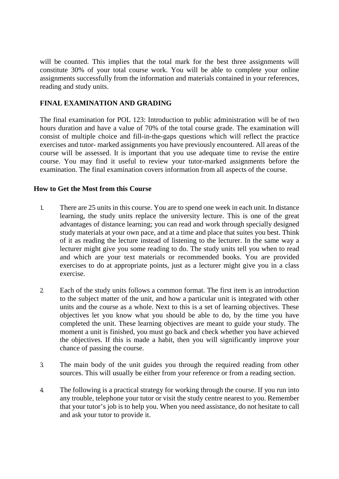will be counted. This implies that the total mark for the best three assignments will constitute 30% of your total course work. You will be able to complete your online assignments successfully from the information and materials contained in your references, reading and study units.

## **FINAL EXAMINATION AND GRADING**

The final examination for POL 123: Introduction to public administration will be of two hours duration and have a value of 70% of the total course grade. The examination will consist of multiple choice and fill-in-the-gaps questions which will reflect the practice exercises and tutor- marked assignments you have previously encountered. All areas of the course will be assessed. It is important that you use adequate time to revise the entire course. You may find it useful to review your tutor-marked assignments before the examination. The final examination covers information from all aspects of the course.

### **How to Get the Most from this Course**

- 1. There are 25 units in this course. You are to spend one week in each unit. In distance learning, the study units replace the university lecture. This is one of the great advantages of distance learning; you can read and work through specially designed study materials at your own pace, and at a time and place that suites you best. Think of it as reading the lecture instead of listening to the lecturer. In the same way a lecturer might give you some reading to do. The study units tell you when to read and which are your text materials or recommended books. You are provided exercises to do at appropriate points, just as a lecturer might give you in a class exercise.
- 2. Each of the study units follows a common format. The first item is an introduction to the subject matter of the unit, and how a particular unit is integrated with other units and the course as a whole. Next to this is a set of learning objectives. These objectives let you know what you should be able to do, by the time you have completed the unit. These learning objectives are meant to guide your study. The moment a unit is finished, you must go back and check whether you have achieved the objectives. If this is made a habit, then you will significantly improve your chance of passing the course.
- 3. The main body of the unit guides you through the required reading from other sources. This will usually be either from your reference or from a reading section.
- 4. The following is a practical strategy for working through the course. If you run into any trouble, telephone your tutor or visit the study centre nearest to you. Remember that your tutor's job is to help you. When you need assistance, do not hesitate to call and ask your tutor to provide it.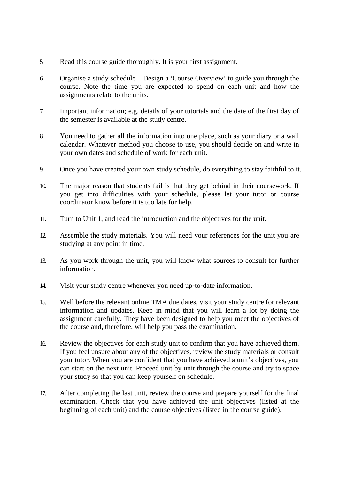- 5. Read this course guide thoroughly. It is your first assignment.
- 6. Organise a study schedule Design a 'Course Overview' to guide you through the course. Note the time you are expected to spend on each unit and how the assignments relate to the units.
- 7. Important information; e.g. details of your tutorials and the date of the first day of the semester is available at the study centre.
- 8. You need to gather all the information into one place, such as your diary or a wall calendar. Whatever method you choose to use, you should decide on and write in your own dates and schedule of work for each unit.
- 9. Once you have created your own study schedule, do everything to stay faithful to it.
- 10. The major reason that students fail is that they get behind in their coursework. If you get into difficulties with your schedule, please let your tutor or course coordinator know before it is too late for help.
- 11. Turn to Unit 1, and read the introduction and the objectives for the unit.
- 12. Assemble the study materials. You will need your references for the unit you are studying at any point in time.
- 13. As you work through the unit, you will know what sources to consult for further information.
- 14. Visit your study centre whenever you need up-to-date information.
- 15. Well before the relevant online TMA due dates, visit your study centre for relevant information and updates. Keep in mind that you will learn a lot by doing the assignment carefully. They have been designed to help you meet the objectives of the course and, therefore, will help you pass the examination.
- 16. Review the objectives for each study unit to confirm that you have achieved them. If you feel unsure about any of the objectives, review the study materials or consult your tutor. When you are confident that you have achieved a unit's objectives, you can start on the next unit. Proceed unit by unit through the course and try to space your study so that you can keep yourself on schedule.
- 17. After completing the last unit, review the course and prepare yourself for the final examination. Check that you have achieved the unit objectives (listed at the beginning of each unit) and the course objectives (listed in the course guide).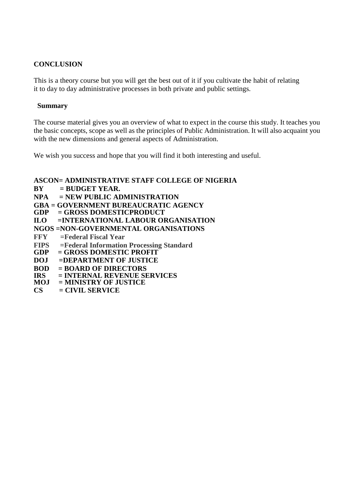## **CONCLUSION**

This is a theory course but you will get the best out of it if you cultivate the habit of relating it to day to day administrative processes in both private and public settings.

### **Summary**

The course material gives you an overview of what to expect in the course this study. It teaches you the basic concepts, scope as well as the principles of Public Administration. It will also acquaint you with the new dimensions and general aspects of Administration.

We wish you success and hope that you will find it both interesting and useful.

### **ASCON= ADMINISTRATIVE STAFF COLLEGE OF NIGERIA**

- **BY = BUDGET YEAR.**
- **NPA = NEW PUBLIC ADMINISTRATION**
- **GBA = GOVERNMENT BUREAUCRATIC AGENCY**
- $=$  GROSS DOMESTICPRODUCT
- **ILO =INTERNATIONAL LABOUR ORGANISATION**
- **NGOS =NON-GOVERNMENTAL ORGANISATIONS**
- **FFY =Federal Fiscal Year**
- **FIPS =Federal Information Processing Standard**
- $=$  GROSS DOMESTIC PROFIT<sup>'</sup>
- **DOJ =DEPARTMENT OF JUSTICE**
- **BOD = BOARD OF DIRECTORS**
- **IRS = INTERNAL REVENUE SERVICES**
- **= MINISTRY OF JUSTICE**
- **CS = CIVIL SERVICE**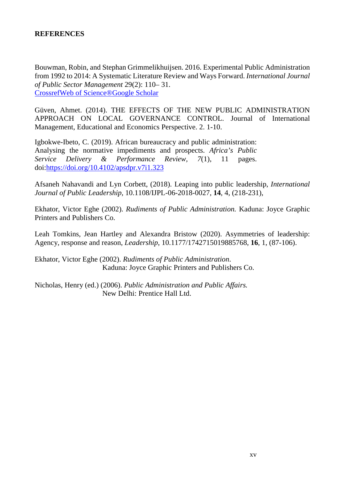## **REFERENCES**

Bouwman, Robin, and Stephan Grimmelikhuijsen. 2016. Experimental Public Administration from 1992 to 2014: A Systematic Literature Review and Ways Forward. *International Journal of Public Sector Management* 29(2): 110– 31. CrossrefWeb of Science®Google Scholar

Güven, Ahmet. (2014). THE EFFECTS OF THE NEW PUBLIC ADMINISTRATION APPROACH ON LOCAL GOVERNANCE CONTROL. Journal of International Management, Educational and Economics Perspective. 2. 1-10.

Igbokwe-Ibeto, C. (2019). African bureaucracy and public administration: Analysing the normative impediments and prospects. *Africa's Public Service Delivery & Performance Review, 7*(1), 11 pages. doi:https://doi.org/10.4102/apsdpr.v7i1.323

Afsaneh Nahavandi and Lyn Corbett, (2018). Leaping into public leadership, *International Journal of Public Leadership*, 10.1108/IJPL-06-2018-0027, **14**, 4, (218-231),

Ekhator, Victor Eghe (2002). *Rudiments of Public Administration.* Kaduna: Joyce Graphic Printers and Publishers Co.

Leah Tomkins, Jean Hartley and Alexandra Bristow (2020). Asymmetries of leadership: Agency, response and reason, *Leadership*, 10.1177/1742715019885768, **16**, 1, (87-106).

Ekhator, Victor Eghe (2002). *Rudiments of Public Administration*. Kaduna: Joyce Graphic Printers and Publishers Co.

Nicholas, Henry (ed.) (2006). *Public Administration and Public Affairs.* New Delhi: Prentice Hall Ltd.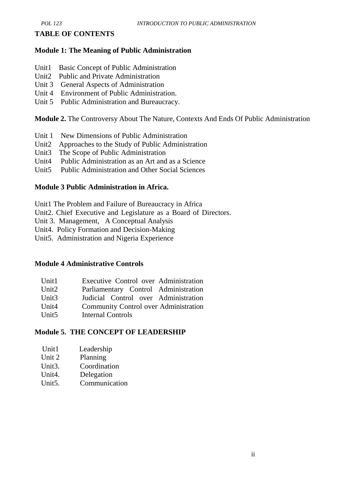### **TABLE OF CONTENTS**

### **Module 1: The Meaning of Public Administration**

- Unit1 Basic Concept of Public Administration
- Unit2 Public and Private Administration
- Unit 3 General Aspects of Administration
- Unit 4 Environment of Public Administration.
- Unit 5 Public Administration and Bureaucracy.

**Module 2.** The Controversy About The Nature, Contexts And Ends Of Public Administration

- Unit 1 New Dimensions of Public Administration
- Unit2 Approaches to the Study of Public Administration
- Unit3 The Scope of Public Administration
- Unit4 Public Administration as an Art and as a Science
- Unit5 Public Administration and Other Social Sciences

### **Module 3 Public Administration in Africa.**

- Unit1 The Problem and Failure of Bureaucracy in Africa
- Unit2. Chief Executive and Legislature as a Board of Directors.
- Unit 3. Management, A Conceptual Analysis
- Unit4. Policy Formation and Decision-Making
- Unit5. Administration and Nigeria Experience

### **Module 4 Administrative Controls**

| Unit1             | Executive Control over Administration        |
|-------------------|----------------------------------------------|
| Unit <sub>2</sub> | Parliamentary Control Administration         |
| Unit <sub>3</sub> | Judicial Control over Administration         |
| Unit4             | <b>Community Control over Administration</b> |
| Unit <sub>5</sub> | Internal Controls                            |

### **Module 5. THE CONCEPT OF LEADERSHIP**

| Unit1  | Leadership |  |
|--------|------------|--|
| Unit 2 | Planning   |  |

- Unit3. Coordination
- Unit4. Delegation
- Unit5. Communication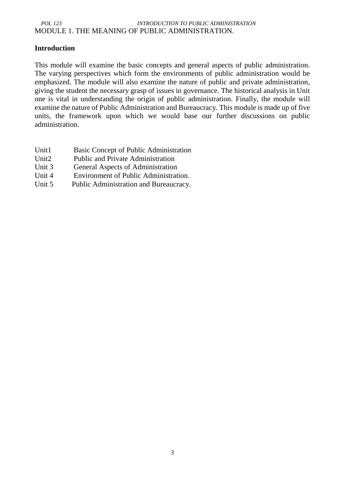### *POL 123 INTRODUCTION TO PUBLIC ADMINISTRATION* MODULE 1. THE MEANING OF PUBLIC ADMINISTRATION.

## **Introduction**

This module will examine the basic concepts and general aspects of public administration. The varying perspectives which form the environments of public administration would be emphasized. The module will also examine the nature of public and private administration, giving the student the necessary grasp of issues in governance. The historical analysis in Unit one is vital in understanding the origin of public administration. Finally, the module will examine the nature of Public Administration and Bureaucracy. This module is made up of five units, the framework upon which we would base our further discussions on public administration.

- Unit1 Basic Concept of Public Administration
- Unit2 Public and Private Administration
- Unit 3 General Aspects of Administration
- Unit 4 Environment of Public Administration.
- Unit 5 Public Administration and Bureaucracy.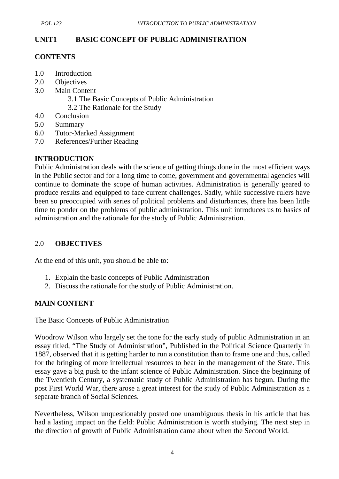## **UNIT1 BASIC CONCEPT OF PUBLIC ADMINISTRATION**

### **CONTENTS**

- 1.0 Introduction
- 2.0 Objectives
- 3.0 Main Content
	- 3.1 The Basic Concepts of Public Administration
	- 3.2 The Rationale for the Study
- 4.0 Conclusion
- 5.0 Summary
- 6.0 Tutor-Marked Assignment
- 7.0 References/Further Reading

## **INTRODUCTION**

Public Administration deals with the science of getting things done in the most efficient ways in the Public sector and for a long time to come, government and governmental agencies will continue to dominate the scope of human activities. Administration is generally geared to produce results and equipped to face current challenges. Sadly, while successive rulers have been so preoccupied with series of political problems and disturbances, there has been little time to ponder on the problems of public administration. This unit introduces us to basics of administration and the rationale for the study of Public Administration.

## 2.0 **OBJECTIVES**

At the end of this unit, you should be able to:

- 1. Explain the basic concepts of Public Administration
- 2. Discuss the rationale for the study of Public Administration.

## **MAIN CONTENT**

The Basic Concepts of Public Administration

Woodrow Wilson who largely set the tone for the early study of public Administration in an essay titled, "The Study of Administration", Published in the Political Science Quarterly in 1887, observed that it is getting harder to run a constitution than to frame one and thus, called for the bringing of more intellectual resources to bear in the management of the State. This essay gave a big push to the infant science of Public Administration. Since the beginning of the Twentieth Century, a systematic study of Public Administration has begun. During the post First World War, there arose a great interest for the study of Public Administration as a separate branch of Social Sciences.

Nevertheless, Wilson unquestionably posted one unambiguous thesis in his article that has had a lasting impact on the field: Public Administration is worth studying. The next step in the direction of growth of Public Administration came about when the Second World.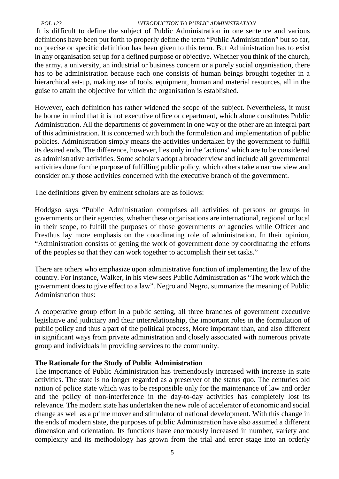### *POL 123 INTRODUCTION TO PUBLIC ADMINISTRATION*

It is difficult to define the subject of Public Administration in one sentence and various definitions have been put forth to properly define the term "Public Administration" but so far, no precise or specific definition has been given to this term. But Administration has to exist in any organisation set up for a defined purpose or objective. Whether you think of the church, the army, a university, an industrial or business concern or a purely social organisation, there has to be administration because each one consists of human beings brought together in a hierarchical set-up, making use of tools, equipment, human and material resources, all in the guise to attain the objective for which the organisation is established.

However, each definition has rather widened the scope of the subject. Nevertheless, it must be borne in mind that it is not executive office or department, which alone constitutes Public Administration. All the departments of government in one way or the other are an integral part of this administration. It is concerned with both the formulation and implementation of public policies. Administration simply means the activities undertaken by the government to fulfill its desired ends. The difference, however, lies only in the 'actions' which are to be considered as administrative activities. Some scholars adopt a broader view and include all governmental activities done for the purpose of fulfilling public policy, which others take a narrow view and consider only those activities concerned with the executive branch of the government.

The definitions given by eminent scholars are as follows:

Hoddgso says "Public Administration comprises all activities of persons or groups in governments or their agencies, whether these organisations are international, regional or local in their scope, to fulfill the purposes of those governments or agencies while Officer and Presthus lay more emphasis on the coordinating role of administration. In their opinion, "Administration consists of getting the work of government done by coordinating the efforts of the peoples so that they can work together to accomplish their set tasks."

There are others who emphasize upon administrative function of implementing the law of the country. For instance, Walker, in his view sees Public Administration as "The work which the government does to give effect to a law". Negro and Negro, summarize the meaning of Public Administration thus:

A cooperative group effort in a public setting, all three branches of government executive legislative and judiciary and their interrelationship, the important roles in the formulation of public policy and thus a part of the political process, More important than, and also different in significant ways from private administration and closely associated with numerous private group and individuals in providing services to the community.

## **The Rationale for the Study of Public Administration**

The importance of Public Administration has tremendously increased with increase in state activities. The state is no longer regarded as a preserver of the status quo. The centuries old nation of police state which was to be responsible only for the maintenance of law and order and the policy of non-interference in the day-to-day activities has completely lost its relevance. The modern state has undertaken the new role of accelerator of economic and social change as well as a prime mover and stimulator of national development. With this change in the ends of modern state, the purposes of public Administration have also assumed a different dimension and orientation. Its functions have enormously increased in number, variety and complexity and its methodology has grown from the trial and error stage into an orderly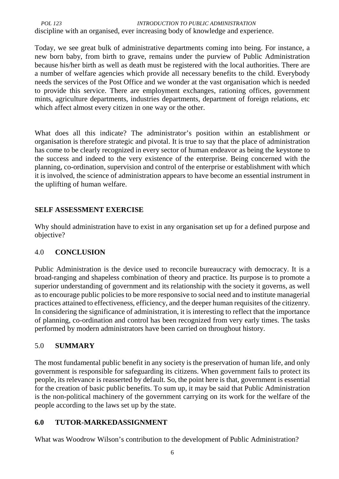*POL 123 INTRODUCTION TO PUBLIC ADMINISTRATION* discipline with an organised, ever increasing body of knowledge and experience.

Today, we see great bulk of administrative departments coming into being. For instance, a new born baby, from birth to grave, remains under the purview of Public Administration because his/her birth as well as death must be registered with the local authorities. There are a number of welfare agencies which provide all necessary benefits to the child. Everybody needs the services of the Post Office and we wonder at the vast organisation which is needed to provide this service. There are employment exchanges, rationing offices, government mints, agriculture departments, industries departments, department of foreign relations, etc which affect almost every citizen in one way or the other.

What does all this indicate? The administrator's position within an establishment or organisation is therefore strategic and pivotal. It is true to say that the place of administration has come to be clearly recognized in every sector of human endeavor as being the keystone to the success and indeed to the very existence of the enterprise. Being concerned with the planning, co-ordination, supervision and control of the enterprise or establishment with which it is involved, the science of administration appears to have become an essential instrument in the uplifting of human welfare.

# **SELF ASSESSMENT EXERCISE**

Why should administration have to exist in any organisation set up for a defined purpose and objective?

# 4.0 **CONCLUSION**

Public Administration is the device used to reconcile bureaucracy with democracy. It is a broad-ranging and shapeless combination of theory and practice. Its purpose is to promote a superior understanding of government and its relationship with the society it governs, as well as to encourage public policies to be more responsive to social need and to institute managerial practices attained to effectiveness, efficiency, and the deeper human requisites of the citizenry. In considering the significance of administration, it is interesting to reflect that the importance of planning, co-ordination and control has been recognized from very early times. The tasks performed by modern administrators have been carried on throughout history.

## 5.0 **SUMMARY**

The most fundamental public benefit in any society is the preservation of human life, and only government is responsible for safeguarding its citizens. When government fails to protect its people, its relevance is reasserted by default. So, the point here is that, government is essential for the creation of basic public benefits. To sum up, it may be said that Public Administration is the non-political machinery of the government carrying on its work for the welfare of the people according to the laws set up by the state.

## **6.0 TUTOR-MARKEDASSIGNMENT**

What was Woodrow Wilson's contribution to the development of Public Administration?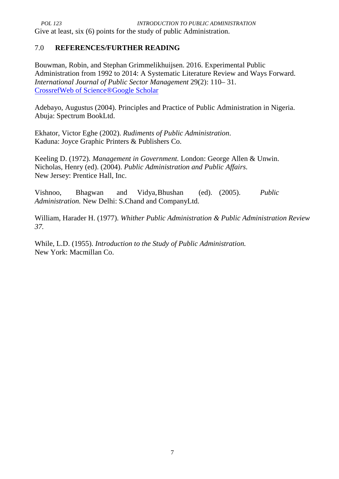## 7.0 **REFERENCES/FURTHER READING**

Bouwman, Robin, and Stephan Grimmelikhuijsen. 2016. Experimental Public Administration from 1992 to 2014: A Systematic Literature Review and Ways Forward. *International Journal of Public Sector Management* 29(2): 110– 31. CrossrefWeb of Science®Google Scholar

Adebayo, Augustus (2004). Principles and Practice of Public Administration in Nigeria. Abuja: Spectrum BookLtd.

Ekhator, Victor Eghe (2002). *Rudiments of Public Administration*. Kaduna: Joyce Graphic Printers & Publishers Co.

Keeling D. (1972). *Management in Government.* London: George Allen & Unwin. Nicholas, Henry (ed). (2004). *Public Administration and Public Affairs*. New Jersey: Prentice Hall, Inc.

Vishnoo, Bhagwan and Vidya,Bhushan (ed). (2005). *Public Administration.* New Delhi: S.Chand and CompanyLtd.

William, Harader H. (1977). *Whither Public Administration & Public Administration Review 37.*

While, L.D. (1955). *Introduction to the Study of Public Administration.* New York: Macmillan Co.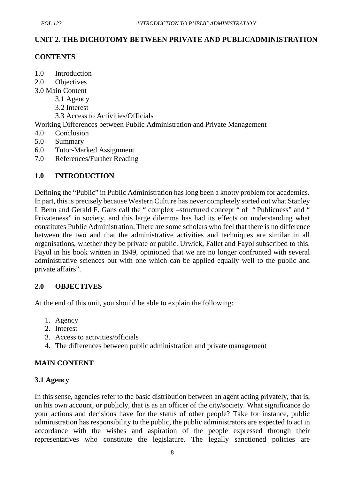# **UNIT 2. THE DICHOTOMY BETWEEN PRIVATE AND PUBLICADMINISTRATION**

## **CONTENTS**

- 1.0 Introduction
- 2.0 Objectives
- 3.0 Main Content
	- 3.1 Agency
	- 3.2 Interest
	- 3.3 Access to Activities/Officials

Working Differences between Public Administration and Private Management

- 4.0 Conclusion
- 5.0 Summary
- 6.0 Tutor-Marked Assignment
- 7.0 References/Further Reading

## **1.0 INTRODUCTION**

Defining the "Public" in Public Administration has long been a knotty problem for academics. In part, this is precisely because Western Culture has never completely sorted out what Stanley I. Benn and Gerald F. Gans call the " complex –structured concept " of " Publicness" and " Privateness" in society, and this large dilemma has had its effects on understanding what constitutes Public Administration. There are some scholars who feel that there is no difference between the two and that the administrative activities and techniques are similar in all organisations, whether they be private or public. Urwick, Fallet and Fayol subscribed to this. Fayol in his book written in 1949, opinioned that we are no longer confronted with several administrative sciences but with one which can be applied equally well to the public and private affairs".

## **2.0 OBJECTIVES**

At the end of this unit, you should be able to explain the following:

- 1. Agency
- 2. Interest
- 3. Access to activities/officials
- 4. The differences between public administration and private management

## **MAIN CONTENT**

## **3.1 Agency**

In this sense, agencies refer to the basic distribution between an agent acting privately, that is, on his own account, or publicly, that is as an officer of the city/society. What significance do your actions and decisions have for the status of other people? Take for instance, public administration has responsibility to the public, the public administrators are expected to act in accordance with the wishes and aspiration of the people expressed through their representatives who constitute the legislature. The legally sanctioned policies are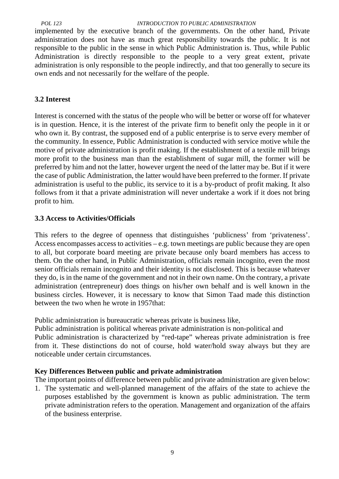*POL 123 INTRODUCTION TO PUBLIC ADMINISTRATION*

implemented by the executive branch of the governments. On the other hand, Private administration does not have as much great responsibility towards the public. It is not responsible to the public in the sense in which Public Administration is. Thus, while Public Administration is directly responsible to the people to a very great extent, private administration is only responsible to the people indirectly, and that too generally to secure its own ends and not necessarily for the welfare of the people.

### **3.2 Interest**

Interest is concerned with the status of the people who will be better or worse off for whatever is in question. Hence, it is the interest of the private firm to benefit only the people in it or who own it. By contrast, the supposed end of a public enterprise is to serve every member of the community. In essence, Public Administration is conducted with service motive while the motive of private administration is profit making. If the establishment of a textile mill brings more profit to the business man than the establishment of sugar mill, the former will be preferred by him and not the latter, however urgent the need of the latter may be. But if it were the case of public Administration, the latter would have been preferred to the former. If private administration is useful to the public, its service to it is a by-product of profit making. It also follows from it that a private administration will never undertake a work if it does not bring profit to him.

### **3.3 Access to Activities/Officials**

This refers to the degree of openness that distinguishes 'publicness' from 'privateness'. Access encompasses access to activities – e.g. town meetings are public because they are open to all, but corporate board meeting are private because only board members has access to them. On the other hand, in Public Administration, officials remain incognito, even the most senior officials remain incognito and their identity is not disclosed. This is because whatever they do, is in the name of the government and not in their own name. On the contrary, a private administration (entrepreneur) does things on his/her own behalf and is well known in the business circles. However, it is necessary to know that Simon Taad made this distinction between the two when he wrote in 1957that:

Public administration is bureaucratic whereas private is business like,

Public administration is political whereas private administration is non-political and Public administration is characterized by "red-tape" whereas private administration is free from it. These distinctions do not of course, hold water/hold sway always but they are noticeable under certain circumstances.

### **Key Differences Between public and private administration**

The important points of difference between public and private administration are given below:

1. The systematic and well-planned management of the affairs of the state to achieve the purposes established by the government is known as public administration. The term private administration refers to the operation. Management and organization of the affairs of the business enterprise.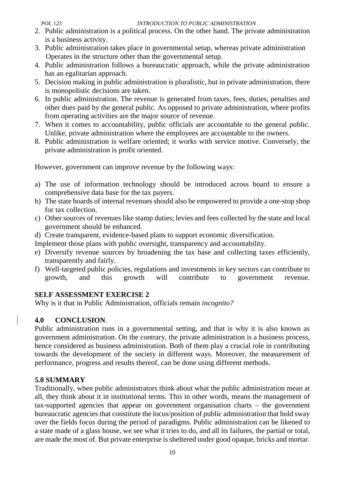- 2. Public administration is a political process. On the other hand. The private administration is a business activity.
- 3. Public administration takes place in governmental setup, whereas private administration Operates in the structure other than the governmental setup.
- 4. Public administration follows a bureaucratic approach, while the private administration has an egalitarian approach.
- 5. Decision making in public administration is pluralistic, but in private administration, there is monopolistic decisions are taken.
- 6. In public administration. The revenue is generated from taxes, fees, duties, penalties and other dues paid by the general public. As opposed to private administration, where profits from operating activities are the major source of revenue.
- 7. When it comes to accountability, public officials are accountable to the general public. Unlike, private administration where the employees are accountable to the owners.
- 8. Public administration is welfare oriented; it works with service motive. Conversely, the private administration is profit oriented.

However, government can improve revenue by the following ways:

- a) The use of information technology should be introduced across board to ensure a comprehensive data base for the tax payers.
- b) The state boards of internal revenues should also be empowered to provide a one-stop shop for tax collection.
- c) Other sources of revenues like stamp duties; levies and fees collected by the state and local government should be enhanced.
- d) Create transparent, evidence-based plans to support economic diversification.

Implement those plans with public oversight, transparency and accountability.

- e) Diversify revenue sources by broadening the tax base and collecting taxes efficiently, transparently and fairly.
- f) Well-targeted public policies, regulations and investments in key sectors can contribute to growth, and this growth will contribute to government revenue.

# **SELF ASSESSMENT EXERCISE 2**

Why is it that in Public Administration, officials remain *incognito?*

# **4.0 CONCLUSION**.

Public administration runs in a governmental setting, and that is why it is also known as government administration. On the contrary, the private administration is a business process, hence considered as business administration. Both of them play a crucial role in contributing towards the development of the society in different ways. Moreover, the measurement of performance, progress and results thereof, can be done using different methods.

# **5.0 SUMMARY**

Traditionally, when public administrators think about what the public administration mean at all, they think about it in institutional terms. This in other words, means the management of tax-supported agencies that appear on government organisation charts – the government bureaucratic agencies that constitute the locus/position of public administration that hold sway over the fields focus during the period of paradigms. Public administration can be likened to a state made of a glass house, we see what it tries to do, and all its failures, the partial or total, are made the most of. But private enterprise is sheltered under good opaque, bricks and mortar.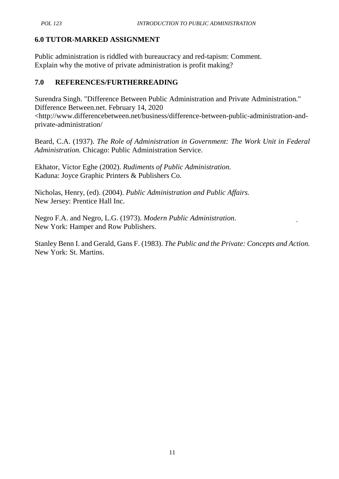# **6.0 TUTOR-MARKED ASSIGNMENT**

Public administration is riddled with bureaucracy and red-tapism: Comment. Explain why the motive of private administration is profit making?

# **7.0 REFERENCES/FURTHERREADING**

Surendra Singh. "Difference Between Public Administration and Private Administration." Difference Between.net. February 14, 2020 <http://www.differencebetween.net/business/difference-between-public-administration-and private-administration/

Beard, C.A. (1937). *The Role of Administration in Government: The Work Unit in Federal Administration.* Chicago: Public Administration Service.

Ekhator, Victor Eghe (2002). *Rudiments of Public Administration.* Kaduna: Joyce Graphic Printers & Publishers Co.

Nicholas, Henry, (ed). (2004). *Public Administration and Public Affairs.* New Jersey: Prentice Hall Inc.

Negro F.A. and Negro, L.G. (1973). *Modern Public Administration*. New York: Hamper and Row Publishers.

Stanley Benn I. and Gerald, Gans F. (1983). *The Public and the Private: Concepts and Action.* New York: St. Martins.

L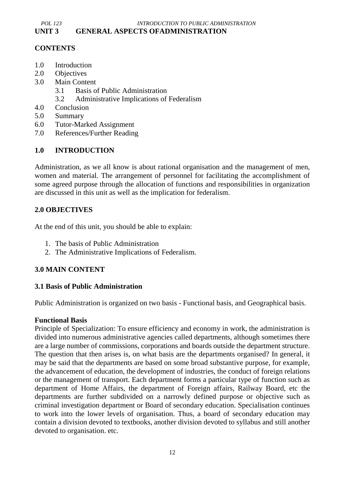### *POL 123 INTRODUCTION TO PUBLIC ADMINISTRATION* **UNIT 3 GENERAL ASPECTS OFADMINISTRATION**

## **CONTENTS**

- 1.0 Introduction
- 2.0 Objectives
- 3.0 Main Content
	- 3.1 Basis of Public Administration
	- 3.2 Administrative Implications of Federalism
- 4.0 Conclusion
- 5.0 Summary
- 6.0 Tutor-Marked Assignment
- 7.0 References/Further Reading

## **1.0 INTRODUCTION**

Administration, as we all know is about rational organisation and the management of men, women and material. The arrangement of personnel for facilitating the accomplishment of some agreed purpose through the allocation of functions and responsibilities in organization are discussed in this unit as well as the implication for federalism.

# **2.0 OBJECTIVES**

At the end of this unit, you should be able to explain:

- 1. The basis of Public Administration
- 2. The Administrative Implications of Federalism.

## **3.0 MAIN CONTENT**

## **3.1 Basis of Public Administration**

Public Administration is organized on two basis - Functional basis, and Geographical basis.

### **Functional Basis**

Principle of Specialization: To ensure efficiency and economy in work, the administration is divided into numerous administrative agencies called departments, although sometimes there are a large number of commissions, corporations and boards outside the department structure. The question that then arises is, on what basis are the departments organised? In general, it may be said that the departments are based on some broad substantive purpose, for example, the advancement of education, the development of industries, the conduct of foreign relations or the management of transport. Each department forms a particular type of function such as department of Home Affairs, the department of Foreign affairs, Railway Board, etc the departments are further subdivided on a narrowly defined purpose or objective such as criminal investigation department or Board of secondary education. Specialisation continues to work into the lower levels of organisation. Thus, a board of secondary education may contain a division devoted to textbooks, another division devoted to syllabus and still another devoted to organisation. etc.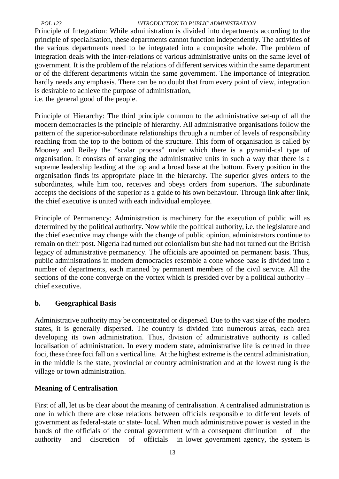### *POL 123 INTRODUCTION TO PUBLIC ADMINISTRATION*

Principle of Integration: While administration is divided into departments according to the principle of specialisation, these departments cannot function independently. The activities of the various departments need to be integrated into a composite whole. The problem of integration deals with the inter-relations of various administrative units on the same level of government. It is the problem of the relations of different services within the same department or of the different departments within the same government. The importance of integration hardly needs any emphasis. There can be no doubt that from every point of view, integration is desirable to achieve the purpose of administration,

i.e. the general good of the people.

Principle of Hierarchy: The third principle common to the administrative set-up of all the modern democracies is the principle of hierarchy. All administrative organisations follow the pattern of the superior-subordinate relationships through a number of levels of responsibility reaching from the top to the bottom of the structure. This form of organisation is called by Mooney and Reiley the "scalar process" under which there is a pyramid-cal type of organisation. It consists of arranging the administrative units in such a way that there is a supreme leadership leading at the top and a broad base at the bottom. Every position in the organisation finds its appropriate place in the hierarchy. The superior gives orders to the subordinates, while him too, receives and obeys orders from superiors. The subordinate accepts the decisions of the superior as a guide to his own behaviour. Through link after link, the chief executive is united with each individual employee.

Principle of Permanency: Administration is machinery for the execution of public will as determined by the political authority. Now while the political authority, i.e. the legislature and the chief executive may change with the change of public opinion, administrators continue to remain on their post. Nigeria had turned out colonialism but she had not turned out the British legacy of administrative permanency. The officials are appointed on permanent basis. Thus, public administrations in modern democracies resemble a cone whose base is divided into a number of departments, each manned by permanent members of the civil service. All the sections of the cone converge on the vortex which is presided over by a political authority – chief executive.

## **b. Geographical Basis**

Administrative authority may be concentrated or dispersed. Due to the vast size of the modern states, it is generally dispersed. The country is divided into numerous areas, each area developing its own administration. Thus, division of administrative authority is called localisation of administration. In every modern state, administrative life is centred in three foci, these three foci fall on a vertical line. At the highest extreme is the central administration, in the middle is the state, provincial or country administration and at the lowest rung is the village or town administration.

# **Meaning of Centralisation**

First of all, let us be clear about the meaning of centralisation. A centralised administration is one in which there are close relations between officials responsible to different levels of government as federal-state or state- local. When much administrative power is vested in the hands of the officials of the central government with a consequent diminution of the authority and discretion of officials in lower government agency, the system is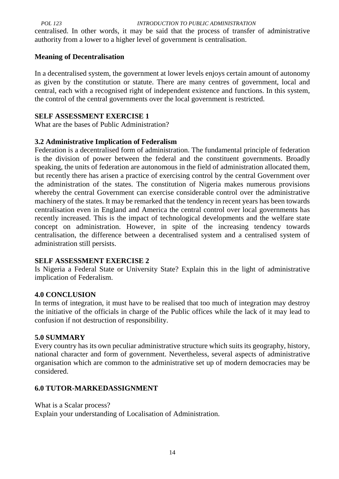*POL 123 INTRODUCTION TO PUBLIC ADMINISTRATION*

centralised. In other words, it may be said that the process of transfer of administrative authority from a lower to a higher level of government is centralisation.

## **Meaning of Decentralisation**

In a decentralised system, the government at lower levels enjoys certain amount of autonomy as given by the constitution or statute. There are many centres of government, local and central, each with a recognised right of independent existence and functions. In this system, the control of the central governments over the local government is restricted.

## **SELF ASSESSMENT EXERCISE 1**

What are the bases of Public Administration?

# **3.2 Administrative Implication of Federalism**

Federation is a decentralised form of administration. The fundamental principle of federation is the division of power between the federal and the constituent governments. Broadly speaking, the units of federation are autonomous in the field of administration allocated them, but recently there has arisen a practice of exercising control by the central Government over the administration of the states. The constitution of Nigeria makes numerous provisions whereby the central Government can exercise considerable control over the administrative machinery of the states. It may be remarked that the tendency in recent years has been towards centralisation even in England and America the central control over local governments has recently increased. This is the impact of technological developments and the welfare state concept on administration. However, in spite of the increasing tendency towards centralisation, the difference between a decentralised system and a centralised system of administration still persists.

## **SELF ASSESSMENT EXERCISE 2**

Is Nigeria a Federal State or University State? Explain this in the light of administrative implication of Federalism.

## **4.0 CONCLUSION**

In terms of integration, it must have to be realised that too much of integration may destroy the initiative of the officials in charge of the Public offices while the lack of it may lead to confusion if not destruction of responsibility.

## **5.0 SUMMARY**

Every country has its own peculiar administrative structure which suits its geography, history, national character and form of government. Nevertheless, several aspects of administrative organisation which are common to the administrative set up of modern democracies may be considered.

# **6.0 TUTOR-MARKEDASSIGNMENT**

What is a Scalar process?

Explain your understanding of Localisation of Administration.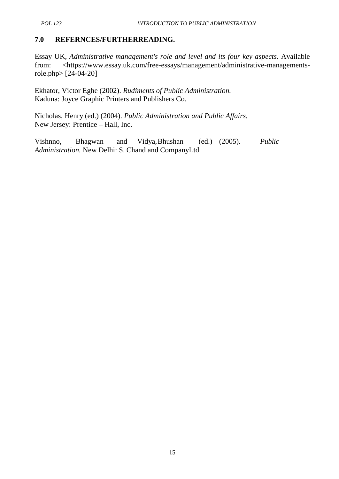# **7.0 REFERNCES/FURTHERREADING.**

Essay UK, *Administrative management's role and level and its four key aspects*. Available from: <https://www.essay.uk.com/free-essays/management/administrative-managementsrole.php> [24-04-20]

Ekhator, Victor Eghe (2002). *Rudiments of Public Administration.* Kaduna: Joyce Graphic Printers and Publishers Co.

Nicholas, Henry (ed.) (2004). *Public Administration and Public Affairs.* New Jersey: Prentice – Hall, Inc.

Vishnno, Bhagwan and Vidya,Bhushan (ed.) (2005). *Public Administration.* New Delhi: S. Chand and CompanyLtd.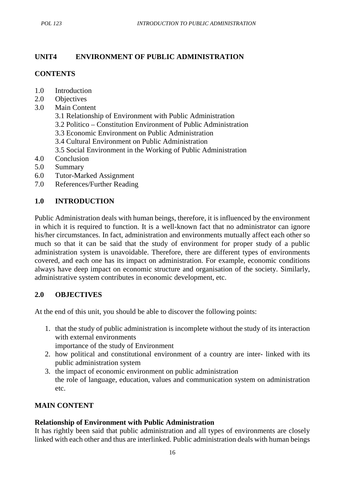# **UNIT4 ENVIRONMENT OF PUBLIC ADMINISTRATION**

# **CONTENTS**

- 1.0 Introduction
- 2.0 Objectives
- 3.0 Main Content
	- 3.1 Relationship of Environment with Public Administration
	- 3.2 Politico Constitution Environment of Public Administration
	- 3.3 Economic Environment on Public Administration
	- 3.4 Cultural Environment on Public Administration
	- 3.5 Social Environment in the Working of Public Administration
- 4.0 Conclusion
- 5.0 Summary
- 6.0 Tutor-Marked Assignment
- 7.0 References/Further Reading

# **1.0 INTRODUCTION**

Public Administration deals with human beings, therefore, it is influenced by the environment in which it is required to function. It is a well-known fact that no administrator can ignore his/her circumstances. In fact, administration and environments mutually affect each other so much so that it can be said that the study of environment for proper study of a public administration system is unavoidable. Therefore, there are different types of environments covered, and each one has its impact on administration. For example, economic conditions always have deep impact on economic structure and organisation of the society. Similarly, administrative system contributes in economic development, etc.

# **2.0 OBJECTIVES**

At the end of this unit, you should be able to discover the following points:

1. that the study of public administration is incomplete without the study of its interaction with external environments

importance of the study of Environment

- 2. how political and constitutional environment of a country are inter- linked with its public administration system
- 3. the impact of economic environment on public administration the role of language, education, values and communication system on administration etc.

# **MAIN CONTENT**

# **Relationship of Environment with Public Administration**

It has rightly been said that public administration and all types of environments are closely linked with each other and thus are interlinked. Public administration deals with human beings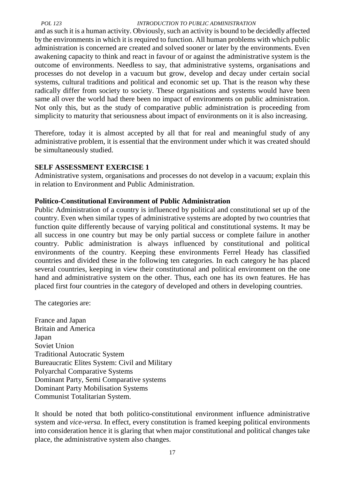#### *POL 123 INTRODUCTION TO PUBLIC ADMINISTRATION*

and as such it is a human activity. Obviously, such an activity is bound to be decidedly affected by the environments in which it is required to function. All human problems with which public administration is concerned are created and solved sooner or later by the environments. Even awakening capacity to think and react in favour of or against the administrative system is the outcome of environments. Needless to say, that administrative systems, organisations and processes do not develop in a vacuum but grow, develop and decay under certain social systems, cultural traditions and political and economic set up. That is the reason why these radically differ from society to society. These organisations and systems would have been same all over the world had there been no impact of environments on public administration. Not only this, but as the study of comparative public administration is proceeding from simplicity to maturity that seriousness about impact of environments on it is also increasing.

Therefore, today it is almost accepted by all that for real and meaningful study of any administrative problem, it is essential that the environment under which it was created should be simultaneously studied.

### **SELF ASSESSMENT EXERCISE 1**

Administrative system, organisations and processes do not develop in a vacuum; explain this in relation to Environment and Public Administration.

### **Politico-Constitutional Environment of Public Administration**

Public Administration of a country is influenced by political and constitutional set up of the country. Even when similar types of administrative systems are adopted by two countries that function quite differently because of varying political and constitutional systems. It may be all success in one country but may be only partial success or complete failure in another country. Public administration is always influenced by constitutional and political environments of the country. Keeping these environments Ferrel Heady has classified countries and divided these in the following ten categories. In each category he has placed several countries, keeping in view their constitutional and political environment on the one hand and administrative system on the other. Thus, each one has its own features. He has placed first four countries in the category of developed and others in developing countries.

The categories are:

France and Japan Britain and America Japan Soviet Union Traditional Autocratic System Bureaucratic Elites System: Civil and Military Polyarchal Comparative Systems Dominant Party, Semi Comparative systems Dominant Party Mobilisation Systems Communist Totalitarian System.

It should be noted that both politico-constitutional environment influence administrative system and *vice-versa*. In effect, every constitution is framed keeping political environments into consideration hence it is glaring that when major constitutional and political changes take place, the administrative system also changes.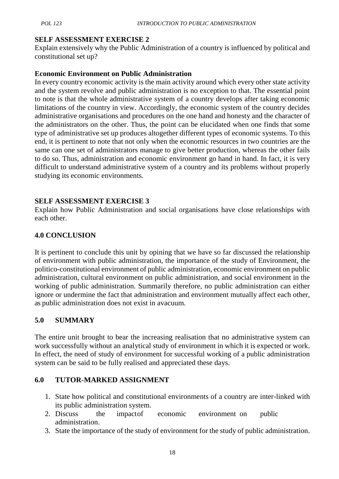## **SELF ASSESSMENT EXERCISE 2**

Explain extensively why the Public Administration of a country is influenced by political and constitutional set up?

## **Economic Environment on Public Administration**

In every country economic activity is the main activity around which every other state activity and the system revolve and public administration is no exception to that. The essential point to note is that the whole administrative system of a country develops after taking economic limitations of the country in view. Accordingly, the economic system of the country decides administrative organisations and procedures on the one hand and honesty and the character of the administrators on the other. Thus, the point can be elucidated when one finds that some type of administrative set up produces altogether different types of economic systems. To this end, it is pertinent to note that not only when the economic resources in two countries are the same can one set of administrators manage to give better production, whereas the other fails to do so. Thus, administration and economic environment go hand in hand. In fact, it is very difficult to understand administrative system of a country and its problems without properly studying its economic environments.

## **SELF ASSESSMENT EXERCISE 3**

Explain how Public Administration and social organisations have close relationships with each other.

# **4.0 CONCLUSION**

It is pertinent to conclude this unit by opining that we have so far discussed the relationship of environment with public administration, the importance of the study of Environment, the politico-constitutional environment of public administration, economic environment on public administration, cultural environment on public administration, and social environment in the working of public administration. Summarily therefore, no public administration can either ignore or undermine the fact that administration and environment mutually affect each other, as public administration does not exist in avacuum.

# **5.0 SUMMARY**

The entire unit brought to bear the increasing realisation that no administrative system can work successfully without an analytical study of environment in which it is expected or work. In effect, the need of study of environment for successful working of a public administration system can be said to be fully realised and appreciated these days.

# **6.0 TUTOR-MARKED ASSIGNMENT**

- 1. State how political and constitutional environments of a country are inter-linked with its public administration system.
- 2. Discuss the impactof economic environment on public administration.
- 3. State the importance of the study of environment for the study of public administration.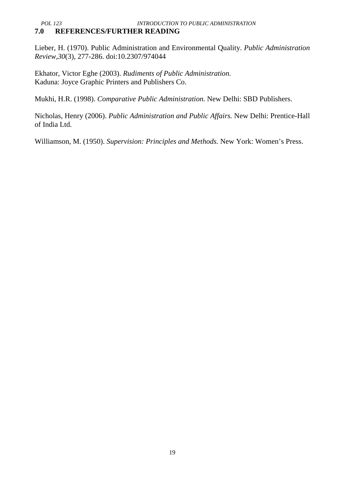### *POL 123 INTRODUCTION TO PUBLIC ADMINISTRATION* **7.0 REFERENCES/FURTHER READING**

Lieber, H. (1970). Public Administration and Environmental Quality. *Public Administration Review,30*(3), 277-286. doi:10.2307/974044

Ekhator, Victor Eghe (2003). *Rudiments of Public Administration.* Kaduna: Joyce Graphic Printers and Publishers Co.

Mukhi, H.R. (1998). *Comparative Public Administration.* New Delhi: SBD Publishers.

Nicholas, Henry (2006). *Public Administration and Public Affairs.* New Delhi: Prentice-Hall of India Ltd.

Williamson, M. (1950). *Supervision: Principles and Methods.* New York: Women's Press.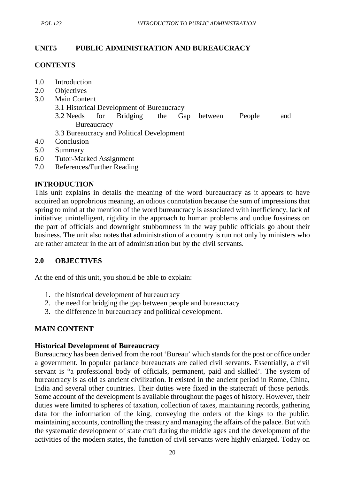# **UNIT5 PUBLIC ADMINISTRATION AND BUREAUCRACY**

## **CONTENTS**

- 1.0 Introduction
- 2.0 Objectives
- 3.0 Main Content
	- 3.1 Historical Development of Bureaucracy
	- 3.2 Needs for Bridging the Gap between People and **Bureaucracy**
	- 3.3 Bureaucracy and Political Development
- 4.0 Conclusion
- 5.0 Summary
- 6.0 Tutor-Marked Assignment
- 7.0 References/Further Reading

## **INTRODUCTION**

This unit explains in details the meaning of the word bureaucracy as it appears to have acquired an opprobrious meaning, an odious connotation because the sum of impressions that spring to mind at the mention of the word bureaucracy is associated with inefficiency, lack of initiative; unintelligent, rigidity in the approach to human problems and undue fussiness on the part of officials and downright stubbornness in the way public officials go about their business. The unit also notes that administration of a country is run not only by ministers who are rather amateur in the art of administration but by the civil servants.

# **2.0 OBJECTIVES**

At the end of this unit, you should be able to explain:

- 1. the historical development of bureaucracy
- 2. the need for bridging the gap between people and bureaucracy
- 3. the difference in bureaucracy and political development.

# **MAIN CONTENT**

## **Historical Development of Bureaucracy**

Bureaucracy has been derived from the root 'Bureau' which stands for the post or office under a government. In popular parlance bureaucrats are called civil servants. Essentially, a civil servant is "a professional body of officials, permanent, paid and skilled'. The system of bureaucracy is as old as ancient civilization. It existed in the ancient period in Rome, China, India and several other countries. Their duties were fixed in the statecraft of those periods. Some account of the development is available throughout the pages of history. However, their duties were limited to spheres of taxation, collection of taxes, maintaining records, gathering data for the information of the king, conveying the orders of the kings to the public, maintaining accounts, controlling the treasury and managing the affairs of the palace. But with the systematic development of state craft during the middle ages and the development of the activities of the modern states, the function of civil servants were highly enlarged. Today on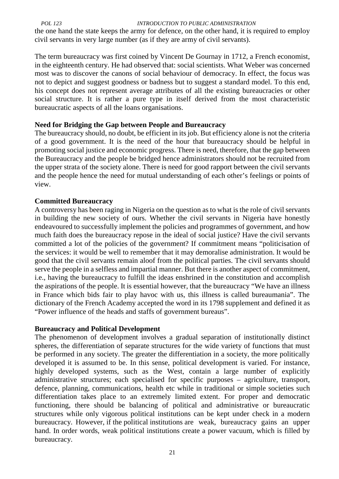*POL 123 INTRODUCTION TO PUBLIC ADMINISTRATION*

the one hand the state keeps the army for defence, on the other hand, it is required to employ civil servants in very large number (as if they are army of civil servants).

The term bureaucracy was first coined by Vincent De Gournay in 1712, a French economist, in the eighteenth century. He had observed that: social scientists. What Weber was concerned most was to discover the canons of social behaviour of democracy. In effect, the focus was not to depict and suggest goodness or badness but to suggest a standard model. To this end, his concept does not represent average attributes of all the existing bureaucracies or other social structure. It is rather a pure type in itself derived from the most characteristic bureaucratic aspects of all the loans organisations.

## **Need for Bridging the Gap between People and Bureaucracy**

The bureaucracy should, no doubt, be efficient in its job. But efficiency alone is not the criteria of a good government. It is the need of the hour that bureaucracy should be helpful in promoting social justice and economic progress. There is need, therefore, that the gap between the Bureaucracy and the people be bridged hence administrators should not be recruited from the upper strata of the society alone. There is need for good rapport between the civil servants and the people hence the need for mutual understanding of each other's feelings or points of view.

## **Committed Bureaucracy**

A controversy has been raging in Nigeria on the question as to what is the role of civil servants in building the new society of ours. Whether the civil servants in Nigeria have honestly endeavoured to successfully implement the policies and programmes of government, and how much faith does the bureaucracy repose in the ideal of social justice? Have the civil servants committed a lot of the policies of the government? If commitment means "politicisation of the services: it would be well to remember that it may demoralise administration. It would be good that the civil servants remain aloof from the political parties. The civil servants should serve the people in a selfless and impartial manner. But there is another aspect of commitment, i.e., having the bureaucracy to fulfill the ideas enshrined in the constitution and accomplish the aspirations of the people. It is essential however, that the bureaucracy "We have an illness in France which bids fair to play havoc with us, this illness is called bureaumania". The dictionary of the French Academy accepted the word in its 1798 supplement and defined it as "Power influence of the heads and staffs of government bureaus".

## **Bureaucracy and Political Development**

The phenomenon of development involves a gradual separation of institutionally distinct spheres, the differentiation of separate structures for the wide variety of functions that must be performed in any society. The greater the differentiation in a society, the more politically developed it is assumed to be. In this sense, political development is varied. For instance, highly developed systems, such as the West, contain a large number of explicitly administrative structures; each specialised for specific purposes – agriculture, transport, defence, planning, communications, health etc while in traditional or simple societies such differentiation takes place to an extremely limited extent. For proper and democratic functioning, there should be balancing of political and administrative or bureaucratic structures while only vigorous political institutions can be kept under check in a modern bureaucracy. However, if the political institutions are weak, bureaucracy gains an upper hand. In order words, weak political institutions create a power vacuum, which is filled by bureaucracy.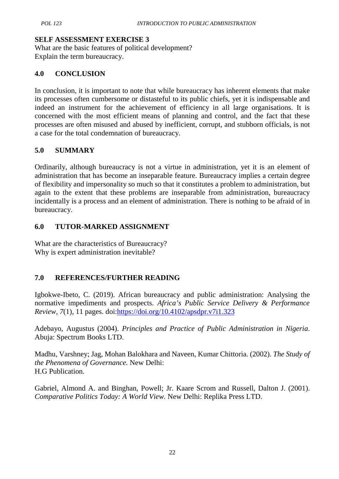## **SELF ASSESSMENT EXERCISE 3**

What are the basic features of political development? Explain the term bureaucracy.

## **4.0 CONCLUSION**

In conclusion, it is important to note that while bureaucracy has inherent elements that make its processes often cumbersome or distasteful to its public chiefs, yet it is indispensable and indeed an instrument for the achievement of efficiency in all large organisations. It is concerned with the most efficient means of planning and control, and the fact that these processes are often misused and abused by inefficient, corrupt, and stubborn officials, is not a case for the total condemnation of bureaucracy.

## **5.0 SUMMARY**

Ordinarily, although bureaucracy is not a virtue in administration, yet it is an element of administration that has become an inseparable feature. Bureaucracy implies a certain degree of flexibility and impersonality so much so that it constitutes a problem to administration, but again to the extent that these problems are inseparable from administration, bureaucracy incidentally is a process and an element of administration. There is nothing to be afraid of in bureaucracy.

## **6.0 TUTOR-MARKED ASSIGNMENT**

What are the characteristics of Bureaucracy? Why is expert administration inevitable?

# **7.0 REFERENCES/FURTHER READING**

Igbokwe-Ibeto, C. (2019). African bureaucracy and public administration: Analysing the normative impediments and prospects. *Africa's Public Service Delivery & Performance Review, 7*(1), 11 pages. doi:https://doi.org/10.4102/apsdpr.v7i1.323

Adebayo, Augustus (2004). *Principles and Practice of Public Administration in Nigeria*. Abuja: Spectrum Books LTD.

Madhu, Varshney; Jag, Mohan Balokhara and Naveen, Kumar Chittoria. (2002). *The Study of the Phenomena of Governance.* New Delhi: H.G Publication.

Gabriel, Almond A. and Binghan, Powell; Jr. Kaare Scrom and Russell, Dalton J. (2001). *Comparative Politics Today: A World View.* New Delhi: Replika Press LTD.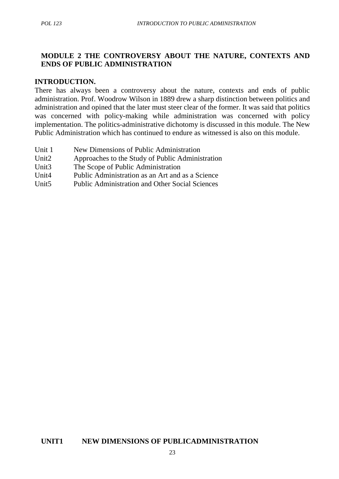## **MODULE 2 THE CONTROVERSY ABOUT THE NATURE, CONTEXTS AND ENDS OF PUBLIC ADMINISTRATION**

#### **INTRODUCTION.**

There has always been a controversy about the nature, contexts and ends of public administration. Prof. Woodrow Wilson in 1889 drew a sharp distinction between politics and administration and opined that the later must steer clear of the former. It was said that politics was concerned with policy-making while administration was concerned with policy implementation. The politics-administrative dichotomy is discussed in this module. The New Public Administration which has continued to endure as witnessed is also on this module.

- Unit 1 New Dimensions of Public Administration
- Unit2 Approaches to the Study of Public Administration
- Unit3 The Scope of Public Administration
- Unit4 Public Administration as an Art and as a Science
- Unit5 Public Administration and Other Social Sciences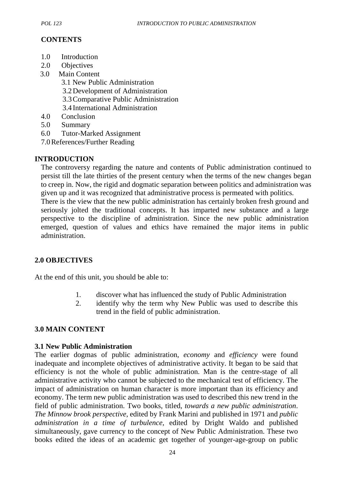# **CONTENTS**

- 1.0 Introduction
- 2.0 Objectives
- 3.0 Main Content
	- 3.1 New Public Administration
	- 3.2Development of Administration
	- 3.3Comparative Public Administration
	- 3.4 International Administration
- 4.0 Conclusion
- 5.0 Summary
- 6.0 Tutor-Marked Assignment
- 7.0References/Further Reading

## **INTRODUCTION**

The controversy regarding the nature and contents of Public administration continued to persist till the late thirties of the present century when the terms of the new changes began to creep in. Now, the rigid and dogmatic separation between politics and administration was given up and it was recognized that administrative process is permeated with politics. There is the view that the new public administration has certainly broken fresh ground and

seriously jolted the traditional concepts. It has imparted new substance and a large perspective to the discipline of administration. Since the new public administration emerged, question of values and ethics have remained the major items in public administration.

## **2.0 OBJECTIVES**

At the end of this unit, you should be able to:

- 1. discover what has influenced the study of Public Administration
- 2. identify why the term why New Public was used to describe this trend in the field of public administration.

## **3.0 MAIN CONTENT**

#### **3.1 New Public Administration**

The earlier dogmas of public administration, *economy* and *efficiency* were found inadequate and incomplete objectives of administrative activity. It began to be said that efficiency is not the whole of public administration. Man is the centre-stage of all administrative activity who cannot be subjected to the mechanical test of efficiency. The impact of administration on human character is more important than its efficiency and economy. The term new public administration was used to described this new trend in the field of public administration. Two books, titled, *towards a new public administration*. *The Minnow brook perspective*, edited by Frank Marini and published in 1971 and *public administration in a time of turbulence,* edited by Dright Waldo and published simultaneously, gave currency to the concept of New Public Administration. These two books edited the ideas of an academic get together of younger-age-group on public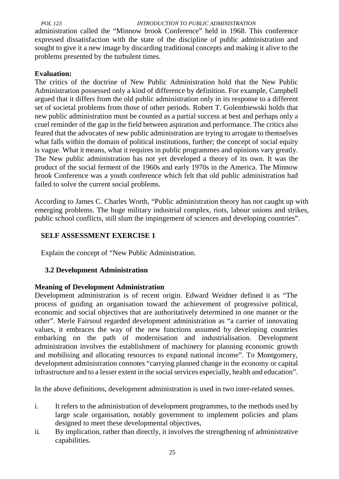administration called the "Minnow brook Conference" held in 1968. This conference expressed dissatisfaction with the state of the discipline of public administration and sought to give it a new image by discarding traditional concepts and making it alive to the problems presented by the turbulent times.

## **Evaluation:**

The critics of the doctrine of New Public Administration hold that the New Public Administration possessed only a kind of difference by definition. For example, Campbell argued that it differs from the old public administration only in its response to a different set of societal problems from those of other periods. Robert T. Golembiewski holds that new public administration must be counted as a partial success at best and perhaps only a cruel reminder of the gap in the field between aspiration and performance. The critics also feared that the advocates of new public administration are trying to arrogate to themselves what falls within the domain of political institutions, further; the concept of social equity is vague. What it means, what it requires in public programmes and opinions vary greatly. The New public administration has not yet developed a theory of its own. It was the product of the social ferment of the 1960s and early 1970s in the America. The Minnow brook Conference was a youth conference which felt that old public administration had failed to solve the current social problems.

According to James C. Charles Worth, "Public administration theory has not caught up with emerging problems. The huge military industrial complex, riots, labour unions and strikes, public school conflicts, still slum the impingement of sciences and developing countries".

# **SELF ASSESSMENT EXERCISE 1**

Explain the concept of "New Public Administration.

## **3.2 Development Administration**

#### **Meaning of Development Administration**

Development administration is of recent origin. Edward Weidner defined it as "The process of guiding an organisation toward the achievement of progressive political, economic and social objectives that are authoritatively determined in one manner or the other". Merle Fairsoul regarded development administration as "a carrier of innovating values, it embraces the way of the new functions assumed by developing countries embarking on the path of modernisation and industrialisation. Development administration involves the establishment of machinery for planning economic growth and mobilising and allocating resources to expand national income". To Montgomery, development administration connotes "carrying planned change in the economy or capital infrastructure and to a lesser extent in the social services especially, health and education".

In the above definitions, development administration is used in two inter-related senses.

- i. It refers to the administration of development programmes, to the methods used by large scale organisation, notably government to implement policies and plans designed to meet these developmental objectives,
- ii. By implication, rather than directly, it involves the strengthening of administrative capabilities.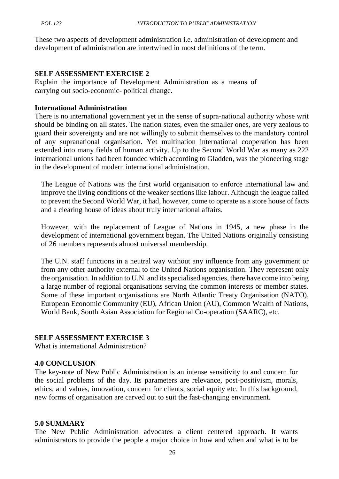These two aspects of development administration i.e. administration of development and development of administration are intertwined in most definitions of the term.

#### **SELF ASSESSMENT EXERCISE 2**

Explain the importance of Development Administration as a means of carrying out socio-economic- political change.

#### **International Administration**

There is no international government yet in the sense of supra-national authority whose writ should be binding on all states. The nation states, even the smaller ones, are very zealous to guard their sovereignty and are not willingly to submit themselves to the mandatory control of any supranational organisation. Yet multination international cooperation has been extended into many fields of human activity. Up to the Second World War as many as 222 international unions had been founded which according to Gladden, was the pioneering stage in the development of modern international administration.

The League of Nations was the first world organisation to enforce international law and improve the living conditions of the weaker sections like labour. Although the league failed to prevent the Second World War, it had, however, come to operate as a store house of facts and a clearing house of ideas about truly international affairs.

However, with the replacement of League of Nations in 1945, a new phase in the development of international government began. The United Nations originally consisting of 26 members represents almost universal membership.

The U.N. staff functions in a neutral way without any influence from any government or from any other authority external to the United Nations organisation. They represent only the organisation. In addition to U.N. and its specialised agencies, there have come into being a large number of regional organisations serving the common interests or member states. Some of these important organisations are North Atlantic Treaty Organisation (NATO), European Economic Community (EU), African Union (AU), Common Wealth of Nations, World Bank, South Asian Association for Regional Co-operation (SAARC), etc.

#### **SELF ASSESSMENT EXERCISE 3**

What is international Administration?

#### **4.0 CONCLUSION**

The key-note of New Public Administration is an intense sensitivity to and concern for the social problems of the day. Its parameters are relevance, post-positivism, morals, ethics, and values, innovation, concern for clients, social equity etc. In this background, new forms of organisation are carved out to suit the fast-changing environment.

#### **5.0 SUMMARY**

The New Public Administration advocates a client centered approach. It wants administrators to provide the people a major choice in how and when and what is to be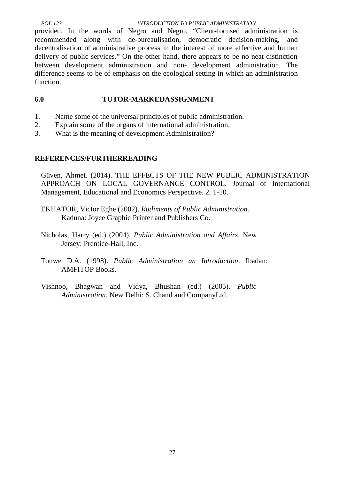provided. In the words of Negro and Negro, "Client-focused administration is recommended along with de-bureaulisation, democratic decision-making, and decentralisation of administrative process in the interest of more effective and human delivery of public services." On the other hand, there appears to be no neat distinction between development administration and non- development administration. The difference seems to be of emphasis on the ecological setting in which an administration function.

## **6.0 TUTOR-MARKEDASSIGNMENT**

- 1. Name some of the universal principles of public administration.
- 2. Explain some of the organs of international administration.
- 3. What is the meaning of development Administration?

## **REFERENCES/FURTHERREADING**

Güven, Ahmet. (2014). THE EFFECTS OF THE NEW PUBLIC ADMINISTRATION APPROACH ON LOCAL GOVERNANCE CONTROL. Journal of International Management, Educational and Economics Perspective. 2. 1-10.

- EKHATOR, Victor Eghe (2002). *Rudiments of Public Administration.* Kaduna: Joyce Graphic Printer and Publishers Co.
- Nicholas, Harry (ed.) (2004). *Public Administration and Affairs*. New Jersey: Prentice-Hall, Inc.
- Tonwe D.A. (1998). *Public Administration an Introduction*. Ibadan: AMFITOP Books.
- Vishnoo, Bhagwan and Vidya, Bhushan (ed.) (2005). *Public Administration.* New Delhi: S. Chand and CompanyLtd.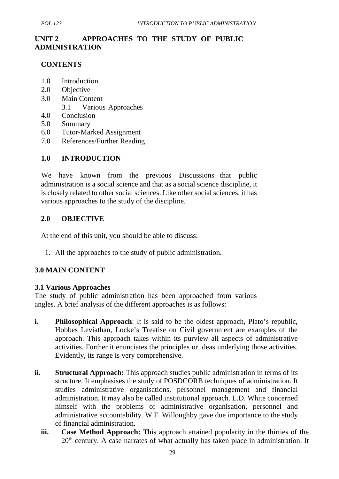# **UNIT 2 APPROACHES TO THE STUDY OF PUBLIC ADMINISTRATION**

#### **CONTENTS**

- 1.0 Introduction
- 2.0 Objective
- 3.0 Main Content
	- 3.1 Various Approaches
- 4.0 Conclusion
- 5.0 Summary
- 6.0 Tutor-Marked Assignment
- 7.0 References/Further Reading

#### **1.0 INTRODUCTION**

We have known from the previous Discussions that public administration is a social science and that as a social science discipline, it is closely related to other social sciences. Like other social sciences, it has various approaches to the study of the discipline.

#### **2.0 OBJECTIVE**

At the end of this unit, you should be able to discuss:

1. All the approaches to the study of public administration.

#### **3.0 MAIN CONTENT**

#### **3.1 Various Approaches**

The study of public administration has been approached from various angles. A brief analysis of the different approaches is as follows:

- **i. Philosophical Approach**: It is said to be the oldest approach, Plato's republic, Hobbes Leviathan, Locke's Treatise on Civil government are examples of the approach. This approach takes within its purview all aspects of administrative activities. Further it enunciates the principles or ideas underlying those activities. Evidently, its range is very comprehensive.
- **ii. Structural Approach:** This approach studies public administration in terms of its structure. It emphasises the study of POSDCORB techniques of administration. It studies administrative organisations, personnel management and financial administration. It may also be called institutional approach. L.D. White concerned himself with the problems of administrative organisation, personnel and administrative accountability. W.F. Willoughby gave due importance to the study of financial administration.
	- **iii. Case Method Approach:** This approach attained popularity in the thirties of the 20<sup>th</sup> century. A case narrates of what actually has taken place in administration. It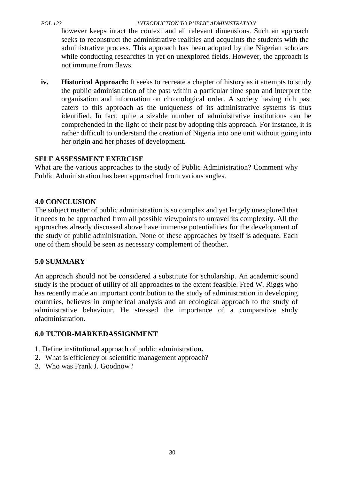however keeps intact the context and all relevant dimensions. Such an approach seeks to reconstruct the administrative realities and acquaints the students with the administrative process. This approach has been adopted by the Nigerian scholars while conducting researches in yet on unexplored fields. However, the approach is not immune from flaws.

**iv. Historical Approach:** It seeks to recreate a chapter of history as it attempts to study the public administration of the past within a particular time span and interpret the organisation and information on chronological order. A society having rich past caters to this approach as the uniqueness of its administrative systems is thus identified. In fact, quite a sizable number of administrative institutions can be comprehended in the light of their past by adopting this approach. For instance, it is rather difficult to understand the creation of Nigeria into one unit without going into her origin and her phases of development.

## **SELF ASSESSMENT EXERCISE**

What are the various approaches to the study of Public Administration? Comment why Public Administration has been approached from various angles.

## **4.0 CONCLUSION**

The subject matter of public administration is so complex and yet largely unexplored that it needs to be approached from all possible viewpoints to unravel its complexity. All the approaches already discussed above have immense potentialities for the development of the study of public administration. None of these approaches by itself is adequate. Each one of them should be seen as necessary complement of theother.

## **5.0 SUMMARY**

An approach should not be considered a substitute for scholarship. An academic sound study is the product of utility of all approaches to the extent feasible. Fred W. Riggs who has recently made an important contribution to the study of administration in developing countries, believes in empherical analysis and an ecological approach to the study of administrative behaviour. He stressed the importance of a comparative study ofadministration.

## **6.0 TUTOR-MARKEDASSIGNMENT**

- 1. Define institutional approach of public administration**.**
- 2. What is efficiency or scientific management approach?
- 3. Who was Frank J. Goodnow?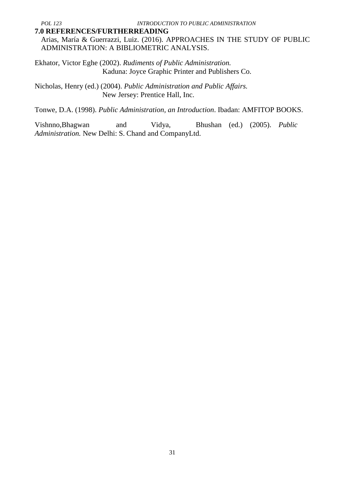#### **7.0 REFERENCES/FURTHERREADING**

Arias, María & Guerrazzi, Luiz. (2016). APPROACHES IN THE STUDY OF PUBLIC ADMINISTRATION: A BIBLIOMETRIC ANALYSIS.

Ekhator, Victor Eghe (2002). *Rudiments of Public Administration.* Kaduna: Joyce Graphic Printer and Publishers Co.

Nicholas, Henry (ed.) (2004). *Public Administration and Public Affairs.* New Jersey: Prentice Hall, Inc.

Tonwe, D.A. (1998). *Public Administration, an Introduction*. Ibadan: AMFITOP BOOKS.

Vishnno,Bhagwan and Vidya, Bhushan (ed.) (2005). *Public Administration.* New Delhi: S. Chand and CompanyLtd.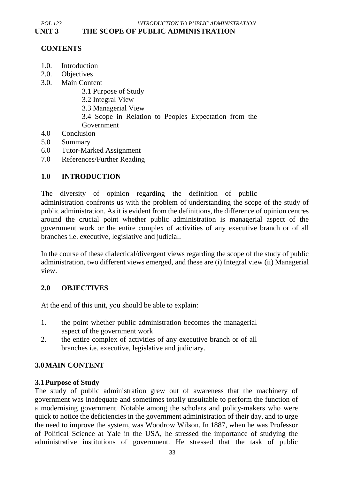## **CONTENTS**

- 1.0. Introduction
- 2.0. Objectives
- 3.0. Main Content
	- 3.1 Purpose of Study
	- 3.2 Integral View
	- 3.3 Managerial View
	- 3.4 Scope in Relation to Peoples Expectation from the
	- Government
- 4.0 Conclusion
- 5.0 Summary
- 6.0 Tutor-Marked Assignment
- 7.0 References/Further Reading

#### **1.0 INTRODUCTION**

The diversity of opinion regarding the definition of public administration confronts us with the problem of understanding the scope of the study of public administration. As it is evident from the definitions, the difference of opinion centres around the crucial point whether public administration is managerial aspect of the government work or the entire complex of activities of any executive branch or of all branches i.e. executive, legislative and judicial.

In the course of these dialectical/divergent views regarding the scope of the study of public administration, two different views emerged, and these are (i) Integral view (ii) Managerial view.

#### **2.0 OBJECTIVES**

At the end of this unit, you should be able to explain:

- 1. the point whether public administration becomes the managerial aspect of the government work
- 2. the entire complex of activities of any executive branch or of all branches i.e. executive, legislative and judiciary.

#### **3.0MAIN CONTENT**

#### **3.1Purpose of Study**

The study of public administration grew out of awareness that the machinery of government was inadequate and sometimes totally unsuitable to perform the function of a modernising government. Notable among the scholars and policy-makers who were quick to notice the deficiencies in the government administration of their day, and to urge the need to improve the system, was Woodrow Wilson. In 1887, when he was Professor of Political Science at Yale in the USA, he stressed the importance of studying the administrative institutions of government. He stressed that the task of public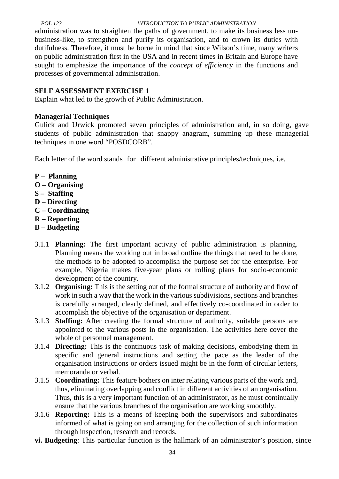#### *POL 123 INTRODUCTION TO PUBLIC ADMINISTRATION* administration was to straighten the paths of government, to make its business less un business-like, to strengthen and purify its organisation, and to crown its duties with dutifulness. Therefore, it must be borne in mind that since Wilson's time, many writers on public administration first in the USA and in recent times in Britain and Europe have sought to emphasize the importance of the *concept of efficiency* in the functions and processes of governmental administration.

#### **SELF ASSESSMENT EXERCISE 1**

Explain what led to the growth of Public Administration.

#### **Managerial Techniques**

Gulick and Urwick promoted seven principles of administration and, in so doing, gave students of public administration that snappy anagram, summing up these managerial techniques in one word "POSDCORB".

Each letter of the word stands for different administrative principles/techniques, i.e.

- **P – Planning**
- **O – Organising**
- **S – Staffing**
- **D – Directing**
- **C – Coordinating**
- **R – Reporting**
- **B – Budgeting**
- 3.1.1 **Planning:** The first important activity of public administration is planning. Planning means the working out in broad outline the things that need to be done, the methods to be adopted to accomplish the purpose set for the enterprise. For example, Nigeria makes five-year plans or rolling plans for socio-economic development of the country.
- 3.1.2 **Organising:** This is the setting out of the formal structure of authority and flow of work in such a way that the work in the various subdivisions, sections and branches is carefully arranged, clearly defined, and effectively co-coordinated in order to accomplish the objective of the organisation or department.
- 3.1.3 **Staffing:** After creating the formal structure of authority, suitable persons are appointed to the various posts in the organisation. The activities here cover the whole of personnel management.
- 3.1.4 **Directing:** This is the continuous task of making decisions, embodying them in specific and general instructions and setting the pace as the leader of the organisation instructions or orders issued might be in the form of circular letters, memoranda or verbal.
- 3.1.5 **Coordinating:** This feature bothers on inter relating various parts of the work and, thus, eliminating overlapping and conflict in different activities of an organisation. Thus, this is a very important function of an administrator, as he must continually ensure that the various branches of the organisation are working smoothly.
- 3.1.6 **Reporting:** This is a means of keeping both the supervisors and subordinates informed of what is going on and arranging for the collection of such information through inspection, research and records.
- **vi. Budgeting**: This particular function is the hallmark of an administrator's position, since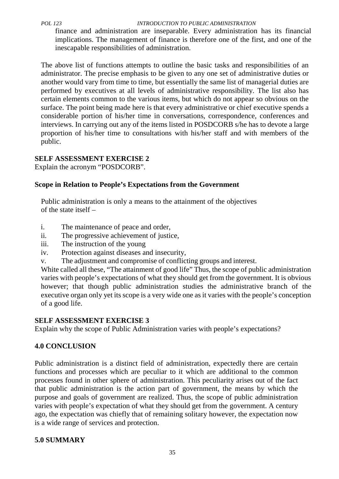finance and administration are inseparable. Every administration has its financial implications. The management of finance is therefore one of the first, and one of the inescapable responsibilities of administration.

The above list of functions attempts to outline the basic tasks and responsibilities of an administrator. The precise emphasis to be given to any one set of administrative duties or another would vary from time to time, but essentially the same list of managerial duties are performed by executives at all levels of administrative responsibility. The list also has certain elements common to the various items, but which do not appear so obvious on the surface. The point being made here is that every administrative or chief executive spends a considerable portion of his/her time in conversations, correspondence, conferences and interviews. In carrying out any of the items listed in POSDCORB s/he has to devote a large proportion of his/her time to consultations with his/her staff and with members of the public.

## **SELF ASSESSMENT EXERCISE 2**

Explain the acronym "POSDCORB".

# **Scope in Relation to People's Expectations from the Government**

Public administration is only a means to the attainment of the objectives of the state itself –

- i. The maintenance of peace and order,
- ii. The progressive achievement of justice,
- iii. The instruction of the young
- iv. Protection against diseases and insecurity,
- v. The adjustment and compromise of conflicting groups and interest.

White called all these, "The attainment of good life" Thus, the scope of public administration varies with people's expectations of what they should get from the government. It is obvious however; that though public administration studies the administrative branch of the executive organ only yet its scope is a very wide one as it varies with the people's conception of a good life.

## **SELF ASSESSMENT EXERCISE 3**

Explain why the scope of Public Administration varies with people's expectations?

# **4.0 CONCLUSION**

Public administration is a distinct field of administration, expectedly there are certain functions and processes which are peculiar to it which are additional to the common processes found in other sphere of administration. This peculiarity arises out of the fact that public administration is the action part of government, the means by which the purpose and goals of government are realized. Thus, the scope of public administration varies with people's expectation of what they should get from the government. A century ago, the expectation was chiefly that of remaining solitary however, the expectation now is a wide range of services and protection.

# **5.0 SUMMARY**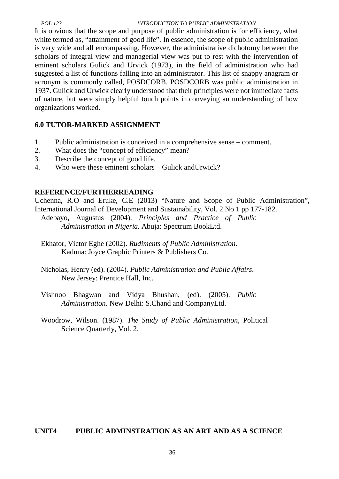It is obvious that the scope and purpose of public administration is for efficiency, what white termed as, "attainment of good life". In essence, the scope of public administration is very wide and all encompassing. However, the administrative dichotomy between the scholars of integral view and managerial view was put to rest with the intervention of eminent scholars Gulick and Urvick (1973), in the field of administration who had suggested a list of functions falling into an administrator. This list of snappy anagram or acronym is commonly called, POSDCORB. POSDCORB was public administration in 1937. Gulick and Urwick clearly understood that their principles were not immediate facts of nature, but were simply helpful touch points in conveying an understanding of how organizations worked.

## **6.0 TUTOR-MARKED ASSIGNMENT**

- 1. Public administration is conceived in a comprehensive sense comment.
- 2. What does the "concept of efficiency" mean?
- 3. Describe the concept of good life.
- 4. Who were these eminent scholars Gulick andUrwick?

#### **REFERENCE/FURTHERREADING**

Uchenna, R.O and Eruke, C.E (2013) "Nature and Scope of Public Administration", International Journal of Development and Sustainability, Vol. 2 No 1 pp 177-182.

Adebayo, Augustus (2004). *Principles and Practice of Public Administration in Nigeria.* Abuja: Spectrum BookLtd.

- Ekhator, Victor Eghe (2002). *Rudiments of Public Administration*. Kaduna: Joyce Graphic Printers & Publishers Co.
- Nicholas, Henry (ed). (2004). *Public Administration and Public Affairs*. New Jersey: Prentice Hall, Inc.
- Vishnoo Bhagwan and Vidya Bhushan, (ed). (2005). *Public Administration.* New Delhi: S.Chand and CompanyLtd.
- Woodrow, Wilson. (1987). *The Study of Public Administration*, Political Science Quarterly, Vol. 2.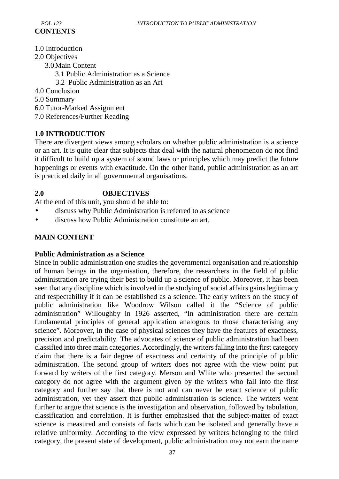- 1.0 Introduction
- 2.0 Objectives
	- 3.0Main Content
		- 3.1 Public Administration as a Science
		- 3.2 Public Administration as an Art
- 4.0 Conclusion
- 5.0 Summary
- 6.0 Tutor-Marked Assignment
- 7.0 References/Further Reading

# **1.0 INTRODUCTION**

There are divergent views among scholars on whether public administration is a science or an art. It is quite clear that subjects that deal with the natural phenomenon do not find it difficult to build up a system of sound laws or principles which may predict the future happenings or events with exactitude. On the other hand, public administration as an art is practiced daily in all governmental organisations.

## **2.0 OBJECTIVES**

At the end of this unit, you should be able to:

- discuss why Public Administration is referred to as science
- discuss how Public Administration constitute an art.

# **MAIN CONTENT**

## **Public Administration as a Science**

Since in public administration one studies the governmental organisation and relationship of human beings in the organisation, therefore, the researchers in the field of public administration are trying their best to build up a science of public. Moreover, it has been seen that any discipline which is involved in the studying of social affairs gains legitimacy and respectability if it can be established as a science. The early writers on the study of public administration like Woodrow Wilson called it the "Science of public administration" Willoughby in 1926 asserted, "In administration there are certain fundamental principles of general application analogous to those characterising any science". Moreover, in the case of physical sciences they have the features of exactness, precision and predictability. The advocates of science of public administration had been classified into three main categories. Accordingly, the writers falling into the first category claim that there is a fair degree of exactness and certainty of the principle of public administration. The second group of writers does not agree with the view point put forward by writers of the first category. Merson and White who presented the second category do not agree with the argument given by the writers who fall into the first category and further say that there is not and can never be exact science of public administration, yet they assert that public administration is science. The writers went further to argue that science is the investigation and observation, followed by tabulation, classification and correlation. It is further emphasised that the subject-matter of exact science is measured and consists of facts which can be isolated and generally have a relative uniformity. According to the view expressed by writers belonging to the third category, the present state of development, public administration may not earn the name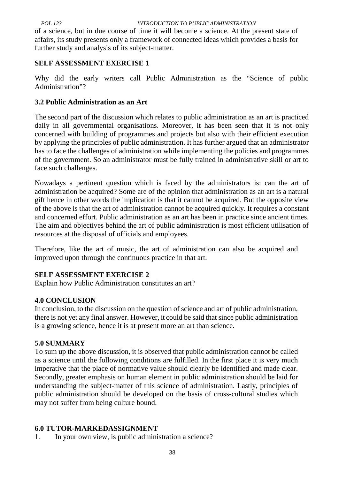of a science, but in due course of time it will become a science. At the present state of affairs, its study presents only a framework of connected ideas which provides a basis for further study and analysis of its subject-matter.

# **SELF ASSESSMENT EXERCISE 1**

Why did the early writers call Public Administration as the "Science of public Administration"?

# **3.2 Public Administration as an Art**

The second part of the discussion which relates to public administration as an art is practiced daily in all governmental organisations. Moreover, it has been seen that it is not only concerned with building of programmes and projects but also with their efficient execution by applying the principles of public administration. It has further argued that an administrator has to face the challenges of administration while implementing the policies and programmes of the government. So an administrator must be fully trained in administrative skill or art to face such challenges.

Nowadays a pertinent question which is faced by the administrators is: can the art of administration be acquired? Some are of the opinion that administration as an art is a natural gift hence in other words the implication is that it cannot be acquired. But the opposite view of the above is that the art of administration cannot be acquired quickly. It requires a constant and concerned effort. Public administration as an art has been in practice since ancient times. The aim and objectives behind the art of public administration is most efficient utilisation of resources at the disposal of officials and employees.

Therefore, like the art of music, the art of administration can also be acquired and improved upon through the continuous practice in that art.

# **SELF ASSESSMENT EXERCISE 2**

Explain how Public Administration constitutes an art?

# **4.0 CONCLUSION**

In conclusion, to the discussion on the question of science and art of public administration, there is not yet any final answer. However, it could be said that since public administration is a growing science, hence it is at present more an art than science.

# **5.0 SUMMARY**

To sum up the above discussion, it is observed that public administration cannot be called as a science until the following conditions are fulfilled. In the first place it is very much imperative that the place of normative value should clearly be identified and made clear. Secondly, greater emphasis on human element in public administration should be laid for understanding the subject-matter of this science of administration. Lastly, principles of public administration should be developed on the basis of cross-cultural studies which may not suffer from being culture bound.

# **6.0 TUTOR-MARKEDASSIGNMENT**

1. In your own view, is public administration a science?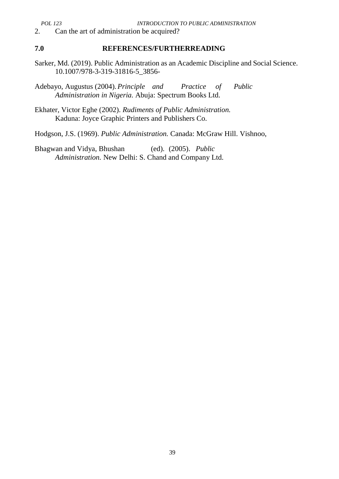2. Can the art of administration be acquired?

#### **7.0 REFERENCES/FURTHERREADING**

Sarker, Md. (2019). Public Administration as an Academic Discipline and Social Science. 10.1007/978-3-319-31816-5\_3856-

Adebayo, Augustus (2004).*Principle and Practice of Public Administration in Nigeria.* Abuja: Spectrum Books Ltd.

Ekhater, Victor Eghe (2002). *Rudiments of Public Administration.* Kaduna: Joyce Graphic Printers and Publishers Co.

Hodgson, J.S. (1969). *Public Administration.* Canada: McGraw Hill. Vishnoo,

Bhagwan and Vidya, Bhushan (ed). (2005). *Public Administration.* New Delhi: S. Chand and Company Ltd.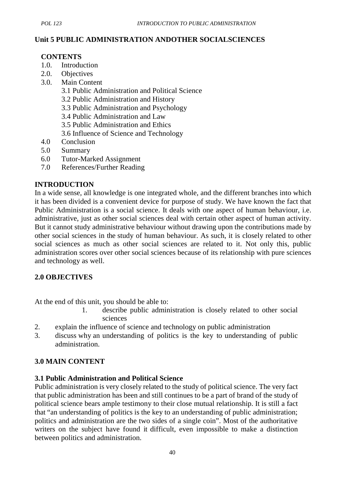## **Unit 5 PUBLIC ADMINISTRATION ANDOTHER SOCIALSCIENCES**

#### **CONTENTS**

- 1.0. Introduction
- 2.0. Objectives
- 3.0. Main Content
	- 3.1 Public Administration and Political Science
	- 3.2 Public Administration and History
	- 3.3 Public Administration and Psychology
	- 3.4 Public Administration and Law
	- 3.5 Public Administration and Ethics
	- 3.6 Influence of Science and Technology
- 4.0 Conclusion
- 5.0 Summary
- 6.0 Tutor-Marked Assignment
- 7.0 References/Further Reading

## **INTRODUCTION**

In a wide sense, all knowledge is one integrated whole, and the different branches into which it has been divided is a convenient device for purpose of study. We have known the fact that Public Administration is a social science. It deals with one aspect of human behaviour, i.e. administrative, just as other social sciences deal with certain other aspect of human activity. But it cannot study administrative behaviour without drawing upon the contributions made by other social sciences in the study of human behaviour. As such, it is closely related to other social sciences as much as other social sciences are related to it. Not only this, public administration scores over other social sciences because of its relationship with pure sciences and technology as well.

## **2.0 OBJECTIVES**

At the end of this unit, you should be able to:

- 1. describe public administration is closely related to other social sciences
- 2. explain the influence of science and technology on public administration
- 3. discuss why an understanding of politics is the key to understanding of public administration.

## **3.0 MAIN CONTENT**

## **3.1 Public Administration and Political Science**

Public administration is very closely related to the study of political science. The very fact that public administration has been and still continues to be a part of brand of the study of political science bears ample testimony to their close mutual relationship. It is still a fact that "an understanding of politics is the key to an understanding of public administration; politics and administration are the two sides of a single coin". Most of the authoritative writers on the subject have found it difficult, even impossible to make a distinction between politics and administration.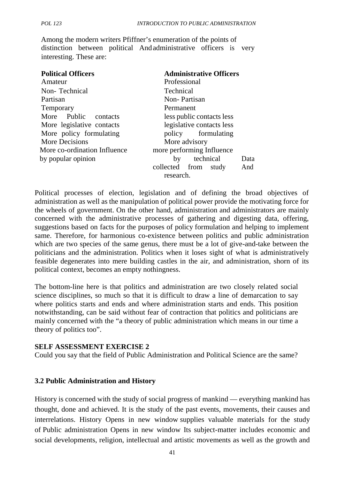Among the modern writers Pfiffner's enumeration of the points of distinction between political Andadministrative officers is very interesting. These are:

| <b>Political Officers</b><br>Amateur | <b>Administrative Officers</b><br>Professional |
|--------------------------------------|------------------------------------------------|
| Non-Technical                        | <b>Technical</b>                               |
| Partisan                             | Non-Partisan                                   |
| Temporary                            | Permanent                                      |
| More Public<br>contacts              | less public contacts less                      |
| More legislative contacts            | legislative contacts less                      |
| More policy formulating              | policy formulating                             |
| More Decisions                       | More advisory                                  |
| More co-ordination Influence         | more performing Influence                      |
| by popular opinion                   | technical<br>by<br>Data                        |
|                                      | collected from study<br>And<br>research.       |
|                                      |                                                |

Political processes of election, legislation and of defining the broad objectives of administration as well as the manipulation of political power provide the motivating force for the wheels of government. On the other hand, administration and administrators are mainly concerned with the administrative processes of gathering and digesting data, offering, suggestions based on facts for the purposes of policy formulation and helping to implement same. Therefore, for harmonious co-existence between politics and public administration which are two species of the same genus, there must be a lot of give-and-take between the politicians and the administration. Politics when it loses sight of what is administratively feasible degenerates into mere building castles in the air, and administration, shorn of its political context, becomes an empty nothingness.

The bottom-line here is that politics and administration are two closely related social science disciplines, so much so that it is difficult to draw a line of demarcation to say where politics starts and ends and where administration starts and ends. This position notwithstanding, can be said without fear of contraction that politics and politicians are mainly concerned with the "a theory of public administration which means in our time a theory of politics too".

#### **SELF ASSESSMENT EXERCISE 2**

Could you say that the field of Public Administration and Political Science are the same?

#### **3.2 Public Administration and History**

History is concerned with the study of social progress of mankind — everything mankind has thought, done and achieved. It is the study of the past events, movements, their causes and interrelations. History Opens in new window supplies valuable materials for the study of Public administration Opens in new window Its subject-matter includes economic and social developments, religion, intellectual and artistic movements as well as the growth and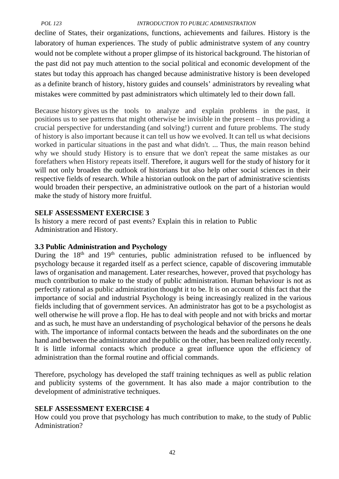decline of States, their organizations, functions, achievements and failures. History is the laboratory of human experiences. The study of public administratve system of any country would not be complete without a proper glimpse of its historical background. The historian of the past did not pay much attention to the social political and economic development of the states but today this approach has changed because administrative history is been developed as a definite branch of history, history guides and counsels' administrators by revealing what mistakes were committed by past administrators which ultimately led to their down fall.

Because history gives us the tools to analyze and explain problems in the past, it positions us to see patterns that might otherwise be invisible in the present – thus providing a crucial perspective for understanding (and solving!) current and future problems. The study of history is also important because it can tell us how we evolved. It can tell us what decisions worked in particular situations in the past and what didn't. ... Thus, the main reason behind why we should study History is to ensure that we don't repeat the same mistakes as our forefathers when History repeats itself. Therefore, it augurs well for the study of history for it will not only broaden the outlook of historians but also help other social sciences in their respective fields of research. While a historian outlook on the part of administrative scientists would broaden their perspective, an administrative outlook on the part of a historian would make the study of history more fruitful.

#### **SELF ASSESSMENT EXERCISE 3**

Is history a mere record of past events? Explain this in relation to Public Administration and History.

#### **3.3 Public Administration and Psychology**

During the 18<sup>th</sup> and 19<sup>th</sup> centuries, public administration refused to be influenced by psychology because it regarded itself as a perfect science, capable of discovering immutable laws of organisation and management. Later researches, however, proved that psychology has much contribution to make to the study of public administration. Human behaviour is not as perfectly rational as public administration thought it to be. It is on account of this fact that the importance of social and industrial Psychology is being increasingly realized in the various fields including that of government services. An administrator has got to be a psychologist as well otherwise he will prove a flop. He has to deal with people and not with bricks and mortar and as such, he must have an understanding of psychological behavior of the persons he deals with. The importance of informal contacts between the heads and the subordinates on the one hand and between the administrator and the public on the other, has been realized only recently. It is little informal contacts which produce a great influence upon the efficiency of administration than the formal routine and official commands.

Therefore, psychology has developed the staff training techniques as well as public relation and publicity systems of the government. It has also made a major contribution to the development of administrative techniques.

#### **SELF ASSESSMENT EXERCISE 4**

How could you prove that psychology has much contribution to make, to the study of Public Administration?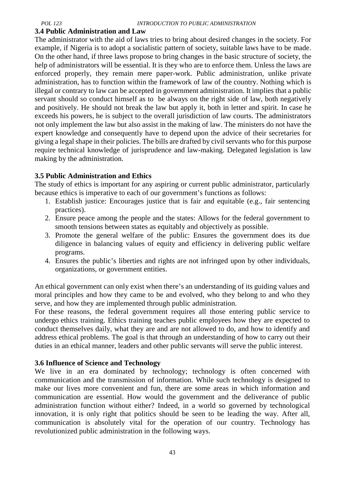#### **3.4 Public Administration and Law**

The administrator with the aid of laws tries to bring about desired changes in the society. For example, if Nigeria is to adopt a socialistic pattern of society, suitable laws have to be made. On the other hand, if three laws propose to bring changes in the basic structure of society, the help of administrators will be essential. It is they who are to enforce them. Unless the laws are enforced properly, they remain mere paper-work. Public administration, unlike private administration, has to function within the framework of law of the country. Nothing which is illegal or contrary to law can be accepted in government administration. It implies that a public servant should so conduct himself as to be always on the right side of law, both negatively and positively. He should not break the law but apply it, both in letter and spirit. In case he exceeds his powers, he is subject to the overall jurisdiction of law courts. The administrators not only implement the law but also assist in the making of law. The ministers do not have the expert knowledge and consequently have to depend upon the advice of their secretaries for giving a legal shape in their policies. The bills are drafted by civil servants who for this purpose require technical knowledge of jurisprudence and law-making. Delegated legislation is law making by the administration.

#### **3.5 Public Administration and Ethics**

The study of ethics is important for any aspiring or current public administrator, particularly because ethics is imperative to each of our government's functions as follows:

- 1. Establish justice: Encourages justice that is fair and equitable (e.g., fair sentencing practices).
- 2. Ensure peace among the people and the states: Allows for the federal government to smooth tensions between states as equitably and objectively as possible.
- 3. Promote the general welfare of the public: Ensures the government does its due diligence in balancing values of equity and efficiency in delivering public welfare programs.
- 4. Ensures the public's liberties and rights are not infringed upon by other individuals, organizations, or government entities.

An ethical government can only exist when there's an understanding of its guiding values and moral principles and how they came to be and evolved, who they belong to and who they serve, and how they are implemented through public administration.

For these reasons, the federal government requires all those entering public service to undergo ethics training. Ethics training teaches public employees how they are expected to conduct themselves daily, what they are and are not allowed to do, and how to identify and address ethical problems. The goal is that through an understanding of how to carry out their duties in an ethical manner, leaders and other public servants will serve the public interest.

#### **3.6 Influence of Science and Technology**

We live in an era dominated by technology; technology is often concerned with communication and the transmission of information. While such technology is designed to make our lives more convenient and fun, there are some areas in which information and communication are essential. How would the government and the deliverance of public administration function without either? Indeed, in a world so governed by technological innovation, it is only right that politics should be seen to be leading the way. After all, communication is absolutely vital for the operation of our country. Technology has revolutionized public administration in the following ways.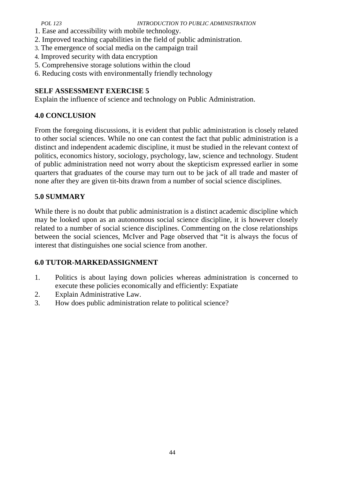- 1. Ease and accessibility with mobile technology.
- 2. Improved teaching capabilities in the field of public administration.
- 3. The emergence of social media on the campaign trail
- 4. Improved security with data encryption
- 5. Comprehensive storage solutions within the cloud
- 6. Reducing costs with environmentally friendly technology

## **SELF ASSESSMENT EXERCISE 5**

Explain the influence of science and technology on Public Administration.

## **4.0 CONCLUSION**

From the foregoing discussions, it is evident that public administration is closely related to other social sciences. While no one can contest the fact that public administration is a distinct and independent academic discipline, it must be studied in the relevant context of politics, economics history, sociology, psychology, law, science and technology. Student of public administration need not worry about the skepticism expressed earlier in some quarters that graduates of the course may turn out to be jack of all trade and master of none after they are given tit-bits drawn from a number of social science disciplines.

## **5.0 SUMMARY**

While there is no doubt that public administration is a distinct academic discipline which may be looked upon as an autonomous social science discipline, it is however closely related to a number of social science disciplines. Commenting on the close relationships between the social sciences, McIver and Page observed that "it is always the focus of interest that distinguishes one social science from another.

## **6.0 TUTOR-MARKEDASSIGNMENT**

- 1. Politics is about laying down policies whereas administration is concerned to execute these policies economically and efficiently: Expatiate
- 2. Explain Administrative Law.
- 3. How does public administration relate to political science?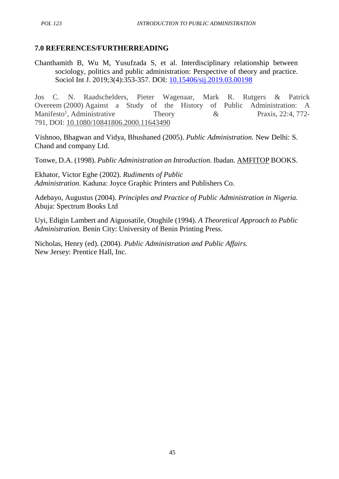## **7.0 REFERENCES/FURTHERREADING**

Chanthamith B, Wu M, Yusufzada S, et al. Interdisciplinary relationship between sociology, politics and public administration: Perspective of theory and practice. Sociol Int J. 2019;3(4):353-357. DOI: 10.15406/sij.2019.03.00198

Jos C. N. Raadschelders, Pieter Wagenaar, Mark R. Rutgers & Patrick Overeem (2000) Against a Study of the History of Public Administration: A Manifesto<sup>1</sup>, Administrative Theory  $\&$  Praxis, 22:4, 772-791, DOI: 10.1080/10841806.2000.11643490

Vishnoo, Bhagwan and Vidya, Bhushaned (2005). *Public Administration.* New Delhi: S. Chand and company Ltd.

Tonwe, D.A. (1998). *Public Administration an Introduction.* Ibadan. AMFITOP BOOKS.

Ekhator, Victor Eghe (2002). *Rudiments of Public Administration*. Kaduna: Joyce Graphic Printers and Publishers Co.

Adebayo, Augustus (2004). *Principles and Practice of Public Administration in Nigeria.* Abuja: Spectrum Books Ltd

Uyi, Edigin Lambert and Aiguosatile, Otoghile (1994). *A Theoretical Approach to Public Administration.* Benin City: University of Benin Printing Press.

Nicholas, Henry (ed). (2004). *Public Administration and Public Affairs.* New Jersey: Prentice Hall, Inc.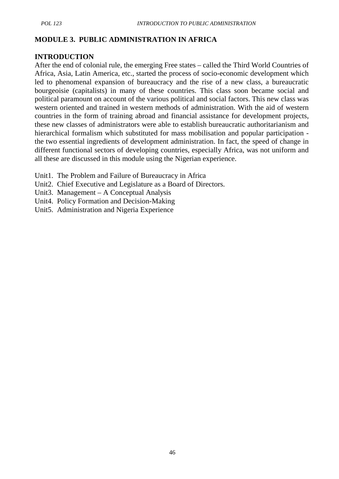#### **MODULE 3. PUBLIC ADMINISTRATION IN AFRICA**

#### **INTRODUCTION**

After the end of colonial rule, the emerging Free states – called the Third World Countries of Africa, Asia, Latin America, etc., started the process of socio-economic development which led to phenomenal expansion of bureaucracy and the rise of a new class, a bureaucratic bourgeoisie (capitalists) in many of these countries. This class soon became social and political paramount on account of the various political and social factors. This new class was western oriented and trained in western methods of administration. With the aid of western countries in the form of training abroad and financial assistance for development projects, these new classes of administrators were able to establish bureaucratic authoritarianism and hierarchical formalism which substituted for mass mobilisation and popular participation the two essential ingredients of development administration. In fact, the speed of change in different functional sectors of developing countries, especially Africa, was not uniform and all these are discussed in this module using the Nigerian experience.

- Unit1. The Problem and Failure of Bureaucracy in Africa
- Unit2. Chief Executive and Legislature as a Board of Directors.
- Unit3. Management A Conceptual Analysis
- Unit4. Policy Formation and Decision-Making
- Unit5. Administration and Nigeria Experience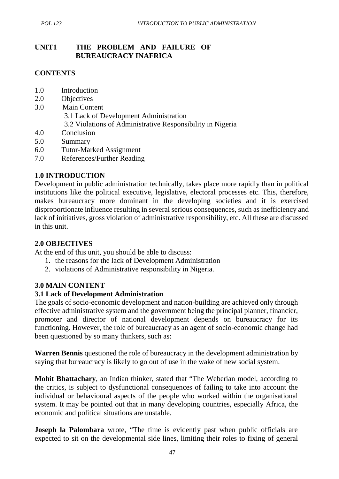## **UNIT1 THE PROBLEM AND FAILURE OF BUREAUCRACY INAFRICA**

#### **CONTENTS**

- 1.0 Introduction
- 2.0 Objectives
- 3.0 Main Content 3.1 Lack of Development Administration 3.2 Violations of Administrative Responsibility in Nigeria
- 4.0 Conclusion
- 5.0 Summary
- 6.0 Tutor-Marked Assignment
- 7.0 References/Further Reading

#### **1.0 INTRODUCTION**

Development in public administration technically, takes place more rapidly than in political institutions like the political executive, legislative, electoral processes etc. This, therefore, makes bureaucracy more dominant in the developing societies and it is exercised disproportionate influence resulting in several serious consequences, such as inefficiency and lack of initiatives, gross violation of administrative responsibility, etc. All these are discussed in this unit.

#### **2.0 OBJECTIVES**

At the end of this unit, you should be able to discuss:

- 1. the reasons for the lack of Development Administration
- 2. violations of Administrative responsibility in Nigeria.

#### **3.0 MAIN CONTENT**

#### **3.1 Lack of Development Administration**

The goals of socio-economic development and nation-building are achieved only through effective administrative system and the government being the principal planner, financier, promoter and director of national development depends on bureaucracy for its functioning. However, the role of bureaucracy as an agent of socio-economic change had been questioned by so many thinkers, such as:

**Warren Bennis** questioned the role of bureaucracy in the development administration by saying that bureaucracy is likely to go out of use in the wake of new social system.

**Mohit Bhattachary**, an Indian thinker, stated that "The Weberian model, according to the critics, is subject to dysfunctional consequences of failing to take into account the individual or behavioural aspects of the people who worked within the organisational system. It may be pointed out that in many developing countries, especially Africa, the economic and political situations are unstable.

**Joseph la Palombara** wrote, "The time is evidently past when public officials are expected to sit on the developmental side lines, limiting their roles to fixing of general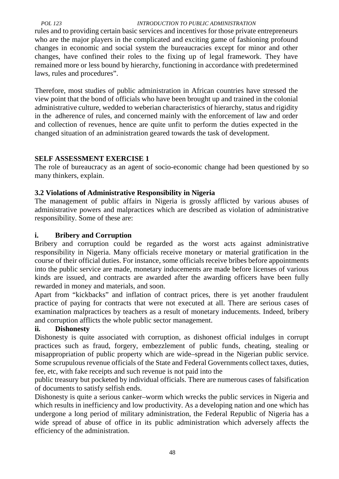rules and to providing certain basic services and incentives for those private entrepreneurs who are the major players in the complicated and exciting game of fashioning profound changes in economic and social system the bureaucracies except for minor and other changes, have confined their roles to the fixing up of legal framework. They have remained more or less bound by hierarchy, functioning in accordance with predetermined laws, rules and procedures".

Therefore, most studies of public administration in African countries have stressed the view point that the bond of officials who have been brought up and trained in the colonial administrative culture, wedded to weberian characteristics of hierarchy, status and rigidity in the adherence of rules, and concerned mainly with the enforcement of law and order and collection of revenues, hence are quite unfit to perform the duties expected in the changed situation of an administration geared towards the task of development.

## **SELF ASSESSMENT EXERCISE 1**

The role of bureaucracy as an agent of socio-economic change had been questioned by so many thinkers, explain.

## **3.2 Violations of Administrative Responsibility in Nigeria**

The management of public affairs in Nigeria is grossly afflicted by various abuses of administrative powers and malpractices which are described as violation of administrative responsibility. Some of these are:

## **i. Bribery and Corruption**

Bribery and corruption could be regarded as the worst acts against administrative responsibility in Nigeria. Many officials receive monetary or material gratification in the course of their official duties. For instance, some officials receive bribes before appointments into the public service are made, monetary inducements are made before licenses of various kinds are issued, and contracts are awarded after the awarding officers have been fully rewarded in money and materials, and soon.

Apart from "kickbacks" and inflation of contract prices, there is yet another fraudulent practice of paying for contracts that were not executed at all. There are serious cases of examination malpractices by teachers as a result of monetary inducements. Indeed, bribery and corruption afflicts the whole public sector management.

## **ii. Dishonesty**

Dishonesty is quite associated with corruption, as dishonest official indulges in corrupt practices such as fraud, forgery, embezzlement of public funds, cheating, stealing or misappropriation of public property which are wide–spread in the Nigerian public service. Some scrupulous revenue officials of the State and Federal Governments collect taxes, duties, fee, etc, with fake receipts and such revenue is not paid into the

public treasury but pocketed by individual officials. There are numerous cases of falsification of documents to satisfy selfish ends.

Dishonesty is quite a serious canker–worm which wrecks the public services in Nigeria and which results in inefficiency and low productivity. As a developing nation and one which has undergone a long period of military administration, the Federal Republic of Nigeria has a wide spread of abuse of office in its public administration which adversely affects the efficiency of the administration.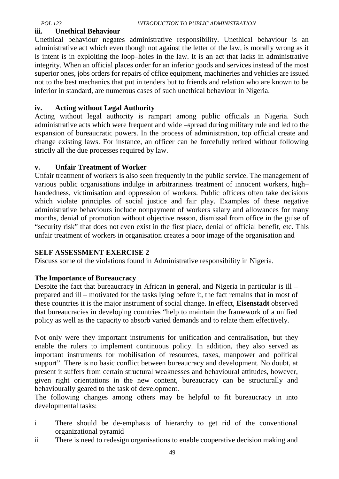#### **iii. Unethical Behaviour**

Unethical behaviour negates administrative responsibility. Unethical behaviour is an administrative act which even though not against the letter of the law, is morally wrong as it is intent is in exploiting the loop–holes in the law. It is an act that lacks in administrative integrity. When an official places order for an inferior goods and services instead of the most superior ones, jobs orders for repairs of office equipment, machineries and vehicles are issued not to the best mechanics that put in tenders but to friends and relation who are known to be inferior in standard, are numerous cases of such unethical behaviour in Nigeria.

#### **iv. Acting without Legal Authority**

Acting without legal authority is rampart among public officials in Nigeria. Such administrative acts which were frequent and wide –spread during military rule and led to the expansion of bureaucratic powers. In the process of administration, top official create and change existing laws. For instance, an officer can be forcefully retired without following strictly all the due processes required by law.

## **v. Unfair Treatment of Worker**

Unfair treatment of workers is also seen frequently in the public service. The management of various public organisations indulge in arbitrariness treatment of innocent workers, high– handedness, victimisation and oppression of workers. Public officers often take decisions which violate principles of social justice and fair play. Examples of these negative administrative behaviours include nonpayment of workers salary and allowances for many months, denial of promotion without objective reason, dismissal from office in the guise of "security risk" that does not even exist in the first place, denial of official benefit, etc. This unfair treatment of workers in organisation creates a poor image of the organisation and

#### **SELF ASSESSMENT EXERCISE 2**

Discuss some of the violations found in Administrative responsibility in Nigeria.

#### **The Importance of Bureaucracy**

Despite the fact that bureaucracy in African in general, and Nigeria in particular is ill – prepared and ill – motivated for the tasks lying before it, the fact remains that in most of these countries it is the major instrument of social change. In effect, **Eisenstadt** observed that bureaucracies in developing countries "help to maintain the framework of a unified policy as well as the capacity to absorb varied demands and to relate them effectively.

Not only were they important instruments for unification and centralisation, but they enable the rulers to implement continuous policy. In addition, they also served as important instruments for mobilisation of resources, taxes, manpower and political support". There is no basic conflict between bureaucracy and development. No doubt, at present it suffers from certain structural weaknesses and behavioural attitudes, however, given right orientations in the new content, bureaucracy can be structurally and behaviourally geared to the task of development.

The following changes among others may be helpful to fit bureaucracy in into developmental tasks:

- i There should be de-emphasis of hierarchy to get rid of the conventional organizational pyramid
- ii There is need to redesign organisations to enable cooperative decision making and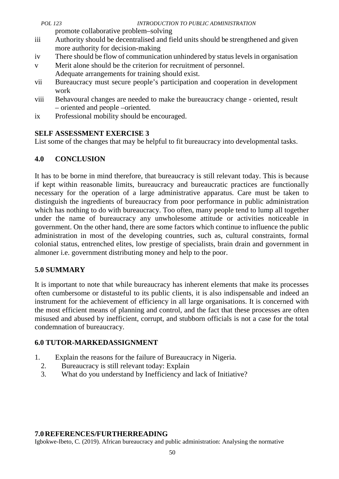| POL 123 | <i>INTRODUCTION TO PUBLIC ADMINISTRATION</i>                                          |  |
|---------|---------------------------------------------------------------------------------------|--|
|         | promote collaborative problem-solving                                                 |  |
|         | <u>Authority should be decentralised and field units should be strengthened and c</u> |  |

- iii Authority should be decentralised and field units should be strengthened and given more authority for decision-making
- iv There should be flow of communication unhindered by status levels in organisation
- v Merit alone should be the criterion for recruitment of personnel.
- Adequate arrangements for training should exist.
- vii Bureaucracy must secure people's participation and cooperation in development work
- viii Behavoural changes are needed to make the bureaucracy change oriented, result – oriented and people –oriented.
- ix Professional mobility should be encouraged.

# **SELF ASSESSMENT EXERCISE 3**

List some of the changes that may be helpful to fit bureaucracy into developmental tasks.

# **4.0 CONCLUSION**

It has to be borne in mind therefore, that bureaucracy is still relevant today. This is because if kept within reasonable limits, bureaucracy and bureaucratic practices are functionally necessary for the operation of a large administrative apparatus. Care must be taken to distinguish the ingredients of bureaucracy from poor performance in public administration which has nothing to do with bureaucracy. Too often, many people tend to lump all together under the name of bureaucracy any unwholesome attitude or activities noticeable in government. On the other hand, there are some factors which continue to influence the public administration in most of the developing countries, such as, cultural constraints, formal colonial status, entrenched elites, low prestige of specialists, brain drain and government in almoner i.e. government distributing money and help to the poor.

# **5.0 SUMMARY**

It is important to note that while bureaucracy has inherent elements that make its processes often cumbersome or distasteful to its public clients, it is also indispensable and indeed an instrument for the achievement of efficiency in all large organisations. It is concerned with the most efficient means of planning and control, and the fact that these processes are often misused and abused by inefficient, corrupt, and stubborn officials is not a case for the total condemnation of bureaucracy.

# **6.0 TUTOR-MARKEDASSIGNMENT**

- 1. Explain the reasons for the failure of Bureaucracy in Nigeria.
	- 2. Bureaucracy is still relevant today: Explain
	- 3. What do you understand by Inefficiency and lack of Initiative?

# **7.0REFERENCES/FURTHERREADING**

Igbokwe-Ibeto, C. (2019). African bureaucracy and public administration: Analysing the normative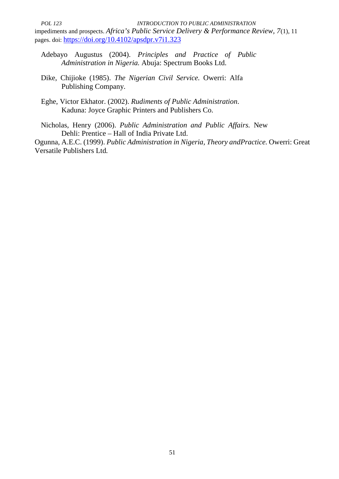*POL 123 INTRODUCTION TO PUBLIC ADMINISTRATION* impediments and prospects. *Africa's Public Service Delivery & Performance Review, 7*(1), 11 pages. doi: https://doi.org/10.4102/apsdpr.v7i1.323

- Adebayo Augustus (2004). *Principles and Practice of Public Administration in Nigeria.* Abuja: Spectrum Books Ltd.
- Dike, Chijioke (1985). *The Nigerian Civil Service.* Owerri: Alfa Publishing Company.
- Eghe, Victor Ekhator. (2002). *Rudiments of Public Administration*. Kaduna: Joyce Graphic Printers and Publishers Co.

Nicholas, Henry (2006). *Public Administration and Public Affairs.* New Dehli: Prentice – Hall of India Private Ltd.

Ogunna, A.E.C. (1999). *Public Administration in Nigeria, Theory andPractice.* Owerri: Great Versatile Publishers Ltd*.*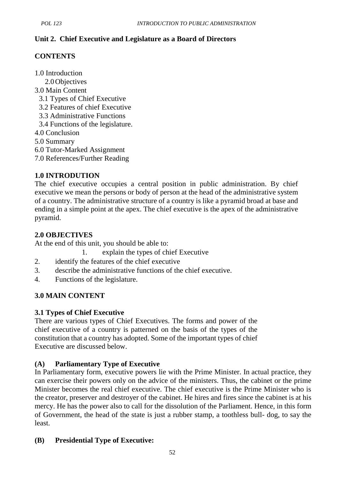# **Unit 2. Chief Executive and Legislature as a Board of Directors**

# **CONTENTS**

1.0 Introduction

- 2.0Objectives
- 3.0 Main Content
	- 3.1 Types of Chief Executive
	- 3.2 Features of chief Executive
	- 3.3 Administrative Functions
	- 3.4 Functions of the legislature.
- 4.0 Conclusion
- 5.0 Summary
- 6.0 Tutor-Marked Assignment
- 7.0 References/Further Reading

## **1.0 INTRODUTION**

The chief executive occupies a central position in public administration. By chief executive we mean the persons or body of person at the head of the administrative system of a country. The administrative structure of a country is like a pyramid broad at base and ending in a simple point at the apex. The chief executive is the apex of the administrative pyramid.

# **2.0 OBJECTIVES**

At the end of this unit, you should be able to:

- 1. explain the types of chief Executive
- 2. identify the features of the chief executive
- 3. describe the administrative functions of the chief executive.
- 4. Functions of the legislature.

## **3.0 MAIN CONTENT**

## **3.1 Types of Chief Executive**

There are various types of Chief Executives. The forms and power of the chief executive of a country is patterned on the basis of the types of the constitution that a country has adopted. Some of the important types of chief Executive are discussed below.

## **(A) Parliamentary Type of Executive**

In Parliamentary form, executive powers lie with the Prime Minister. In actual practice, they can exercise their powers only on the advice of the ministers. Thus, the cabinet or the prime Minister becomes the real chief executive. The chief executive is the Prime Minister who is the creator, preserver and destroyer of the cabinet. He hires and fires since the cabinet is at his mercy. He has the power also to call for the dissolution of the Parliament. Hence, in this form of Government, the head of the state is just a rubber stamp, a toothless bull- dog, to say the least.

## **(B) Presidential Type of Executive:**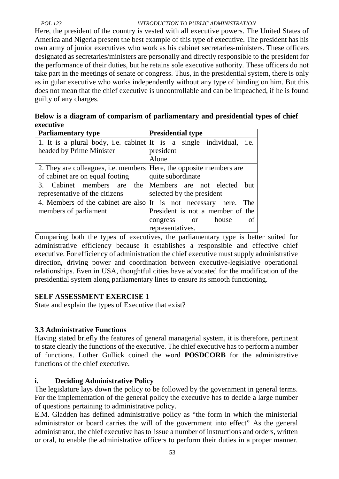Here, the president of the country is vested with all executive powers. The United States of America and Nigeria present the best example of this type of executive. The president has his own army of junior executives who work as his cabinet secretaries-ministers. These officers designated as secretaries/ministers are personally and directly responsible to the president for the performance of their duties, but he retains sole executive authority. These officers do not take part in the meetings of senate or congress. Thus, in the presidential system, there is only as in gular executive who works independently without any type of binding on him. But this does not mean that the chief executive is uncontrollable and can be impeached, if he is found guilty of any charges.

|           | Below is a diagram of comparism of parliamentary and presidential types of chief |  |
|-----------|----------------------------------------------------------------------------------|--|
| executive |                                                                                  |  |

| <b>Parliamentary type</b>                                                  | <b>Presidential type</b>                                         |
|----------------------------------------------------------------------------|------------------------------------------------------------------|
| 1. It is a plural body, i.e. cabinet It is a single individual, i.e.       |                                                                  |
| headed by Prime Minister                                                   | president                                                        |
|                                                                            | Alone                                                            |
| 2. They are colleagues, <i>i.e.</i> members Here, the opposite members are |                                                                  |
| of cabinet are on equal footing                                            | quite subordinate                                                |
| 3. Cabinet members are the Members are not elected                         | but                                                              |
| representative of the citizens                                             | selected by the president                                        |
|                                                                            | 4. Members of the cabinet are also It is not necessary here. The |
| members of parliament                                                      | President is not a member of the                                 |
|                                                                            | house<br>of<br>congress or                                       |
|                                                                            | representatives.                                                 |

Comparing both the types of executives, the parliamentary type is better suited for administrative efficiency because it establishes a responsible and effective chief executive. For efficiency of administration the chief executive must supply administrative direction, driving power and coordination between executive-legislative operational relationships. Even in USA, thoughtful cities have advocated for the modification of the presidential system along parliamentary lines to ensure its smooth functioning.

# **SELF ASSESSMENT EXERCISE 1**

State and explain the types of Executive that exist?

# **3.3 Administrative Functions**

Having stated briefly the features of general managerial system, it is therefore, pertinent to state clearly the functions of the executive. The chief executive has to perform a number of functions. Luther Gullick coined the word **POSDCORB** for the administrative functions of the chief executive.

## **i. Deciding Administrative Policy**

The legislature lays down the policy to be followed by the government in general terms. For the implementation of the general policy the executive has to decide a large number of questions pertaining to administrative policy.

E.M. Gladden has defined administrative policy as "the form in which the ministerial administrator or board carries the will of the government into effect" As the general administrator, the chief executive has to issue a number of instructions and orders, written or oral, to enable the administrative officers to perform their duties in a proper manner.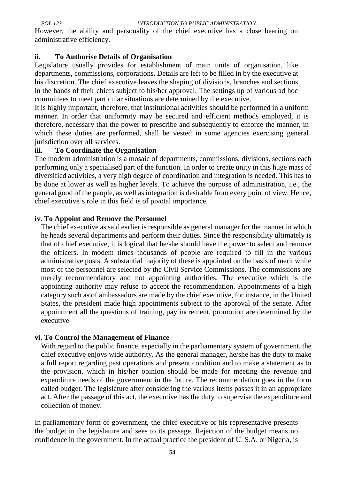However, the ability and personality of the chief executive has a close bearing on administrative efficiency.

#### **ii. To Authorise Details of Organisation**

Legislature usually provides for establishment of main units of organisation, like departments, commissions, corporations. Details are left to be filled in by the executive at his discretion. The chief executive leaves the shaping of divisions, branches and sections in the hands of their chiefs subject to his/her approval. The settings up of various ad hoc committees to meet particular situations are determined by the executive.

It is highly important, therefore, that institutional activities should be performed in a uniform manner. In order that uniformity may be secured and efficient methods employed, it is therefore, necessary that the power to prescribe and subsequently to enforce the manner, in which these duties are performed, shall be vested in some agencies exercising general jurisdiction over all services.

## **iii. To Coordinate the Organisation**

The modern administration is a mosaic of departments, commissions, divisions, sections each performing only a specialised part of the function. In order to create unity in this huge mass of diversified activities, a very high degree of coordination and integration is needed. This has to be done at lower as well as higher levels. To achieve the purpose of administration, i.e., the general good of the people, as well as integration is desirable from every point of view. Hence, chief executive's role in this field is of pivotal importance.

#### **iv. To Appoint and Remove the Personnel**

The chief executive as said earlier is responsible as general manager for the manner in which he heads several departments and perform their duties. Since the responsibility ultimately is that of chief executive, it is logical that he/she should have the power to select and remove the officers. In modem times thousands of people are required to fill in the various administrative posts. A substantial majority of these is appointed on the basis of merit while most of the personnel are selected by the Civil Service Commissions. The commissions are merely recommendatory and not appointing authorities. The executive which is the appointing authority may refuse to accept the recommendation. Appointments of a high category such as of ambassadors are made by the chief executive, for instance, in the United States, the president made high appointments subject to the approval of the senate. After appointment all the questions of training, pay increment, promotion are determined by the executive

#### **vi. To Control the Management of Finance**

With regard to the public finance, especially in the parliamentary system of government, the chief executive enjoys wide authority. As the general manager, he/she has the duty to make a full report regarding past operations and present condition and to make a statement as to the provision, which in his/her opinion should be made for meeting the revenue and expenditure needs of the government in the future. The recommendation goes in the form called budget. The legislature after considering the various items passes it in an appropriate act. After the passage of this act, the executive has the duty to supervise the expenditure and collection of money.

In parliamentary form of government, the chief executive or his representative presents the budget in the legislature and sees to its passage. Rejection of the budget means no confidence in the government. In the actual practice the president of U. S.A. or Nigeria, is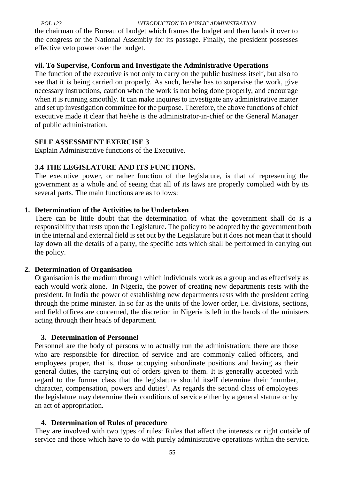the chairman of the Bureau of budget which frames the budget and then hands it over to the congress or the National Assembly for its passage. Finally, the president possesses effective veto power over the budget.

#### **vii. To Supervise, Conform and Investigate the Administrative Operations**

The function of the executive is not only to carry on the public business itself, but also to see that it is being carried on properly. As such, he/she has to supervise the work, give necessary instructions, caution when the work is not being done properly, and encourage when it is running smoothly. It can make inquires to investigate any administrative matter and set up investigation committee for the purpose. Therefore, the above functions of chief executive made it clear that he/she is the administrator-in-chief or the General Manager of public administration.

## **SELF ASSESSMENT EXERCISE 3**

Explain Administrative functions of the Executive.

## **3.4 THE LEGISLATURE AND ITS FUNCTIONS.**

The executive power, or rather function of the legislature, is that of representing the government as a whole and of seeing that all of its laws are properly complied with by its several parts. The main functions are as follows:

## **1. Determination of the Activities to be Undertaken**

There can be little doubt that the determination of what the government shall do is a responsibility that rests upon the Legislature. The policy to be adopted by the government both in the internal and external field is set out by the Legislature but it does not mean that it should lay down all the details of a party, the specific acts which shall be performed in carrying out the policy.

#### **2. Determination of Organisation**

Organisation is the medium through which individuals work as a group and as effectively as each would work alone. In Nigeria, the power of creating new departments rests with the president. In India the power of establishing new departments rests with the president acting through the prime minister. In so far as the units of the lower order, i.e. divisions, sections, and field offices are concerned, the discretion in Nigeria is left in the hands of the ministers acting through their heads of department.

#### **3. Determination of Personnel**

Personnel are the body of persons who actually run the administration; there are those who are responsible for direction of service and are commonly called officers, and employees proper, that is, those occupying subordinate positions and having as their general duties, the carrying out of orders given to them. It is generally accepted with regard to the former class that the legislature should itself determine their 'number, character, compensation, powers and duties'. As regards the second class of employees the legislature may determine their conditions of service either by a general stature or by an act of appropriation.

## **4. Determination of Rules of procedure**

They are involved with two types of rules: Rules that affect the interests or right outside of service and those which have to do with purely administrative operations within the service.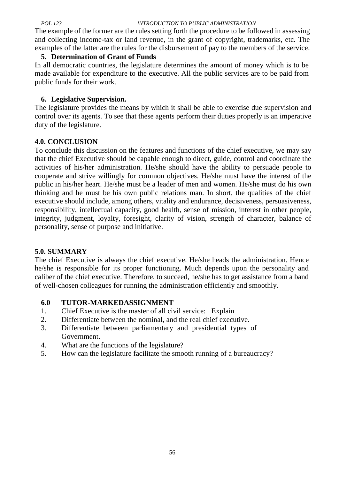The example of the former are the rules setting forth the procedure to be followed in assessing and collecting income-tax or land revenue, in the grant of copyright, trademarks, etc. The examples of the latter are the rules for the disbursement of pay to the members of the service.

#### **5. Determination of Grant of Funds**

In all democratic countries, the legislature determines the amount of money which is to be made available for expenditure to the executive. All the public services are to be paid from public funds for their work.

#### **6. Legislative Supervision.**

The legislature provides the means by which it shall be able to exercise due supervision and control over its agents. To see that these agents perform their duties properly is an imperative duty of the legislature.

#### **4.0. CONCLUSION**

To conclude this discussion on the features and functions of the chief executive, we may say that the chief Executive should be capable enough to direct, guide, control and coordinate the activities of his/her administration. He/she should have the ability to persuade people to cooperate and strive willingly for common objectives. He/she must have the interest of the public in his/her heart. He/she must be a leader of men and women. He/she must do his own thinking and he must be his own public relations man. In short, the qualities of the chief executive should include, among others, vitality and endurance, decisiveness, persuasiveness, responsibility, intellectual capacity, good health, sense of mission, interest in other people, integrity, judgment, loyalty, foresight, clarity of vision, strength of character, balance of personality, sense of purpose and initiative.

#### **5.0. SUMMARY**

The chief Executive is always the chief executive. He/she heads the administration. Hence he/she is responsible for its proper functioning. Much depends upon the personality and caliber of the chief executive. Therefore, to succeed, he/she has to get assistance from a band of well-chosen colleagues for running the administration efficiently and smoothly.

#### **6.0 TUTOR-MARKEDASSIGNMENT**

- 1. Chief Executive is the master of all civil service: Explain
- 2. Differentiate between the nominal, and the real chief executive.
- 3. Differentiate between parliamentary and presidential types of Government.
- 4. What are the functions of the legislature?
- 5. How can the legislature facilitate the smooth running of a bureaucracy?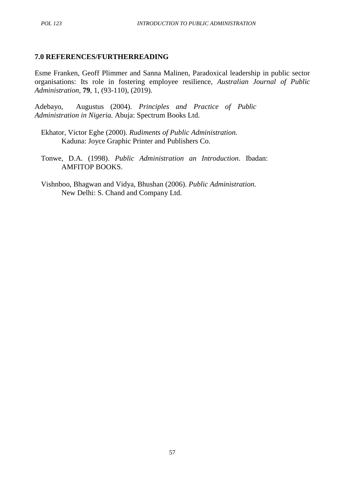#### **7.0 REFERENCES/FURTHERREADING**

Esme Franken, Geoff Plimmer and Sanna Malinen, Paradoxical leadership in public sector organisations: Its role in fostering employee resilience, *Australian Journal of Public Administration*, **79**, 1, (93-110), (2019).

Adebayo, Augustus (2004). *Principles and Practice of Public Administration in Nigeria.* Abuja: Spectrum Books Ltd.

Ekhator, Victor Eghe (2000). *Rudiments of Public Administration.* Kaduna: Joyce Graphic Printer and Publishers Co.

Tonwe, D.A. (1998). *Public Administration an Introduction*. Ibadan: AMFITOP BOOKS.

Vishnboo, Bhagwan and Vidya, Bhushan (2006). *Public Administration*. New Delhi: S. Chand and Company Ltd.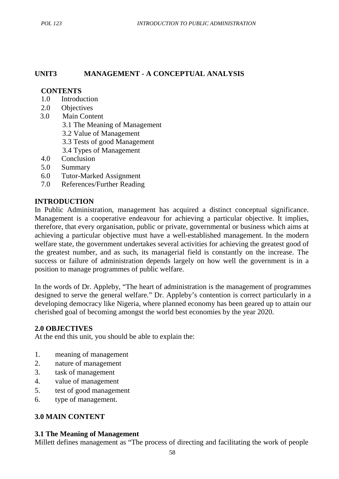## **UNIT3 MANAGEMENT - A CONCEPTUAL ANALYSIS**

#### **CONTENTS**

- 1.0 Introduction
- 2.0 Objectives
- 3.0 Main Content
	- 3.1 The Meaning of Management
	- 3.2 Value of Management
	- 3.3 Tests of good Management
	- 3.4 Types of Management
- 4.0 Conclusion
- 5.0 Summary
- 6.0 Tutor-Marked Assignment
- 7.0 References/Further Reading

#### **INTRODUCTION**

In Public Administration, management has acquired a distinct conceptual significance. Management is a cooperative endeavour for achieving a particular objective. It implies, therefore, that every organisation, public or private, governmental or business which aims at achieving a particular objective must have a well-established management. In the modern welfare state, the government undertakes several activities for achieving the greatest good of the greatest number, and as such, its managerial field is constantly on the increase. The success or failure of administration depends largely on how well the government is in a position to manage programmes of public welfare.

In the words of Dr. Appleby, "The heart of administration is the management of programmes designed to serve the general welfare." Dr. Appleby's contention is correct particularly in a developing democracy like Nigeria, where planned economy has been geared up to attain our cherished goal of becoming amongst the world best economies by the year 2020.

#### **2.0 OBJECTIVES**

At the end this unit, you should be able to explain the:

- 1. meaning of management
- 2. nature of management
- 3. task of management
- 4. value of management
- 5. test of good management
- 6. type of management.

## **3.0 MAIN CONTENT**

#### **3.1 The Meaning of Management**

Millett defines management as "The process of directing and facilitating the work of people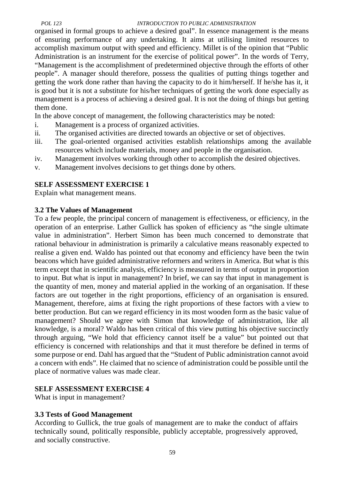organised in formal groups to achieve a desired goal". In essence management is the means of ensuring performance of any undertaking. It aims at utilising limited resources to accomplish maximum output with speed and efficiency. Millet is of the opinion that "Public Administration is an instrument for the exercise of political power". In the words of Terry, "Management is the accomplishment of predetermined objective through the efforts of other people". A manager should therefore, possess the qualities of putting things together and getting the work done rather than having the capacity to do it him/herself. If he/she has it, it is good but it is not a substitute for his/her techniques of getting the work done especially as management is a process of achieving a desired goal. It is not the doing of things but getting them done.

In the above concept of management, the following characteristics may be noted:

- i. Management is a process of organized activities.
- ii. The organised activities are directed towards an objective or set of objectives.
- iii. The goal-oriented organised activities establish relationships among the available resources which include materials, money and people in the organisation.
- iv. Management involves working through other to accomplish the desired objectives.
- v. Management involves decisions to get things done by others.

# **SELF ASSESSMENT EXERCISE 1**

Explain what management means.

## **3.2 The Values of Management**

To a few people, the principal concern of management is effectiveness, or efficiency, in the operation of an enterprise. Lather Gullick has spoken of efficiency as "the single ultimate value in administration". Herbert Simon has been much concerned to demonstrate that rational behaviour in administration is primarily a calculative means reasonably expected to realise a given end. Waldo has pointed out that economy and efficiency have been the twin beacons which have guided administrative reformers and writers in America. But what is this term except that in scientific analysis, efficiency is measured in terms of output in proportion to input. But what is input in management? In brief, we can say that input in management is the quantity of men, money and material applied in the working of an organisation. If these factors are out together in the right proportions, efficiency of an organisation is ensured. Management, therefore, aims at fixing the right proportions of these factors with a view to better production. But can we regard efficiency in its most wooden form as the basic value of management? Should we agree with Simon that knowledge of administration, like all knowledge, is a moral? Waldo has been critical of this view putting his objective succinctly through arguing, "We hold that efficiency cannot itself be a value" but pointed out that efficiency is concerned with relationships and that it must therefore be defined in terms of some purpose or end. Dahl has argued that the "Student of Public administration cannot avoid a concern with ends". He claimed that no science of administration could be possible until the place of normative values was made clear.

# **SELF ASSESSMENT EXERCISE 4**

What is input in management?

# **3.3 Tests of Good Management**

According to Gullick, the true goals of management are to make the conduct of affairs technically sound, politically responsible, publicly acceptable, progressively approved, and socially constructive.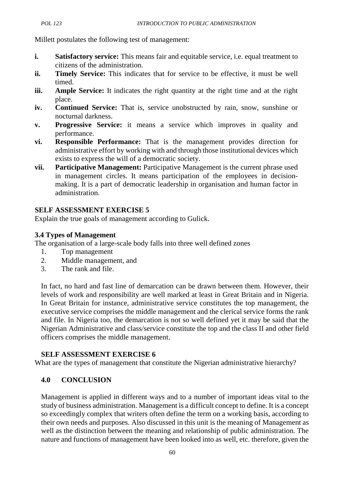Millett postulates the following test of management:

- **i. Satisfactory service:** This means fair and equitable service, i.e. equal treatment to citizens of the administration.
- **ii. Timely Service:** This indicates that for service to be effective, it must be well timed.
- **iii. Ample Service:** It indicates the right quantity at the right time and at the right place.
- **iv. Continued Service:** That is, service unobstructed by rain, snow, sunshine or nocturnal darkness.
- **v. Progressive Service:** it means a service which improves in quality and performance.
- **vi. Responsible Performance:** That is the management provides direction for administrative effort by working with and through those institutional devices which exists to express the will of a democratic society.
- **vii. Participative Management:** Participative Management is the current phrase used in management circles. It means participation of the employees in decision making. It is a part of democratic leadership in organisation and human factor in administration.

# **SELF ASSESSMENT EXERCISE 5**

Explain the true goals of management according to Gulick.

# **3.4 Types of Management**

The organisation of a large-scale body falls into three well defined zones

- 1. Top management
- 2. Middle management, and
- 3. The rank and file.

In fact, no hard and fast line of demarcation can be drawn between them. However, their levels of work and responsibility are well marked at least in Great Britain and in Nigeria. In Great Britain for instance, administrative service constitutes the top management, the executive service comprises the middle management and the clerical service forms the rank and file. In Nigeria too, the demarcation is not so well defined yet it may be said that the Nigerian Administrative and class/service constitute the top and the class II and other field officers comprises the middle management.

# **SELF ASSESSMENT EXERCISE 6**

What are the types of management that constitute the Nigerian administrative hierarchy?

# **4.0 CONCLUSION**

Management is applied in different ways and to a number of important ideas vital to the study of business administration. Management is a difficult concept to define. It is a concept so exceedingly complex that writers often define the term on a working basis, according to their own needs and purposes. Also discussed in this unit is the meaning of Management as well as the distinction between the meaning and relationship of public administration. The nature and functions of management have been looked into as well, etc. therefore, given the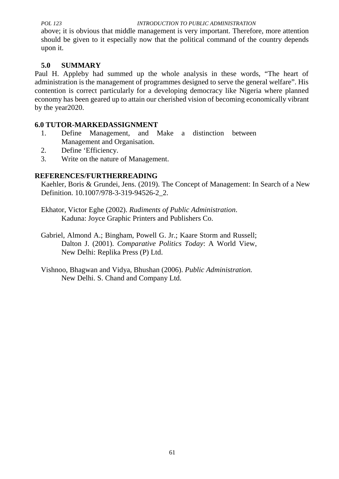above; it is obvious that middle management is very important. Therefore, more attention should be given to it especially now that the political command of the country depends upon it.

# **5.0 SUMMARY**

Paul H. Appleby had summed up the whole analysis in these words, "The heart of administration is the management of programmes designed to serve the general welfare". His contention is correct particularly for a developing democracy like Nigeria where planned economy has been geared up to attain our cherished vision of becoming economically vibrant by the year2020.

# **6.0 TUTOR-MARKEDASSIGNMENT**

- 1. Define Management, and Make a distinction between Management and Organisation.
- 2. Define 'Efficiency.
- 3. Write on the nature of Management.

# **REFERENCES/FURTHERREADING**

Kaehler, Boris & Grundei, Jens. (2019). The Concept of Management: In Search of a New Definition. 10.1007/978-3-319-94526-2\_2.

Ekhator, Victor Eghe (2002). *Rudiments of Public Administration*. Kaduna: Joyce Graphic Printers and Publishers Co.

- Gabriel, Almond A.; Bingham, Powell G. Jr.; Kaare Storm and Russell; Dalton J. (2001). *Comparative Politics Today*: A World View, New Delhi: Replika Press (P) Ltd.
- Vishnoo, Bhagwan and Vidya, Bhushan (2006). *Public Administration.* New Delhi. S. Chand and Company Ltd.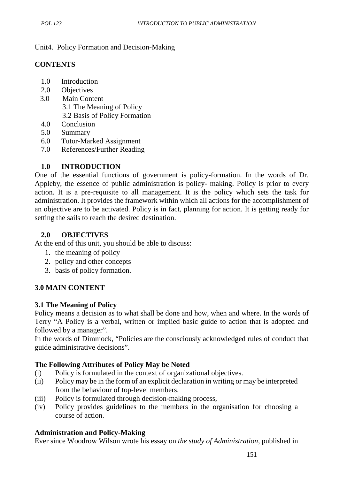Unit4. Policy Formation and Decision-Making

## **CONTENTS**

- 1.0 Introduction
- 2.0 Objectives
- 3.0 Main Content 3.1 The Meaning of Policy 3.2 Basis of Policy Formation
- 4.0 Conclusion
- 5.0 Summary
- 6.0 Tutor-Marked Assignment
- 7.0 References/Further Reading

## **1.0 INTRODUCTION**

One of the essential functions of government is policy-formation. In the words of Dr. Appleby, the essence of public administration is policy- making. Policy is prior to every action. It is a pre-requisite to all management. It is the policy which sets the task for administration. It provides the framework within which all actions for the accomplishment of an objective are to be activated. Policy is in fact, planning for action. It is getting ready for setting the sails to reach the desired destination.

## **2.0 OBJECTIVES**

At the end of this unit, you should be able to discuss:

- 1. the meaning of policy
- 2. policy and other concepts
- 3. basis of policy formation.

## **3.0 MAIN CONTENT**

## **3.1 The Meaning of Policy**

Policy means a decision as to what shall be done and how, when and where. In the words of Terry "A Policy is a verbal, written or implied basic guide to action that is adopted and followed by a manager".

In the words of Dimmock, "Policies are the consciously acknowledged rules of conduct that guide administrative decisions".

## **The Following Attributes of Policy May be Noted**

- (i) Policy is formulated in the context of organizational objectives.
- (ii) Policy may be in the form of an explicit declaration in writing or may be interpreted from the behaviour of top-level members.
- (iii) Policy is formulated through decision-making process,
- (iv) Policy provides guidelines to the members in the organisation for choosing a course of action.

# **Administration and Policy-Making**

Ever since Woodrow Wilson wrote his essay on *the study of Administration,* published in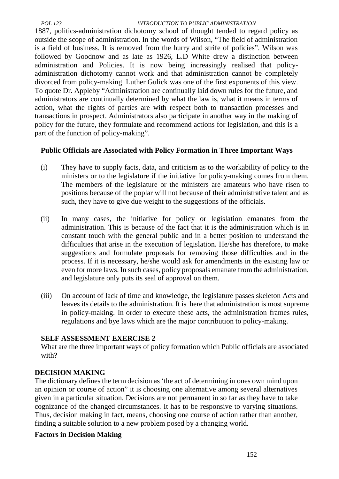1887, politics-administration dichotomy school of thought tended to regard policy as outside the scope of administration. In the words of Wilson, "The field of administration is a field of business. It is removed from the hurry and strife of policies". Wilson was followed by Goodnow and as late as 1926, L.D White drew a distinction between administration and Policies. It is now being increasingly realised that policy administration dichotomy cannot work and that administration cannot be completely divorced from policy-making. Luther Gulick was one of the first exponents of this view. To quote Dr. Appleby "Administration are continually laid down rules for the future, and administrators are continually determined by what the law is, what it means in terms of action, what the rights of parties are with respect both to transaction processes and transactions in prospect. Administrators also participate in another way in the making of policy for the future, they formulate and recommend actions for legislation, and this is a part of the function of policy-making".

# **Public Officials are Associated with Policy Formation in Three Important Ways**

- (i) They have to supply facts, data, and criticism as to the workability of policy to the ministers or to the legislature if the initiative for policy-making comes from them. The members of the legislature or the ministers are amateurs who have risen to positions because of the poplar will not because of their administrative talent and as such, they have to give due weight to the suggestions of the officials.
- (ii) In many cases, the initiative for policy or legislation emanates from the administration. This is because of the fact that it is the administration which is in constant touch with the general public and in a better position to understand the difficulties that arise in the execution of legislation. He/she has therefore, to make suggestions and formulate proposals for removing those difficulties and in the process. If it is necessary, he/she would ask for amendments in the existing law or even for more laws. In such cases, policy proposals emanate from the administration, and legislature only puts its seal of approval on them.
- (iii) On account of lack of time and knowledge, the legislature passes skeleton Acts and leaves its details to the administration. It is here that administration is most supreme in policy-making. In order to execute these acts, the administration frames rules, regulations and bye laws which are the major contribution to policy-making.

# **SELF ASSESSMENT EXERCISE 2**

What are the three important ways of policy formation which Public officials are associated with?

# **DECISION MAKING**

The dictionary defines the term decision as 'the act of determining in ones own mind upon an opinion or course of action" it is choosing one alternative among several alternatives given in a particular situation. Decisions are not permanent in so far as they have to take cognizance of the changed circumstances. It has to be responsive to varying situations. Thus, decision making in fact, means, choosing one course of action rather than another, finding a suitable solution to a new problem posed by a changing world.

## **Factors in Decision Making**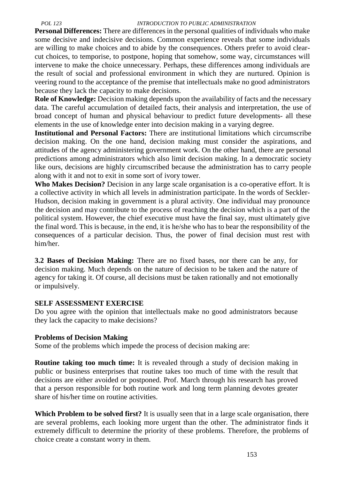**Personal Differences:** There are differences in the personal qualities of individuals who make some decisive and indecisive decisions. Common experience reveals that some individuals are willing to make choices and to abide by the consequences. Others prefer to avoid clear cut choices, to temporise, to postpone, hoping that somehow, some way, circumstances will intervene to make the choice unnecessary. Perhaps, these differences among individuals are the result of social and professional environment in which they are nurtured. Opinion is veering round to the acceptance of the premise that intellectuals make no good administrators because they lack the capacity to make decisions.

**Role of Knowledge:** Decision making depends upon the availability of facts and the necessary data. The careful accumulation of detailed facts, their analysis and interpretation, the use of broad concept of human and physical behaviour to predict future developments- all these elements in the use of knowledge enter into decision making in a varying degree.

**Institutional and Personal Factors:** There are institutional limitations which circumscribe decision making. On the one hand, decision making must consider the aspirations, and attitudes of the agency administering government work. On the other hand, there are personal predictions among administrators which also limit decision making. In a democratic society like ours, decisions are highly circumscribed because the administration has to carry people along with it and not to exit in some sort of ivory tower.

**Who Makes Decision?** Decision in any large scale organisation is a co-operative effort. It is a collective activity in which all levels in administration participate. In the words of Seckler- Hudson, decision making in government is a plural activity. One individual may pronounce the decision and may contribute to the process of reaching the decision which is a part of the political system. However, the chief executive must have the final say, must ultimately give the final word. This is because, in the end, it is he/she who has to bear the responsibility of the consequences of a particular decision. Thus, the power of final decision must rest with him/her.

**3.2 Bases of Decision Making:** There are no fixed bases, nor there can be any, for decision making. Much depends on the nature of decision to be taken and the nature of agency for taking it. Of course, all decisions must be taken rationally and not emotionally or impulsively.

## **SELF ASSESSMENT EXERCISE**

Do you agree with the opinion that intellectuals make no good administrators because they lack the capacity to make decisions?

## **Problems of Decision Making**

Some of the problems which impede the process of decision making are:

**Routine taking too much time:** It is revealed through a study of decision making in public or business enterprises that routine takes too much of time with the result that decisions are either avoided or postponed. Prof. March through his research has proved that a person responsible for both routine work and long term planning devotes greater share of his/her time on routine activities.

**Which Problem to be solved first?** It is usually seen that in a large scale organisation, there are several problems, each looking more urgent than the other. The administrator finds it extremely difficult to determine the priority of these problems. Therefore, the problems of choice create a constant worry in them.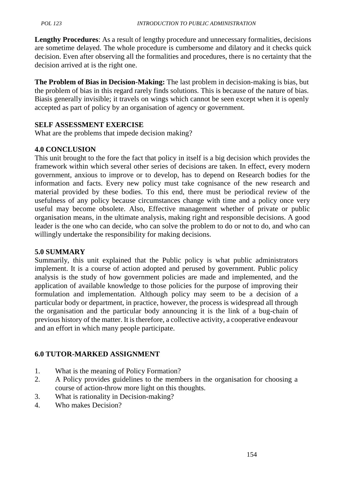**Lengthy Procedures**: As a result of lengthy procedure and unnecessary formalities, decisions are sometime delayed. The whole procedure is cumbersome and dilatory and it checks quick decision. Even after observing all the formalities and procedures, there is no certainty that the decision arrived at is the right one.

**The Problem of Bias in Decision-Making:** The last problem in decision-making is bias, but the problem of bias in this regard rarely finds solutions. This is because of the nature of bias. Biasis generally invisible; it travels on wings which cannot be seen except when it is openly accepted as part of policy by an organisation of agency or government.

## **SELF ASSESSMENT EXERCISE**

What are the problems that impede decision making?

## **4.0 CONCLUSION**

This unit brought to the fore the fact that policy in itself is a big decision which provides the framework within which several other series of decisions are taken. In effect, every modern government, anxious to improve or to develop, has to depend on Research bodies for the information and facts. Every new policy must take cognisance of the new research and material provided by these bodies. To this end, there must be periodical review of the usefulness of any policy because circumstances change with time and a policy once very useful may become obsolete. Also, Effective management whether of private or public organisation means, in the ultimate analysis, making right and responsible decisions. A good leader is the one who can decide, who can solve the problem to do or not to do, and who can willingly undertake the responsibility for making decisions.

## **5.0 SUMMARY**

Summarily, this unit explained that the Public policy is what public administrators implement. It is a course of action adopted and perused by government. Public policy analysis is the study of how government policies are made and implemented, and the application of available knowledge to those policies for the purpose of improving their formulation and implementation. Although policy may seem to be a decision of a particular body or department, in practice, however, the process is widespread all through the organisation and the particular body announcing it is the link of a bug-chain of previous history of the matter. It is therefore, a collective activity, a cooperative endeavour and an effort in which many people participate.

# **6.0 TUTOR-MARKED ASSIGNMENT**

- 1. What is the meaning of Policy Formation?
- 2. A Policy provides guidelines to the members in the organisation for choosing a course of action-throw more light on this thoughts.
- 3. What is rationality in Decision-making?
- 4. Who makes Decision?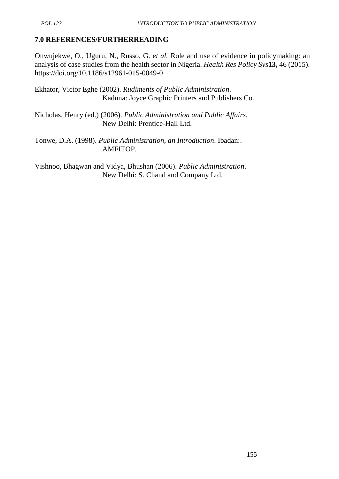# **7.0 REFERENCES/FURTHERREADING**

Onwujekwe, O., Uguru, N., Russo, G. *et al.* Role and use of evidence in policymaking: an analysis of case studies from the health sector in Nigeria. *Health Res Policy Sys***13,** 46 (2015). https://doi.org/10.1186/s12961-015-0049-0

Ekhator, Victor Eghe (2002). *Rudiments of Public Administration*. Kaduna: Joyce Graphic Printers and Publishers Co.

Nicholas, Henry (ed.) (2006). *Public Administration and Public Affairs.* New Delhi: Prentice-Hall Ltd.

Tonwe, D.A. (1998). *Public Administration, an Introduction*. Ibadan:. AMFITOP.

Vishnoo, Bhagwan and Vidya, Bhushan (2006). *Public Administration*. New Delhi: S. Chand and Company Ltd.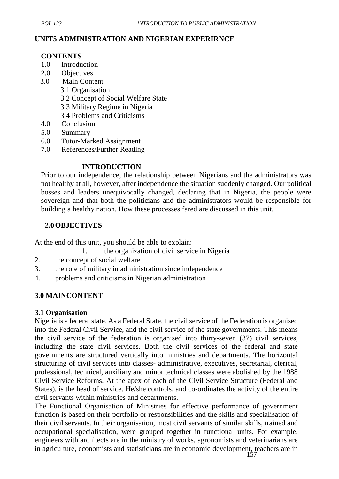### **UNIT5 ADMINISTRATION AND NIGERIAN EXPERIRNCE**

### **CONTENTS**

- 1.0 Introduction
- 2.0 Objectives
- 3.0 Main Content
	- 3.1 Organisation
		- 3.2 Concept of Social Welfare State
	- 3.3 Military Regime in Nigeria
	- 3.4 Problems and Criticisms
- 4.0 Conclusion
- 5.0 Summary
- 6.0 Tutor-Marked Assignment
- 7.0 References/Further Reading

## **INTRODUCTION**

Prior to our independence, the relationship between Nigerians and the administrators was not healthy at all, however, after independence the situation suddenly changed. Our political bosses and leaders unequivocally changed, declaring that in Nigeria, the people were sovereign and that both the politicians and the administrators would be responsible for building a healthy nation. How these processes fared are discussed in this unit.

## **2.0OBJECTIVES**

At the end of this unit, you should be able to explain:

- 1. the organization of civil service in Nigeria
- 2. the concept of social welfare
- 3. the role of military in administration since independence
- 4. problems and criticisms in Nigerian administration

## **3.0 MAINCONTENT**

#### **3.1 Organisation**

Nigeria is a federal state. As a Federal State, the civil service of the Federation is organised into the Federal Civil Service, and the civil service of the state governments. This means the civil service of the federation is organised into thirty-seven (37) civil services, including the state civil services. Both the civil services of the federal and state governments are structured vertically into ministries and departments. The horizontal structuring of civil services into classes- administrative, executives, secretarial, clerical, professional, technical, auxiliary and minor technical classes were abolished by the 1988 Civil Service Reforms. At the apex of each of the Civil Service Structure (Federal and States), is the head of service. He/she controls, and co-ordinates the activity of the entire civil servants within ministries and departments.

The Functional Organisation of Ministries for effective performance of government function is based on their portfolio or responsibilities and the skills and specialisation of their civil servants. In their organisation, most civil servants of similar skills, trained and occupational specialisation, were grouped together in functional units. For example, engineers with architects are in the ministry of works, agronomists and veterinarians are in agriculture, economists and statisticians are in economic development, teachers are in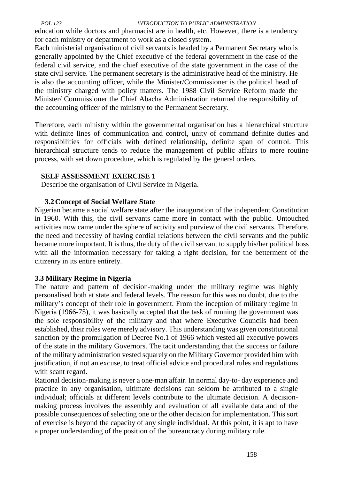education while doctors and pharmacist are in health, etc. However, there is a tendency for each ministry or department to work as a closed system.

Each ministerial organisation of civil servants is headed by a Permanent Secretary who is generally appointed by the Chief executive of the federal government in the case of the federal civil service, and the chief executive of the state government in the case of the state civil service. The permanent secretary is the administrative head of the ministry. He is also the accounting officer, while the Minister/Commissioner is the political head of the ministry charged with policy matters. The 1988 Civil Service Reform made the Minister/ Commissioner the Chief Abacha Administration returned the responsibility of the accounting officer of the ministry to the Permanent Secretary.

Therefore, each ministry within the governmental organisation has a hierarchical structure with definite lines of communication and control, unity of command definite duties and responsibilities for officials with defined relationship, definite span of control. This hierarchical structure tends to reduce the management of public affairs to mere routine process, with set down procedure, which is regulated by the general orders.

### **SELF ASSESSMENT EXERCISE 1**

Describe the organisation of Civil Service in Nigeria.

## **3.2Concept of Social Welfare State**

Nigerian became a social welfare state after the inauguration of the independent Constitution in 1960. With this, the civil servants came more in contact with the public. Untouched activities now came under the sphere of activity and purview of the civil servants. Therefore, the need and necessity of having cordial relations between the civil servants and the public became more important. It is thus, the duty of the civil servant to supply his/her political boss with all the information necessary for taking a right decision, for the betterment of the citizenry in its entire entirety.

## **3.3 Military Regime in Nigeria**

The nature and pattern of decision-making under the military regime was highly personalised both at state and federal levels. The reason for this was no doubt, due to the military's concept of their role in government. From the inception of military regime in Nigeria (1966-75), it was basically accepted that the task of running the government was the sole responsibility of the military and that where Executive Councils had been established, their roles were merely advisory. This understanding was given constitutional sanction by the promulgation of Decree No.1 of 1966 which vested all executive powers of the state in the military Governors. The tacit understanding that the success or failure of the military administration vested squarely on the Military Governor provided him with justification, if not an excuse, to treat official advice and procedural rules and regulations with scant regard.

Rational decision-making is never a one-man affair. In normal day-to- day experience and practice in any organisation, ultimate decisions can seldom be attributed to a single individual; officials at different levels contribute to the ultimate decision. A decision making process involves the assembly and evaluation of all available data and of the possible consequences of selecting one or the other decision for implementation. This sort of exercise is beyond the capacity of any single individual. At this point, it is apt to have a proper understanding of the position of the bureaucracy during military rule.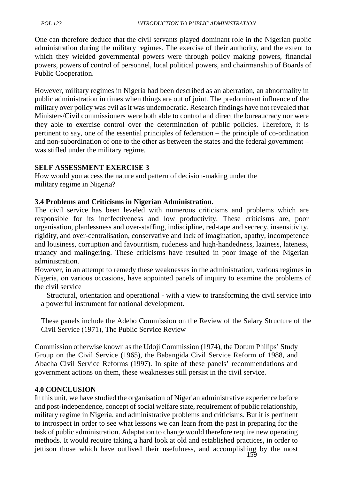One can therefore deduce that the civil servants played dominant role in the Nigerian public administration during the military regimes. The exercise of their authority, and the extent to which they wielded governmental powers were through policy making powers, financial powers, powers of control of personnel, local political powers, and chairmanship of Boards of Public Cooperation.

However, military regimes in Nigeria had been described as an aberration, an abnormality in public administration in times when things are out of joint. The predominant influence of the military over policy was evil as it was undemocratic. Research findings have not revealed that Ministers/Civil commissioners were both able to control and direct the bureaucracy nor were they able to exercise control over the determination of public policies. Therefore, it is pertinent to say, one of the essential principles of federation – the principle of co-ordination and non-subordination of one to the other as between the states and the federal government – was stifled under the military regime.

## **SELF ASSESSMENT EXERCISE 3**

How would you access the nature and pattern of decision-making under the military regime in Nigeria?

### **3.4 Problems and Criticisms in Nigerian Administration.**

The civil service has been leveled with numerous criticisms and problems which are responsible for its ineffectiveness and low productivity. These criticisms are, poor organisation, planlessness and over-staffing, indiscipline, red-tape and secrecy, insensitivity, rigidity, and over-centralisation, conservative and lack of imagination, apathy, incompetence and lousiness, corruption and favouritism, rudeness and high-handedness, laziness, lateness, truancy and malingering. These criticisms have resulted in poor image of the Nigerian administration.

However, in an attempt to remedy these weaknesses in the administration, various regimes in Nigeria, on various occasions, have appointed panels of inquiry to examine the problems of the civil service

– Structural, orientation and operational - with a view to transforming the civil service into a powerful instrument for national development.

These panels include the Adebo Commission on the Review of the Salary Structure of the Civil Service (1971), The Public Service Review

Commission otherwise known as the Udoji Commission (1974), the Dotum Philips' Study Group on the Civil Service (1965), the Babangida Civil Service Reform of 1988, and Abacha Civil Service Reforms (1997). In spite of these panels' recommendations and government actions on them, these weaknesses still persist in the civil service.

#### **4.0 CONCLUSION**

 $159$ In this unit, we have studied the organisation of Nigerian administrative experience before and post-independence, concept of social welfare state, requirement of public relationship, military regime in Nigeria, and administrative problems and criticisms. But it is pertinent to introspect in order to see what lessons we can learn from the past in preparing for the task of public administration. Adaptation to change would therefore require new operating methods. It would require taking a hard look at old and established practices, in order to jettison those which have outlived their usefulness, and accomplishing by the most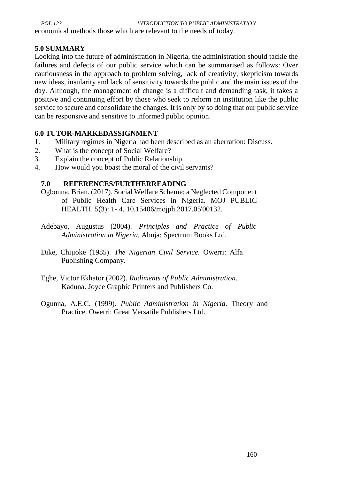economical methods those which are relevant to the needs of today.

## **5.0 SUMMARY**

Looking into the future of administration in Nigeria, the administration should tackle the failures and defects of our public service which can be summarised as follows: Over cautiousness in the approach to problem solving, lack of creativity, skepticism towards new ideas, insularity and lack of sensitivity towards the public and the main issues of the day. Although, the management of change is a difficult and demanding task, it takes a positive and continuing effort by those who seek to reform an institution like the public service to secure and consolidate the changes. It is only by so doing that our public service can be responsive and sensitive to informed public opinion.

## **6.0 TUTOR-MARKEDASSIGNMENT**

- 1. Military regimes in Nigeria had been described as an aberration: Discuss.
- 2. What is the concept of Social Welfare?
- 3. Explain the concept of Public Relationship.
- 4. How would you boast the moral of the civil servants?

# **7.0 REFERENCES/FURTHERREADING**

- Ogbonna, Brian. (2017). Social Welfare Scheme; a Neglected Component of Public Health Care Services in Nigeria. MOJ PUBLIC HEALTH. 5(3): 1- 4. 10.15406/mojph.2017.05'00132.
- Adebayo, Augustus (2004). *Principles and Practice of Public Administration in Nigeria.* Abuja: Spectrum Books Ltd.
- Dike, Chijioke (1985). *The Nigerian Civil Service.* Owerri: Alfa Publishing Company.
- Eghe, Victor Ekhator (2002). *Rudiments of Public Administration*. Kaduna. Joyce Graphic Printers and Publishers Co.
- Ogunna, A.E.C. (1999). *Public Administration in Nigeria*. Theory and Practice. Owerri: Great Versatile Publishers Ltd.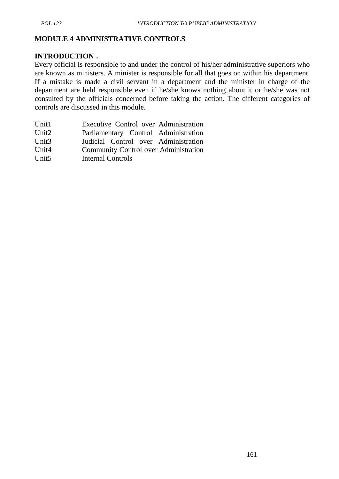# **MODULE 4 ADMINISTRATIVE CONTROLS**

## **INTRODUCTION .**

Every official is responsible to and under the control of his/her administrative superiors who are known as ministers. A minister is responsible for all that goes on within his department. If a mistake is made a civil servant in a department and the minister in charge of the department are held responsible even if he/she knows nothing about it or he/she was not consulted by the officials concerned before taking the action. The different categories of controls are discussed in this module.

| Unit1             | Executive Control over Administration        |
|-------------------|----------------------------------------------|
| Unit <sub>2</sub> | Parliamentary Control Administration         |
| Unit $3$          | Judicial Control over Administration         |
| Unit <sub>4</sub> | <b>Community Control over Administration</b> |
| Unit <sub>5</sub> | Internal Controls                            |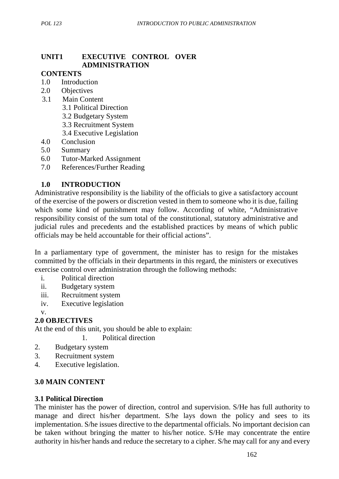# **UNIT1 EXECUTIVE CONTROL OVER ADMINISTRATION**

### **CONTENTS**

- 1.0 Introduction
- 2.0 Objectives
- 3.1 Main Content
	- 3.1 Political Direction
	- 3.2 Budgetary System
	- 3.3 Recruitment System
	- 3.4 Executive Legislation
- 4.0 Conclusion
- 5.0 Summary
- 6.0 Tutor-Marked Assignment
- 7.0 References/Further Reading

## **1.0 INTRODUCTION**

Administrative responsibility is the liability of the officials to give a satisfactory account of the exercise of the powers or discretion vested in them to someone who it is due, failing which some kind of punishment may follow. According of white, "Administrative responsibility consist of the sum total of the constitutional, statutory administrative and judicial rules and precedents and the established practices by means of which public officials may be held accountable for their official actions".

In a parliamentary type of government, the minister has to resign for the mistakes committed by the officials in their departments in this regard, the ministers or executives exercise control over administration through the following methods:

- i. Political direction
- ii. Budgetary system
- iii. Recruitment system
- iv. Executive legislation

v.

# **2.0 OBJECTIVES**

At the end of this unit, you should be able to explain:

1. Political direction

- 2. Budgetary system
- 3. Recruitment system
- 4. Executive legislation.

## **3.0 MAIN CONTENT**

#### **3.1 Political Direction**

The minister has the power of direction, control and supervision. S/He has full authority to manage and direct his/her department. S/he lays down the policy and sees to its implementation. S/he issues directive to the departmental officials. No important decision can be taken without bringing the matter to his/her notice. S/He may concentrate the entire authority in his/her hands and reduce the secretary to a cipher. S/he may call for any and every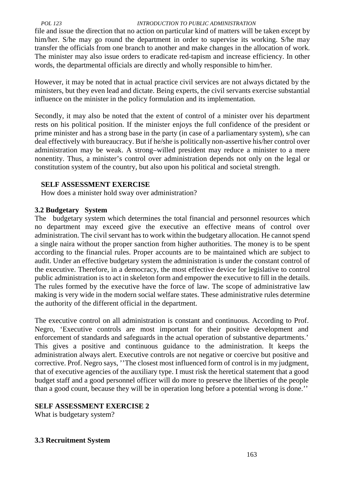file and issue the direction that no action on particular kind of matters will be taken except by him/her. S/he may go round the department in order to supervise its working. S/he may transfer the officials from one branch to another and make changes in the allocation of work. The minister may also issue orders to eradicate red-tapism and increase efficiency. In other words, the departmental officials are directly and wholly responsible to him/her.

However, it may be noted that in actual practice civil services are not always dictated by the ministers, but they even lead and dictate. Being experts, the civil servants exercise substantial influence on the minister in the policy formulation and its implementation.

Secondly, it may also be noted that the extent of control of a minister over his department rests on his political position. If the minister enjoys the full confidence of the president or prime minister and has a strong base in the party (in case of a parliamentary system), s/he can deal effectively with bureaucracy. But if he/she is politically non-assertive his/her control over administration may be weak. A strong–willed president may reduce a minister to a mere nonentity. Thus, a minister's control over administration depends not only on the legal or constitution system of the country, but also upon his political and societal strength.

## **SELF ASSESSMENT EXERCISE**

How does a minister hold sway over administration?

### **3.2 Budgetary System**

The budgetary system which determines the total financial and personnel resources which no department may exceed give the executive an effective means of control over administration. The civil servant has to work within the budgetary allocation. He cannot spend a single naira without the proper sanction from higher authorities. The money is to be spent according to the financial rules. Proper accounts are to be maintained which are subject to audit. Under an effective budgetary system the administration is under the constant control of the executive. Therefore, in a democracy, the most effective device for legislative to control public administration is to act in skeleton form and empower the executive to fill in the details. The rules formed by the executive have the force of law. The scope of administrative law making is very wide in the modern social welfare states. These administrative rules determine the authority of the different official in the department.

The executive control on all administration is constant and continuous. According to Prof. Negro, 'Executive controls are most important for their positive development and enforcement of standards and safeguards in the actual operation of substantive departments.' This gives a positive and continuous guidance to the administration. It keeps the administration always alert. Executive controls are not negative or coercive but positive and corrective. Prof. Negro says, ''The closest most influenced form of control is in my judgment, that of executive agencies of the auxiliary type. I must risk the heretical statement that a good budget staff and a good personnel officer will do more to preserve the liberties of the people than a good count, because they will be in operation long before a potential wrong is done.''

## **SELF ASSESSMENT EXERCISE 2**

What is budgetary system?

## **3.3 Recruitment System**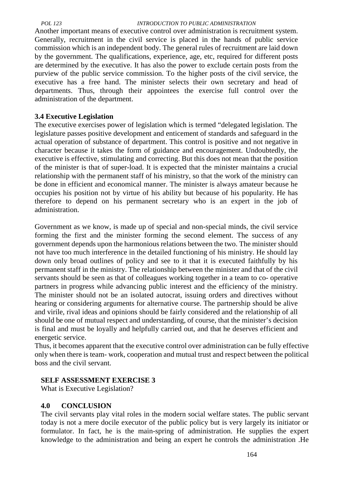Another important means of executive control over administration is recruitment system. Generally, recruitment in the civil service is placed in the hands of public service commission which is an independent body. The general rules of recruitment are laid down by the government. The qualifications, experience, age, etc, required for different posts are determined by the executive. It has also the power to exclude certain posts from the purview of the public service commission. To the higher posts of the civil service, the executive has a free hand. The minister selects their own secretary and head of departments. Thus, through their appointees the exercise full control over the administration of the department.

## **3.4 Executive Legislation**

The executive exercises power of legislation which is termed "delegated legislation. The legislature passes positive development and enticement of standards and safeguard in the actual operation of substance of department. This control is positive and not negative in character because it takes the form of guidance and encouragement. Undoubtedly, the executive is effective, stimulating and correcting. But this does not mean that the position of the minister is that of super-load. It is expected that the minister maintains a crucial relationship with the permanent staff of his ministry, so that the work of the ministry can be done in efficient and economical manner. The minister is always amateur because he occupies his position not by virtue of his ability but because of his popularity. He has therefore to depend on his permanent secretary who is an expert in the job of administration.

Government as we know, is made up of special and non-special minds, the civil service forming the first and the minister forming the second element. The success of any government depends upon the harmonious relations between the two. The minister should not have too much interference in the detailed functioning of his ministry. He should lay down only broad outlines of policy and see to it that it is executed faithfully by his permanent staff in the ministry. The relationship between the minister and that of the civil servants should be seen as that of colleagues working together in a team to co- operative partners in progress while advancing public interest and the efficiency of the ministry. The minister should not be an isolated autocrat, issuing orders and directives without hearing or considering arguments for alternative course. The partnership should be alive and virile, rival ideas and opinions should be fairly considered and the relationship of all should be one of mutual respect and understanding, of course, that the minister's decision is final and must be loyally and helpfully carried out, and that he deserves efficient and energetic service.

Thus, it becomes apparent that the executive control over administration can be fully effective only when there is team- work, cooperation and mutual trust and respect between the political boss and the civil servant.

## **SELF ASSESSMENT EXERCISE 3**

What is Executive Legislation?

## **4.0 CONCLUSION**

The civil servants play vital roles in the modern social welfare states. The public servant today is not a mere docile executor of the public policy but is very largely its initiator or formulator. In fact, he is the main-spring of administration. He supplies the expert knowledge to the administration and being an expert he controls the administration .He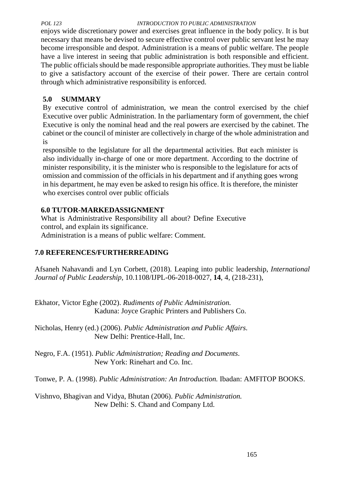enjoys wide discretionary power and exercises great influence in the body policy. It is but necessary that means be devised to secure effective control over public servant lest he may become irresponsible and despot. Administration is a means of public welfare. The people have a live interest in seeing that public administration is both responsible and efficient. The public officials should be made responsible appropriate authorities. They must be liable to give a satisfactory account of the exercise of their power. There are certain control through which administrative responsibility is enforced.

# **5.0 SUMMARY**

By executive control of administration, we mean the control exercised by the chief Executive over public Administration. In the parliamentary form of government, the chief Executive is only the nominal head and the real powers are exercised by the cabinet. The cabinet or the council of minister are collectively in charge of the whole administration and is

responsible to the legislature for all the departmental activities. But each minister is also individually in-charge of one or more department. According to the doctrine of minister responsibility, it is the minister who is responsible to the legislature for acts of omission and commission of the officials in his department and if anything goes wrong in his department, he may even be asked to resign his office. It is therefore, the minister who exercises control over public officials

# **6.0 TUTOR-MARKEDASSIGNMENT**

What is Administrative Responsibility all about? Define Executive control, and explain its significance. Administration is a means of public welfare: Comment.

# **7.0 REFERENCES/FURTHERREADING**

Afsaneh Nahavandi and Lyn Corbett, (2018). Leaping into public leadership, *International Journal of Public Leadership*, 10.1108/IJPL-06-2018-0027, **14**, 4, (218-231),

Ekhator, Victor Eghe (2002). *Rudiments of Public Administration.* Kaduna: Joyce Graphic Printers and Publishers Co.

Nicholas, Henry (ed.) (2006). *Public Administration and Public Affairs*. New Delhi: Prentice-Hall, Inc.

Negro, F.A. (1951). *Public Administration; Reading and Documents*. New York: Rinehart and Co. Inc.

Tonwe, P. A. (1998). *Public Administration: An Introduction.* Ibadan: AMFITOP BOOKS.

Vishnvo, Bhagivan and Vidya, Bhutan (2006). *Public Administration.* New Delhi: S. Chand and Company Ltd.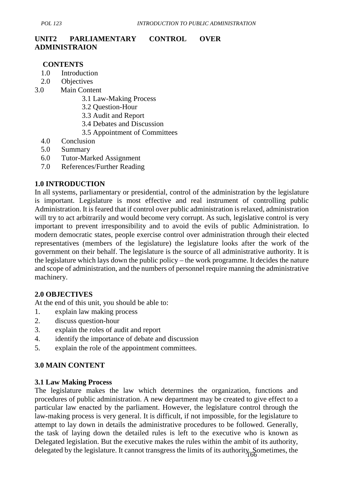# **UNIT2 PARLIAMENTARY CONTROL OVER ADMINISTRAION**

### **CONTENTS**

- 1.0 Introduction
- 2.0 Objectives
- 3.0 Main Content
	- 3.1 Law-Making Process
	- 3.2 Question-Hour
	- 3.3 Audit and Report
	- 3.4 Debates and Discussion
	- 3.5 Appointment of Committees
	- 4.0 Conclusion
	- 5.0 Summary
	- 6.0 Tutor-Marked Assignment
	- 7.0 References/Further Reading

## **1.0 INTRODUCTION**

In all systems, parliamentary or presidential, control of the administration by the legislature is important. Legislature is most effective and real instrument of controlling public Administration. It is feared that if control over public administration is relaxed, administration will try to act arbitrarily and would become very corrupt. As such, legislative control is very important to prevent irresponsibility and to avoid the evils of public Administration. Io modern democratic states, people exercise control over administration through their elected representatives (members of the legislature) the legislature looks after the work of the government on their behalf. The legislature is the source of all administrative authority. It is the legislature which lays down the public policy – the work programme. It decides the nature and scope of administration, and the numbers of personnel require manning the administrative machinery.

## **2.0 OBJECTIVES**

At the end of this unit, you should be able to:

- 1. explain law making process
- 2. discuss question-hour
- 3. explain the roles of audit and report
- 4. identify the importance of debate and discussion
- 5. explain the role of the appointment committees.

## **3.0 MAIN CONTENT**

#### **3.1 Law Making Process**

delegated by the legislature. It cannot transgress the limits of its authority. Sometimes, the The legislature makes the law which determines the organization, functions and procedures of public administration. A new department may be created to give effect to a particular law enacted by the parliament. However, the legislature control through the law-making process is very general. It is difficult, if not impossible, for the legislature to attempt to lay down in details the administrative procedures to be followed. Generally, the task of laying down the detailed rules is left to the executive who is known as Delegated legislation. But the executive makes the rules within the ambit of its authority,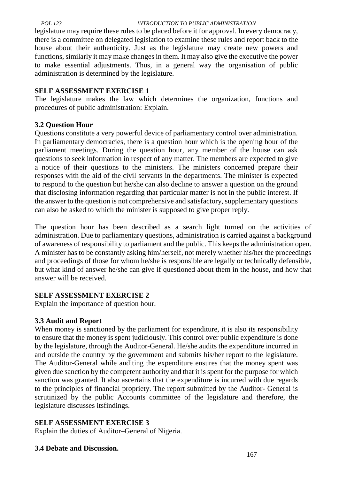legislature may require these rules to be placed before it for approval. In every democracy, there is a committee on delegated legislation to examine these rules and report back to the house about their authenticity. Just as the legislature may create new powers and functions, similarly it may make changes in them. It may also give the executive the power to make essential adjustments. Thus, in a general way the organisation of public administration is determined by the legislature.

## **SELF ASSESSMENT EXERCISE 1**

The legislature makes the law which determines the organization, functions and procedures of public administration: Explain.

# **3.2 Question Hour**

Questions constitute a very powerful device of parliamentary control over administration. In parliamentary democracies, there is a question hour which is the opening hour of the parliament meetings. During the question hour, any member of the house can ask questions to seek information in respect of any matter. The members are expected to give a notice of their questions to the ministers. The ministers concerned prepare their responses with the aid of the civil servants in the departments. The minister is expected to respond to the question but he/she can also decline to answer a question on the ground that disclosing information regarding that particular matter is not in the public interest. If the answer to the question is not comprehensive and satisfactory, supplementary questions can also be asked to which the minister is supposed to give proper reply.

The question hour has been described as a search light turned on the activities of administration. Due to parliamentary questions, administration is carried against a background of awareness of responsibility to parliament and the public. This keeps the administration open. A minister has to be constantly asking him/herself, not merely whether his/her the proceedings and proceedings of those for whom he/she is responsible are legally or technically defensible, but what kind of answer he/she can give if questioned about them in the house, and how that answer will be received.

# **SELF ASSESSMENT EXERCISE 2**

Explain the importance of question hour.

# **3.3 Audit and Report**

When money is sanctioned by the parliament for expenditure, it is also its responsibility to ensure that the money is spent judiciously. This control over public expenditure is done by the legislature, through the Auditor-General. He/she audits the expenditure incurred in and outside the country by the government and submits his/her report to the legislature. The Auditor-General while auditing the expenditure ensures that the money spent was given due sanction by the competent authority and that it is spent for the purpose for which sanction was granted. It also ascertains that the expenditure is incurred with due regards to the principles of financial propriety. The report submitted by the Auditor- General is scrutinized by the public Accounts committee of the legislature and therefore, the legislature discusses itsfindings.

# **SELF ASSESSMENT EXERCISE 3**

Explain the duties of Auditor–General of Nigeria.

# **3.4 Debate and Discussion.**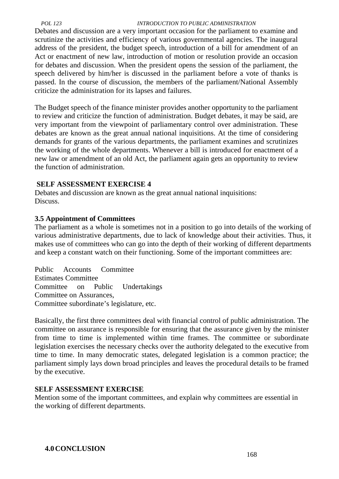Debates and discussion are a very important occasion for the parliament to examine and scrutinize the activities and efficiency of various governmental agencies. The inaugural address of the president, the budget speech, introduction of a bill for amendment of an Act or enactment of new law, introduction of motion or resolution provide an occasion for debates and discussion. When the president opens the session of the parliament, the speech delivered by him/her is discussed in the parliament before a vote of thanks is passed. In the course of discussion, the members of the parliament/National Assembly criticize the administration for its lapses and failures.

The Budget speech of the finance minister provides another opportunity to the parliament to review and criticize the function of administration. Budget debates, it may be said, are very important from the viewpoint of parliamentary control over administration. These debates are known as the great annual national inquisitions. At the time of considering demands for grants of the various departments, the parliament examines and scrutinizes the working of the whole departments. Whenever a bill is introduced for enactment of a new law or amendment of an old Act, the parliament again gets an opportunity to review the function of administration.

### **SELF ASSESSMENT EXERCISE 4**

Debates and discussion are known as the great annual national inquisitions: Discuss.

## **3.5 Appointment of Committees**

The parliament as a whole is sometimes not in a position to go into details of the working of various administrative departments, due to lack of knowledge about their activities. Thus, it makes use of committees who can go into the depth of their working of different departments and keep a constant watch on their functioning. Some of the important committees are:

Public Accounts Committee Estimates Committee Committee on Public Undertakings Committee on Assurances, Committee subordinate's legislature, etc.

Basically, the first three committees deal with financial control of public administration. The committee on assurance is responsible for ensuring that the assurance given by the minister from time to time is implemented within time frames. The committee or subordinate legislation exercises the necessary checks over the authority delegated to the executive from time to time. In many democratic states, delegated legislation is a common practice; the parliament simply lays down broad principles and leaves the procedural details to be framed by the executive.

## **SELF ASSESSMENT EXERCISE**

Mention some of the important committees, and explain why committees are essential in the working of different departments.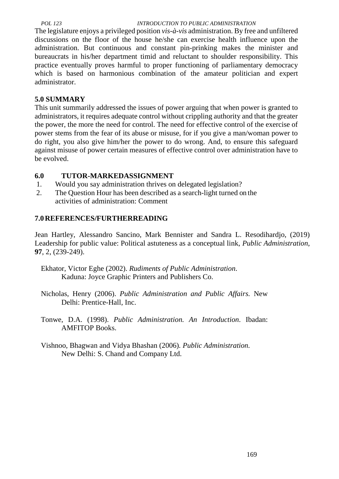The legislature enjoys a privileged position *vis-à-vis* administration. By free and unfiltered discussions on the floor of the house he/she can exercise health influence upon the administration. But continuous and constant pin-prinking makes the minister and bureaucrats in his/her department timid and reluctant to shoulder responsibility. This practice eventually proves harmful to proper functioning of parliamentary democracy which is based on harmonious combination of the amateur politician and expert administrator.

# **5.0 SUMMARY**

This unit summarily addressed the issues of power arguing that when power is granted to administrators, it requires adequate control without crippling authority and that the greater the power, the more the need for control. The need for effective control of the exercise of power stems from the fear of its abuse or misuse, for if you give a man/woman power to do right, you also give him/her the power to do wrong. And, to ensure this safeguard against misuse of power certain measures of effective control over administration have to be evolved.

## **6.0 TUTOR-MARKEDASSIGNMENT**

- 1. Would you say administration thrives on delegated legislation?
- 2. The Question Hour has been described as a search-light turned on the activities of administration: Comment

## **7.0REFERENCES/FURTHERREADING**

Jean Hartley, Alessandro Sancino, Mark Bennister and Sandra L. Resodihardjo, (2019) Leadership for public value: Political astuteness as a conceptual link, *Public Administration*, **97**, 2, (239-249).

- Ekhator, Victor Eghe (2002). *Rudiments of Public Administration*. Kaduna: Joyce Graphic Printers and Publishers Co.
- Nicholas, Henry (2006). *Public Administration and Public Affairs.* New Delhi: Prentice-Hall, Inc.
- Tonwe, D.A. (1998). *Public Administration. An Introduction*. Ibadan: AMFITOP Books.
- Vishnoo, Bhagwan and Vidya Bhashan (2006)*. Public Administration.* New Delhi: S. Chand and Company Ltd.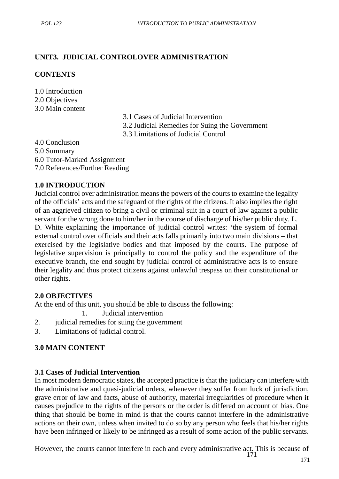# **UNIT3. JUDICIAL CONTROLOVER ADMINISTRATION**

## **CONTENTS**

1.0 Introduction 2.0 Objectives 3.0 Main content

- 3.1 Cases of Judicial Intervention
- 3.2 Judicial Remedies for Suing the Government
- 3.3 Limitations of Judicial Control

4.0 Conclusion

5.0 Summary

6.0 Tutor-Marked Assignment

7.0 References/Further Reading

## **1.0 INTRODUCTION**

Judicial control over administration means the powers of the courts to examine the legality of the officials' acts and the safeguard of the rights of the citizens. It also implies the right of an aggrieved citizen to bring a civil or criminal suit in a court of law against a public servant for the wrong done to him/her in the course of discharge of his/her public duty. L. D. White explaining the importance of judicial control writes: 'the system of formal external control over officials and their acts falls primarily into two main divisions – that exercised by the legislative bodies and that imposed by the courts. The purpose of legislative supervision is principally to control the policy and the expenditure of the executive branch, the end sought by judicial control of administrative acts is to ensure their legality and thus protect citizens against unlawful trespass on their constitutional or other rights.

# **2.0 OBJECTIVES**

At the end of this unit, you should be able to discuss the following:

1. Judicial intervention

- 2. judicial remedies for suing the government
- 3. Limitations of judicial control.

# **3.0 MAIN CONTENT**

# **3.1 Cases of Judicial Intervention**

In most modern democratic states, the accepted practice is that the judiciary can interfere with the administrative and quasi-judicial orders, whenever they suffer from luck of jurisdiction, grave error of law and facts, abuse of authority, material irregularities of procedure when it causes prejudice to the rights of the persons or the order is differed on account of bias. One thing that should be borne in mind is that the courts cannot interfere in the administrative actions on their own, unless when invited to do so by any person who feels that his/her rights have been infringed or likely to be infringed as a result of some action of the public servants.

171 However, the courts cannot interfere in each and every administrative act. This is because of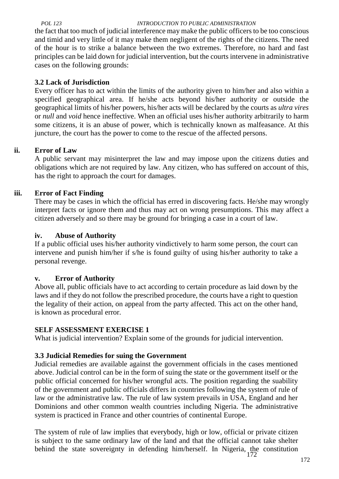the fact that too much of judicial interference may make the public officers to be too conscious and timid and very little of it may make them negligent of the rights of the citizens. The need of the hour is to strike a balance between the two extremes. Therefore, no hard and fast principles can be laid down for judicial intervention, but the courts intervene in administrative cases on the following grounds:

## **3.2 Lack of Jurisdiction**

Every officer has to act within the limits of the authority given to him/her and also within a specified geographical area. If he/she acts beyond his/her authority or outside the geographical limits of his/her powers, his/her acts will be declared by the courts as *ultra vires* or *null* and *void* hence ineffective. When an official uses his/her authority arbitrarily to harm some citizens, it is an abuse of power, which is technically known as malfeasance. At this juncture, the court has the power to come to the rescue of the affected persons.

## **ii. Error of Law**

A public servant may misinterpret the law and may impose upon the citizens duties and obligations which are not required by law. Any citizen, who has suffered on account of this, has the right to approach the court for damages.

## **iii. Error of Fact Finding**

There may be cases in which the official has erred in discovering facts. He/she may wrongly interpret facts or ignore them and thus may act on wrong presumptions. This may affect a citizen adversely and so there may be ground for bringing a case in a court of law.

## **iv. Abuse of Authority**

If a public official uses his/her authority vindictively to harm some person, the court can intervene and punish him/her if s/he is found guilty of using his/her authority to take a personal revenge.

## **v. Error of Authority**

Above all, public officials have to act according to certain procedure as laid down by the laws and if they do not follow the prescribed procedure, the courts have a right to question the legality of their action, on appeal from the party affected. This act on the other hand, is known as procedural error.

# **SELF ASSESSMENT EXERCISE 1**

What is judicial intervention? Explain some of the grounds for judicial intervention.

# **3.3 Judicial Remedies for suing the Government**

Judicial remedies are available against the government officials in the cases mentioned above. Judicial control can be in the form of suing the state or the government itself or the public official concerned for his/her wrongful acts. The position regarding the suability of the government and public officials differs in countries following the system of rule of law or the administrative law. The rule of law system prevails in USA, England and her Dominions and other common wealth countries including Nigeria. The administrative system is practiced in France and other countries of continental Europe.

172 The system of rule of law implies that everybody, high or low, official or private citizen is subject to the same ordinary law of the land and that the official cannot take shelter behind the state sovereignty in defending him/herself. In Nigeria, the constitution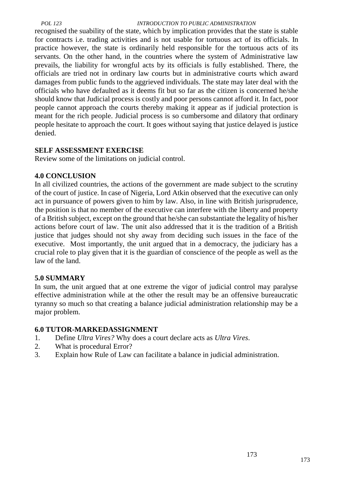recognised the suability of the state, which by implication provides that the state is stable for contracts i.e. trading activities and is not usable for tortuous act of its officials. In practice however, the state is ordinarily held responsible for the tortuous acts of its servants. On the other hand, in the countries where the system of Administrative law prevails, the liability for wrongful acts by its officials is fully established. There, the officials are tried not in ordinary law courts but in administrative courts which award damages from public funds to the aggrieved individuals. The state may later deal with the officials who have defaulted as it deems fit but so far as the citizen is concerned he/she should know that Judicial process is costly and poor persons cannot afford it. In fact, poor people cannot approach the courts thereby making it appear as if judicial protection is meant for the rich people. Judicial process is so cumbersome and dilatory that ordinary people hesitate to approach the court. It goes without saying that justice delayed is justice denied.

## **SELF ASSESSMENT EXERCISE**

Review some of the limitations on judicial control.

## **4.0 CONCLUSION**

In all civilized countries, the actions of the government are made subject to the scrutiny of the court of justice. In case of Nigeria, Lord Atkin observed that the executive can only act in pursuance of powers given to him by law. Also, in line with British jurisprudence, the position is that no member of the executive can interfere with the liberty and property of a British subject, except on the ground that he/she can substantiate the legality of his/her actions before court of law. The unit also addressed that it is the tradition of a British justice that judges should not shy away from deciding such issues in the face of the executive. Most importantly, the unit argued that in a democracy, the judiciary has a crucial role to play given that it is the guardian of conscience of the people as well as the law of the land.

## **5.0 SUMMARY**

In sum, the unit argued that at one extreme the vigor of judicial control may paralyse effective administration while at the other the result may be an offensive bureaucratic tyranny so much so that creating a balance judicial administration relationship may be a major problem.

## **6.0 TUTOR-MARKEDASSIGNMENT**

- 1. Define *Ultra Vires?* Why does a court declare acts as *Ultra Vires*.
- 2. What is procedural Error?
- 3. Explain how Rule of Law can facilitate a balance in judicial administration.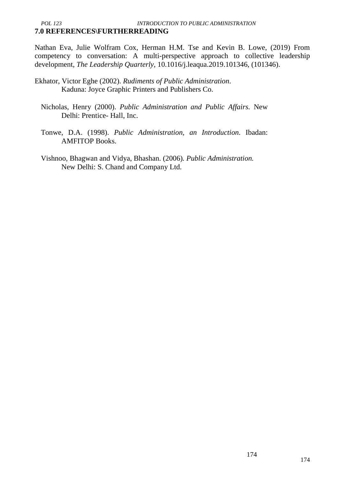Nathan Eva, Julie Wolfram Cox, Herman H.M. Tse and Kevin B. Lowe, (2019) From competency to conversation: A multi-perspective approach to collective leadership development, *The Leadership Quarterly*, 10.1016/j.leaqua.2019.101346, (101346).

- Ekhator, Victor Eghe (2002). *Rudiments of Public Administration*. Kaduna: Joyce Graphic Printers and Publishers Co.
	- Nicholas, Henry (2000). *Public Administration and Public Affairs.* New Delhi: Prentice- Hall, Inc.
	- Tonwe, D.A. (1998). *Public Administration, an Introduction*. Ibadan: AMFITOP Books.
	- Vishnoo, Bhagwan and Vidya, Bhashan. (2006)*. Public Administration.* New Delhi: S. Chand and Company Ltd.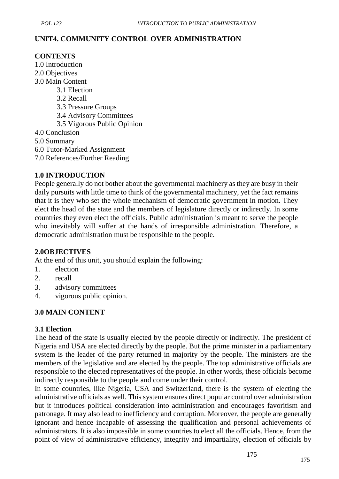## **UNIT4. COMMUNITY CONTROL OVER ADMINISTRATION**

## **CONTENTS**

- 1.0 Introduction
- 2.0 Objectives
- 3.0 Main Content
	- 3.1 Election
	- 3.2 Recall
	- 3.3 Pressure Groups
	- 3.4 Advisory Committees
	- 3.5 Vigorous Public Opinion
- 4.0 Conclusion
- 5.0 Summary
- 6.0 Tutor-Marked Assignment
- 7.0 References/Further Reading

## **1.0 INTRODUCTION**

People generally do not bother about the governmental machinery as they are busy in their daily pursuits with little time to think of the governmental machinery, yet the fact remains that it is they who set the whole mechanism of democratic government in motion. They elect the head of the state and the members of legislature directly or indirectly. In some countries they even elect the officials. Public administration is meant to serve the people who inevitably will suffer at the hands of irresponsible administration. Therefore, a democratic administration must be responsible to the people.

## **2.0OBJECTIVES**

At the end of this unit, you should explain the following:

- 1. election
- 2. recall
- 3. advisory committees
- 4. vigorous public opinion.

# **3.0 MAIN CONTENT**

## **3.1 Election**

The head of the state is usually elected by the people directly or indirectly. The president of Nigeria and USA are elected directly by the people. But the prime minister in a parliamentary system is the leader of the party returned in majority by the people. The ministers are the members of the legislative and are elected by the people. The top administrative officials are responsible to the elected representatives of the people. In other words, these officials become indirectly responsible to the people and come under their control.

In some countries, like Nigeria, USA and Switzerland, there is the system of electing the administrative officials as well. This system ensures direct popular control over administration but it introduces political consideration into administration and encourages favoritism and patronage. It may also lead to inefficiency and corruption. Moreover, the people are generally ignorant and hence incapable of assessing the qualification and personal achievements of administrators. It is also impossible in some countries to elect all the officials. Hence, from the point of view of administrative efficiency, integrity and impartiality, election of officials by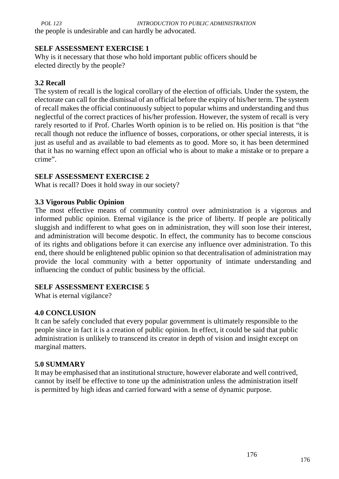the people is undesirable and can hardly be advocated.

## **SELF ASSESSMENT EXERCISE 1**

Why is it necessary that those who hold important public officers should be elected directly by the people?

# **3.2 Recall**

The system of recall is the logical corollary of the election of officials. Under the system, the electorate can call for the dismissal of an official before the expiry of his/her term. The system of recall makes the official continuously subject to popular whims and understanding and thus neglectful of the correct practices of his/her profession. However, the system of recall is very rarely resorted to if Prof. Charles Worth opinion is to be relied on. His position is that "the recall though not reduce the influence of bosses, corporations, or other special interests, it is just as useful and as available to bad elements as to good. More so, it has been determined that it has no warning effect upon an official who is about to make a mistake or to prepare a crime".

# **SELF ASSESSMENT EXERCISE 2**

What is recall? Does it hold sway in our society?

## **3.3 Vigorous Public Opinion**

The most effective means of community control over administration is a vigorous and informed public opinion. Eternal vigilance is the price of liberty. If people are politically sluggish and indifferent to what goes on in administration, they will soon lose their interest, and administration will become despotic. In effect, the community has to become conscious of its rights and obligations before it can exercise any influence over administration. To this end, there should be enlightened public opinion so that decentralisation of administration may provide the local community with a better opportunity of intimate understanding and influencing the conduct of public business by the official.

# **SELF ASSESSMENT EXERCISE 5**

What is eternal vigilance?

# **4.0 CONCLUSION**

It can be safely concluded that every popular government is ultimately responsible to the people since in fact it is a creation of public opinion. In effect, it could be said that public administration is unlikely to transcend its creator in depth of vision and insight except on marginal matters.

## **5.0 SUMMARY**

It may be emphasised that an institutional structure, however elaborate and well contrived, cannot by itself be effective to tone up the administration unless the administration itself is permitted by high ideas and carried forward with a sense of dynamic purpose.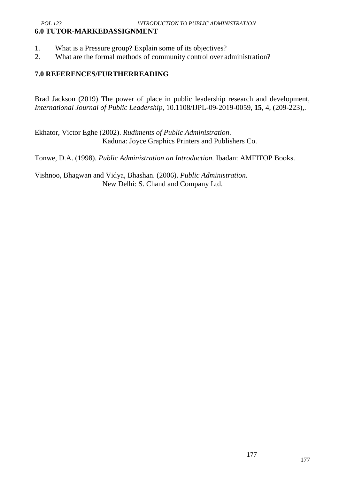## *POL 123 INTRODUCTION TO PUBLIC ADMINISTRATION* **6.0 TUTOR-MARKEDASSIGNMENT**

- 1. What is a Pressure group? Explain some of its objectives?
- 2. What are the formal methods of community control over administration?

## **7.0 REFERENCES/FURTHERREADING**

Brad Jackson (2019) The power of place in public leadership research and development, *International Journal of Public Leadership*, 10.1108/IJPL-09-2019-0059, **15**, 4, (209-223),.

Ekhator, Victor Eghe (2002). *Rudiments of Public Administration*. Kaduna: Joyce Graphics Printers and Publishers Co.

Tonwe, D.A. (1998). *Public Administration an Introduction.* Ibadan: AMFITOP Books.

Vishnoo, Bhagwan and Vidya, Bhashan. (2006). *Public Administration.* New Delhi: S. Chand and Company Ltd.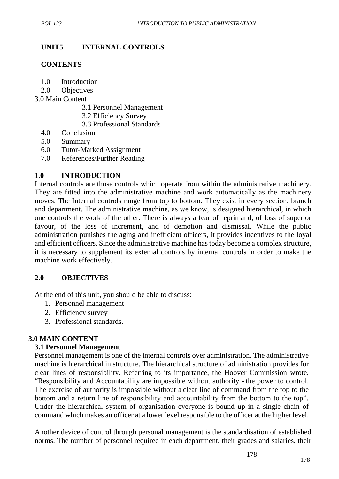# **UNIT5 INTERNAL CONTROLS**

## **CONTENTS**

- 1.0 Introduction
- 2.0 Objectives
- 3.0 Main Content
	- 3.1 Personnel Management
	- 3.2 Efficiency Survey
	- 3.3 Professional Standards
	- 4.0 Conclusion
	- 5.0 Summary
	- 6.0 Tutor-Marked Assignment
	- 7.0 References/Further Reading

## **1.0 INTRODUCTION**

Internal controls are those controls which operate from within the administrative machinery. They are fitted into the administrative machine and work automatically as the machinery moves. The Internal controls range from top to bottom. They exist in every section, branch and department. The administrative machine, as we know, is designed hierarchical, in which one controls the work of the other. There is always a fear of reprimand, of loss of superior favour, of the loss of increment, and of demotion and dismissal. While the public administration punishes the aging and inefficient officers, it provides incentives to the loyal and efficient officers. Since the administrative machine has today become a complex structure, it is necessary to supplement its external controls by internal controls in order to make the machine work effectively.

## **2.0 OBJECTIVES**

At the end of this unit, you should be able to discuss:

- 1. Personnel management
- 2. Efficiency survey
- 3. Professional standards.

# **3.0 MAIN CONTENT**

## **3.1 Personnel Management**

Personnel management is one of the internal controls over administration. The administrative machine is hierarchical in structure. The hierarchical structure of administration provides for clear lines of responsibility. Referring to its importance, the Hoover Commission wrote, "Responsibility and Accountability are impossible without authority - the power to control. The exercise of authority is impossible without a clear line of command from the top to the bottom and a return line of responsibility and accountability from the bottom to the top". Under the hierarchical system of organisation everyone is bound up in a single chain of command which makes an officer at a lower level responsible to the officer at the higher level.

Another device of control through personal management is the standardisation of established norms. The number of personnel required in each department, their grades and salaries, their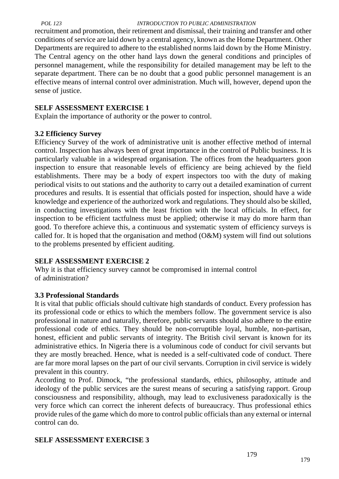recruitment and promotion, their retirement and dismissal, their training and transfer and other conditions of service are laid down by a central agency, known as the Home Department. Other Departments are required to adhere to the established norms laid down by the Home Ministry. The Central agency on the other hand lays down the general conditions and principles of personnel management, while the responsibility for detailed management may be left to the separate department. There can be no doubt that a good public personnel management is an effective means of internal control over administration. Much will, however, depend upon the sense of justice.

## **SELF ASSESSMENT EXERCISE 1**

Explain the importance of authority or the power to control.

## **3.2 Efficiency Survey**

Efficiency Survey of the work of administrative unit is another effective method of internal control. Inspection has always been of great importance in the control of Public business. It is particularly valuable in a widespread organisation. The offices from the headquarters goon inspection to ensure that reasonable levels of efficiency are being achieved by the field establishments. There may be a body of expert inspectors too with the duty of making periodical visits to out stations and the authority to carry out a detailed examination of current procedures and results. It is essential that officials posted for inspection, should have a wide knowledge and experience of the authorized work and regulations. They should also be skilled, in conducting investigations with the least friction with the local officials. In effect, for inspection to be efficient tactfulness must be applied; otherwise it may do more harm than good. To therefore achieve this, a continuous and systematic system of efficiency surveys is called for. It is hoped that the organisation and method (O&M) system will find out solutions to the problems presented by efficient auditing.

# **SELF ASSESSMENT EXERCISE 2**

Why it is that efficiency survey cannot be compromised in internal control of administration?

# **3.3 Professional Standards**

It is vital that public officials should cultivate high standards of conduct. Every profession has its professional code or ethics to which the members follow. The government service is also professional in nature and naturally, therefore, public servants should also adhere to the entire professional code of ethics. They should be non-corruptible loyal, humble, non-partisan, honest, efficient and public servants of integrity. The British civil servant is known for its administrative ethics. In Nigeria there is a voluminous code of conduct for civil servants but they are mostly breached. Hence, what is needed is a self-cultivated code of conduct. There are far more moral lapses on the part of our civil servants. Corruption in civil service is widely prevalent in this country.

According to Prof. Dimock, "the professional standards, ethics, philosophy, attitude and ideology of the public services are the surest means of securing a satisfying rapport. Group consciousness and responsibility, although, may lead to exclusiveness paradoxically is the very force which can correct the inherent defects of bureaucracy. Thus professional ethics provide rules of the game which do more to control public officials than any external or internal control can do.

# **SELF ASSESSMENT EXERCISE 3**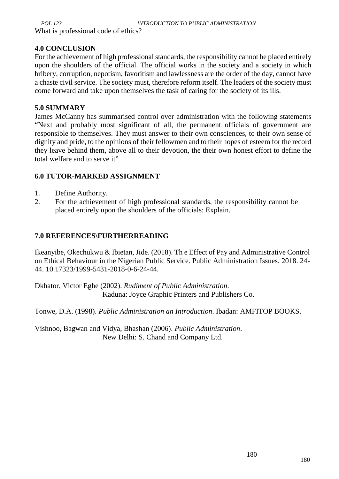What is professional code of ethics?

## **4.0 CONCLUSION**

For the achievement of high professional standards, the responsibility cannot be placed entirely upon the shoulders of the official. The official works in the society and a society in which bribery, corruption, nepotism, favoritism and lawlessness are the order of the day, cannot have a chaste civil service. The society must, therefore reform itself. The leaders of the society must come forward and take upon themselves the task of caring for the society of its ills.

## **5.0 SUMMARY**

James McCanny has summarised control over administration with the following statements "Next and probably most significant of all, the permanent officials of government are responsible to themselves. They must answer to their own consciences, to their own sense of dignity and pride, to the opinions of their fellowmen and to their hopes of esteem for the record they leave behind them, above all to their devotion, the their own honest effort to define the total welfare and to serve it"

# **6.0 TUTOR-MARKED ASSIGNMENT**

- 1. Define Authority.
- 2. For the achievement of high professional standards, the responsibility cannot be placed entirely upon the shoulders of the officials: Explain.

# **7.0 REFERENCES\FURTHERREADING**

Ikeanyibe, Okechukwu & Ibietan, Jide. (2018). Th e Effect of Pay and Administrative Control on Ethical Behaviour in the Nigerian Public Service. Public Administration Issues. 2018. 24- 44. 10.17323/1999-5431-2018-0-6-24-44.

Dkhator, Victor Eghe (2002). *Rudiment of Public Administration*. Kaduna: Joyce Graphic Printers and Publishers Co.

Tonwe, D.A. (1998). *Public Administration an Introduction*. Ibadan: AMFITOP BOOKS.

Vishnoo, Bagwan and Vidya, Bhashan (2006). *Public Administration*. New Delhi: S. Chand and Company Ltd.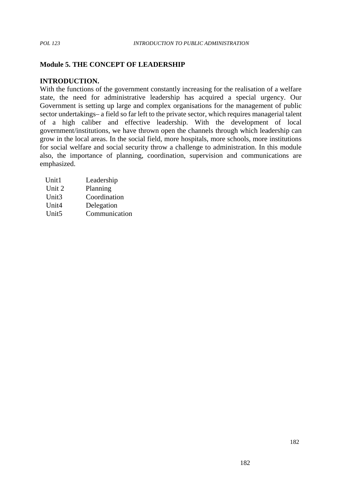## **Module 5. THE CONCEPT OF LEADERSHIP**

#### **INTRODUCTION.**

With the functions of the government constantly increasing for the realisation of a welfare state, the need for administrative leadership has acquired a special urgency. Our Government is setting up large and complex organisations for the management of public sector undertakings– a field so far left to the private sector, which requires managerial talent of a high caliber and effective leadership. With the development of local government/institutions, we have thrown open the channels through which leadership can grow in the local areas. In the social field, more hospitals, more schools, more institutions for social welfare and social security throw a challenge to administration. In this module also, the importance of planning, coordination, supervision and communications are emphasized.

| Leadership    |
|---------------|
| Planning      |
| Coordination  |
| Delegation    |
| Communication |
|               |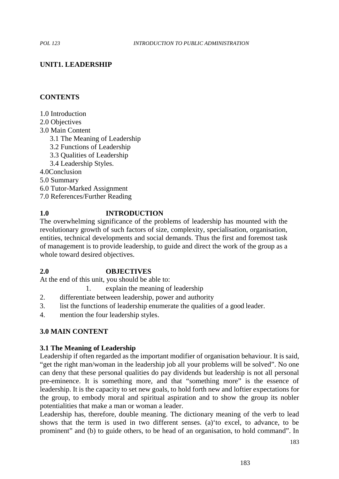# **UNIT1. LEADERSHIP**

## **CONTENTS**

1.0 Introduction

2.0 Objectives

3.0 Main Content

3.1 The Meaning of Leadership

- 3.2 Functions of Leadership
- 3.3 Qualities of Leadership

3.4 Leadership Styles.

4.0Conclusion

5.0 Summary

6.0 Tutor-Marked Assignment

7.0 References/Further Reading

## **1.0 INTRODUCTION**

The overwhelming significance of the problems of leadership has mounted with the revolutionary growth of such factors of size, complexity, specialisation, organisation, entities, technical developments and social demands. Thus the first and foremost task of management is to provide leadership, to guide and direct the work of the group as a whole toward desired objectives.

## **2.0 OBJECTIVES**

At the end of this unit, you should be able to:

- 1. explain the meaning of leadership
- 2. differentiate between leadership, power and authority
- 3. list the functions of leadership enumerate the qualities of a good leader.
- 4. mention the four leadership styles.

## **3.0 MAIN CONTENT**

## **3.1 The Meaning of Leadership**

Leadership if often regarded as the important modifier of organisation behaviour. It is said, "get the right man/woman in the leadership job all your problems will be solved". No one can deny that these personal qualities do pay dividends but leadership is not all personal pre-eminence. It is something more, and that "something more" is the essence of leadership. It is the capacity to set new goals, to hold forth new and loftier expectations for the group, to embody moral and spiritual aspiration and to show the group its nobler potentialities that make a man or woman a leader.

Leadership has, therefore, double meaning. The dictionary meaning of the verb to lead shows that the term is used in two different senses. (a)'to excel, to advance, to be prominent" and (b) to guide others, to be head of an organisation, to hold command". In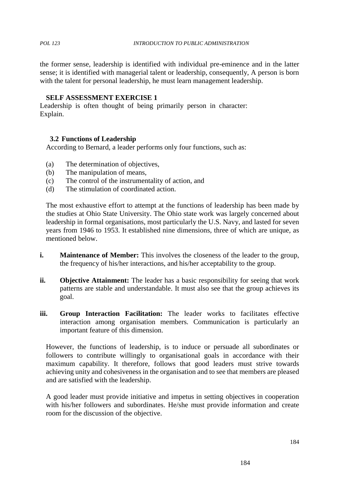the former sense, leadership is identified with individual pre-eminence and in the latter sense; it is identified with managerial talent or leadership, consequently, A person is born with the talent for personal leadership, he must learn management leadership.

## **SELF ASSESSMENT EXERCISE 1**

Leadership is often thought of being primarily person in character: Explain.

## **3.2 Functions of Leadership**

According to Bernard, a leader performs only four functions, such as:

- (a) The determination of objectives,
- (b) The manipulation of means,
- (c) The control of the instrumentality of action, and
- (d) The stimulation of coordinated action.

The most exhaustive effort to attempt at the functions of leadership has been made by the studies at Ohio State University. The Ohio state work was largely concerned about leadership in formal organisations, most particularly the U.S. Navy, and lasted for seven years from 1946 to 1953. It established nine dimensions, three of which are unique, as mentioned below.

- **i. Maintenance of Member:** This involves the closeness of the leader to the group, the frequency of his/her interactions, and his/her acceptability to the group.
- **ii. Objective Attainment:** The leader has a basic responsibility for seeing that work patterns are stable and understandable. It must also see that the group achieves its goal.
- **iii. Group Interaction Facilitation:** The leader works to facilitates effective interaction among organisation members. Communication is particularly an important feature of this dimension.

However, the functions of leadership, is to induce or persuade all subordinates or followers to contribute willingly to organisational goals in accordance with their maximum capability. It therefore, follows that good leaders must strive towards achieving unity and cohesiveness in the organisation and to see that members are pleased and are satisfied with the leadership.

A good leader must provide initiative and impetus in setting objectives in cooperation with his/her followers and subordinates. He/she must provide information and create room for the discussion of the objective.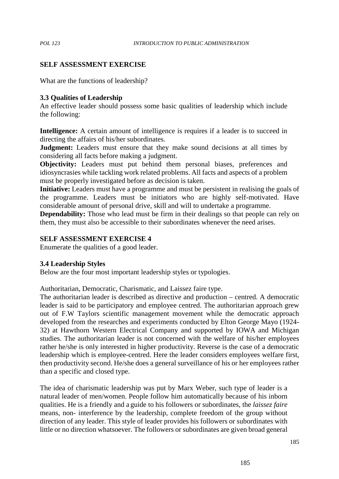## **SELF ASSESSMENT EXERCISE**

What are the functions of leadership?

### **3.3 Qualities of Leadership**

An effective leader should possess some basic qualities of leadership which include the following:

**Intelligence:** A certain amount of intelligence is requires if a leader is to succeed in directing the affairs of his/her subordinates.

**Judgment:** Leaders must ensure that they make sound decisions at all times by considering all facts before making a judgment.

**Objectivity:** Leaders must put behind them personal biases, preferences and idiosyncrasies while tackling work related problems. All facts and aspects of a problem must be properly investigated before as decision is taken.

**Initiative:** Leaders must have a programme and must be persistent in realising the goals of the programme. Leaders must be initiators who are highly self-motivated. Have considerable amount of personal drive, skill and will to undertake a programme.

**Dependability:** Those who lead must be firm in their dealings so that people can rely on them, they must also be accessible to their subordinates whenever the need arises.

## **SELF ASSESSMENT EXERCISE 4**

Enumerate the qualities of a good leader.

### **3.4 Leadership Styles**

Below are the four most important leadership styles or typologies.

Authoritarian, Democratic, Charismatic, and Laissez faire type.

The authoritarian leader is described as directive and production – centred. A democratic leader is said to be participatory and employee centred. The authoritarian approach grew out of F.W Taylors scientific management movement while the democratic approach developed from the researches and experiments conducted by Elton George Mayo (1924- 32) at Hawthorn Western Electrical Company and supported by IOWA and Michigan studies. The authoritarian leader is not concerned with the welfare of his/her employees rather he/she is only interested in higher productivity. Reverse is the case of a democratic leadership which is employee-centred. Here the leader considers employees welfare first, then productivity second. He/she does a general surveillance of his or her employees rather than a specific and closed type.

The idea of charismatic leadership was put by Marx Weber, such type of leader is a natural leader of men/women. People follow him automatically because of his inborn qualities. He is a friendly and a guide to his followers or subordinates, the *laissez faire* means, non- interference by the leadership, complete freedom of the group without direction of any leader. This style of leader provides his followers or subordinates with little or no direction whatsoever. The followers or subordinates are given broad general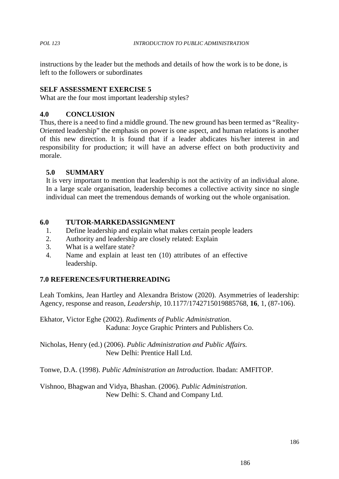instructions by the leader but the methods and details of how the work is to be done, is left to the followers or subordinates

## **SELF ASSESSMENT EXERCISE 5**

What are the four most important leadership styles?

## **4.0 CONCLUSION**

Thus, there is a need to find a middle ground. The new ground has been termed as "Reality- Oriented leadership" the emphasis on power is one aspect, and human relations is another of this new direction. It is found that if a leader abdicates his/her interest in and responsibility for production; it will have an adverse effect on both productivity and morale.

### **5.0 SUMMARY**

It is very important to mention that leadership is not the activity of an individual alone. In a large scale organisation, leadership becomes a collective activity since no single individual can meet the tremendous demands of working out the whole organisation.

### **6.0 TUTOR-MARKEDASSIGNMENT**

- 1. Define leadership and explain what makes certain people leaders
- 2. Authority and leadership are closely related: Explain
- 3. What is a welfare state?
- 4. Name and explain at least ten (10) attributes of an effective leadership.

## **7.0 REFERENCES/FURTHERREADING**

Leah Tomkins, Jean Hartley and Alexandra Bristow (2020). Asymmetries of leadership: Agency, response and reason, *Leadership*, 10.1177/1742715019885768, **16**, 1, (87-106).

Ekhator, Victor Eghe (2002). *Rudiments of Public Administration*. Kaduna: Joyce Graphic Printers and Publishers Co.

Nicholas, Henry (ed.) (2006). *Public Administration and Public Affairs.* New Delhi: Prentice Hall Ltd.

Tonwe, D.A. (1998). *Public Administration an Introduction.* Ibadan: AMFITOP.

Vishnoo, Bhagwan and Vidya, Bhashan. (2006). *Public Administration*. New Delhi: S. Chand and Company Ltd.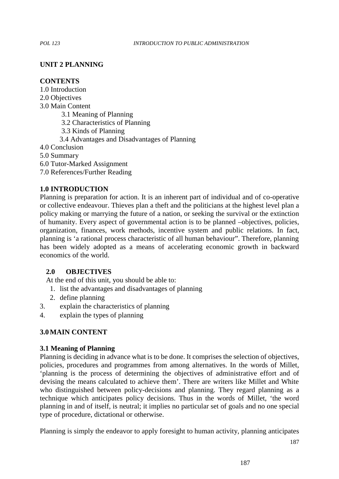# **UNIT 2 PLANNING**

## **CONTENTS**

1.0 Introduction

2.0 Objectives

3.0 Main Content

3.1 Meaning of Planning

3.2 Characteristics of Planning

3.3 Kinds of Planning

3.4 Advantages and Disadvantages of Planning

4.0 Conclusion

5.0 Summary

6.0 Tutor-Marked Assignment

7.0 References/Further Reading

# **1.0 INTRODUCTION**

Planning is preparation for action. It is an inherent part of individual and of co-operative or collective endeavour. Thieves plan a theft and the politicians at the highest level plan a policy making or marrying the future of a nation, or seeking the survival or the extinction of humanity. Every aspect of governmental action is to be planned –objectives, policies, organization, finances, work methods, incentive system and public relations. In fact, planning is 'a rational process characteristic of all human behaviour". Therefore, planning has been widely adopted as a means of accelerating economic growth in backward economics of the world.

## **2.0 OBJECTIVES**

At the end of this unit, you should be able to:

- 1. list the advantages and disadvantages of planning
- 2. define planning
- 3. explain the characteristics of planning
- 4. explain the types of planning

# **3.0MAIN CONTENT**

## **3.1 Meaning of Planning**

Planning is deciding in advance what is to be done. It comprises the selection of objectives, policies, procedures and programmes from among alternatives. In the words of Millet, 'planning is the process of determining the objectives of administrative effort and of devising the means calculated to achieve them'. There are writers like Millet and White who distinguished between policy-decisions and planning. They regard planning as a technique which anticipates policy decisions. Thus in the words of Millet, 'the word planning in and of itself, is neutral; it implies no particular set of goals and no one special type of procedure, dictational or otherwise.

Planning is simply the endeavor to apply foresight to human activity, planning anticipates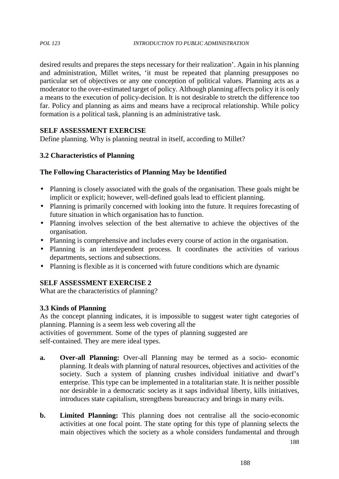desired results and prepares the steps necessary for their realization'. Again in his planning and administration, Millet writes, 'it must be repeated that planning presupposes no particular set of objectives or any one conception of political values. Planning acts as a moderator to the over-estimated target of policy. Although planning affects policy it is only a means to the execution of policy-decision. It is not desirable to stretch the difference too far. Policy and planning as aims and means have a reciprocal relationship. While policy formation is a political task, planning is an administrative task.

## **SELF ASSESSMENT EXERCISE**

Define planning. Why is planning neutral in itself, according to Millet?

# **3.2 Characteristics of Planning**

# **The Following Characteristics of Planning May be Identified**

- Planning is closely associated with the goals of the organisation. These goals might be implicit or explicit; however, well-defined goals lead to efficient planning.
- Planning is primarily concerned with looking into the future. It requires forecasting of future situation in which organisation has to function.
- Planning involves selection of the best alternative to achieve the objectives of the organisation.
- Planning is comprehensive and includes every course of action in the organisation.
- Planning is an interdependent process. It coordinates the activities of various departments, sections and subsections.
- Planning is flexible as it is concerned with future conditions which are dynamic

# **SELF ASSESSMENT EXERCISE 2**

What are the characteristics of planning?

# **3.3 Kinds of Planning**

As the concept planning indicates, it is impossible to suggest water tight categories of planning. Planning is a seem less web covering all the activities of government. Some of the types of planning suggested are

self-contained. They are mere ideal types.

- **a. Over-all Planning:** Over-all Planning may be termed as a socio- economic planning. It deals with planning of natural resources, objectives and activities of the society. Such a system of planning crushes individual initiative and dwarf's enterprise. This type can be implemented in a totalitarian state. It is neither possible nor desirable in a democratic society as it saps individual liberty, kills initiatives, introduces state capitalism, strengthens bureaucracy and brings in many evils.
- **b. Limited Planning:** This planning does not centralise all the socio-economic activities at one focal point. The state opting for this type of planning selects the main objectives which the society as a whole considers fundamental and through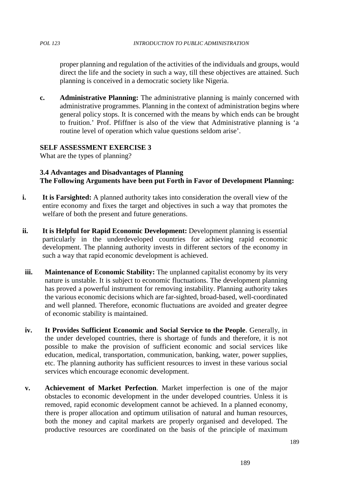proper planning and regulation of the activities of the individuals and groups, would direct the life and the society in such a way, till these objectives are attained. Such planning is conceived in a democratic society like Nigeria.

**c. Administrative Planning:** The administrative planning is mainly concerned with administrative programmes. Planning in the context of administration begins where general policy stops. It is concerned with the means by which ends can be brought to fruition.' Prof. Pfiffner is also of the view that Administrative planning is 'a routine level of operation which value questions seldom arise'.

# **SELF ASSESSMENT EXERCISE 3**

What are the types of planning?

## **3.4 Advantages and Disadvantages of Planning The Following Arguments have been put Forth in Favor of Development Planning:**

- **i. It is Farsighted:** A planned authority takes into consideration the overall view of the entire economy and fixes the target and objectives in such a way that promotes the welfare of both the present and future generations.
- **ii. It is Helpful for Rapid Economic Development:** Development planning is essential particularly in the underdeveloped countries for achieving rapid economic development. The planning authority invests in different sectors of the economy in such a way that rapid economic development is achieved.
- **iii. Maintenance of Economic Stability:** The unplanned capitalist economy by its very nature is unstable. It is subject to economic fluctuations. The development planning has proved a powerful instrument for removing instability. Planning authority takes the various economic decisions which are far-sighted, broad-based, well-coordinated and well planned. Therefore, economic fluctuations are avoided and greater degree of economic stability is maintained.
- **iv. It Provides Sufficient Economic and Social Service to the People**. Generally, in the under developed countries, there is shortage of funds and therefore, it is not possible to make the provision of sufficient economic and social services like education, medical, transportation, communication, banking, water, power supplies, etc. The planning authority has sufficient resources to invest in these various social services which encourage economic development.
- **v. Achievement of Market Perfection**. Market imperfection is one of the major obstacles to economic development in the under developed countries. Unless it is removed, rapid economic development cannot be achieved. In a planned economy, there is proper allocation and optimum utilisation of natural and human resources, both the money and capital markets are properly organised and developed. The productive resources are coordinated on the basis of the principle of maximum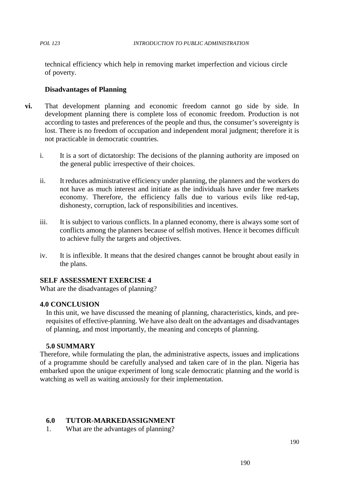technical efficiency which help in removing market imperfection and vicious circle of poverty.

## **Disadvantages of Planning**

- **vi.** That development planning and economic freedom cannot go side by side. In development planning there is complete loss of economic freedom. Production is not according to tastes and preferences of the people and thus, the consumer's sovereignty is lost. There is no freedom of occupation and independent moral judgment; therefore it is not practicable in democratic countries.
	- i. It is a sort of dictatorship: The decisions of the planning authority are imposed on the general public irrespective of their choices.
	- ii. It reduces administrative efficiency under planning, the planners and the workers do not have as much interest and initiate as the individuals have under free markets economy. Therefore, the efficiency falls due to various evils like red-tap, dishonesty, corruption, lack of responsibilities and incentives.
	- iii. It is subject to various conflicts. In a planned economy, there is always some sort of conflicts among the planners because of selfish motives. Hence it becomes difficult to achieve fully the targets and objectives.
	- iv. It is inflexible. It means that the desired changes cannot be brought about easily in the plans.

## **SELF ASSESSMENT EXERCISE 4**

What are the disadvantages of planning?

### **4.0 CONCLUSION**

In this unit, we have discussed the meaning of planning, characteristics, kinds, and prerequisites of effective-planning. We have also dealt on the advantages and disadvantages of planning, and most importantly, the meaning and concepts of planning.

### **5.0 SUMMARY**

Therefore, while formulating the plan, the administrative aspects, issues and implications of a programme should be carefully analysed and taken care of in the plan. Nigeria has embarked upon the unique experiment of long scale democratic planning and the world is watching as well as waiting anxiously for their implementation.

### **6.0 TUTOR-MARKEDASSIGNMENT**

1. What are the advantages of planning?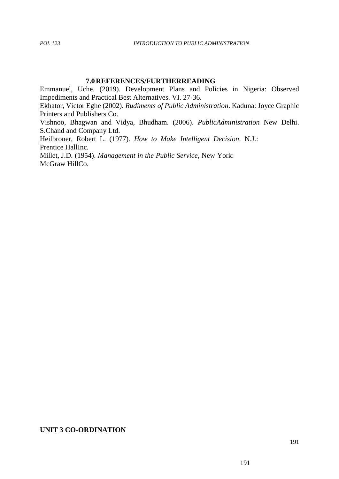## **7.0REFERENCES/FURTHERREADING**

Emmanuel, Uche. (2019). Development Plans and Policies in Nigeria: Observed Impediments and Practical Best Alternatives. VI. 27-36. Ekhator, Victor Eghe (2002). *Rudiments of Public Administration*. Kaduna: Joyce Graphic Printers and Publishers Co. Vishnoo, Bhagwan and Vidya, Bhudham. (2006). *PublicAdministration* New Delhi. S.Chand and Company Ltd. Heilbroner, Robert L. (1977). *How to Make Intelligent Decision*. N.J.: Prentice HallInc. Millet, J.D. (1954). *Management in the Public Service*, New York: McGraw HillCo.

### **UNIT 3 CO-ORDINATION**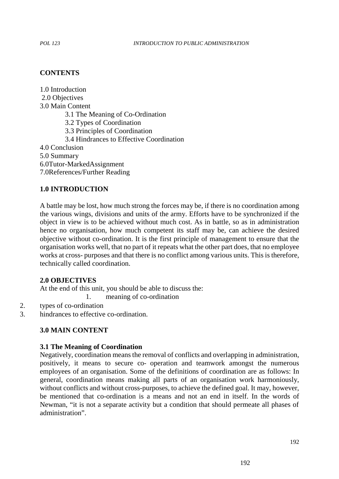## **CONTENTS**

1.0 Introduction 2.0 Objectives 3.0 Main Content 3.1 The Meaning of Co-Ordination 3.2 Types of Coordination 3.3 Principles of Coordination 3.4 Hindrances to Effective Coordination 4.0 Conclusion 5.0 Summary 6.0Tutor-MarkedAssignment 7.0References/Further Reading

### **1.0 INTRODUCTION**

A battle may be lost, how much strong the forces may be, if there is no coordination among the various wings, divisions and units of the army. Efforts have to be synchronized if the object in view is to be achieved without much cost. As in battle, so as in administration hence no organisation, how much competent its staff may be, can achieve the desired objective without co-ordination. It is the first principle of management to ensure that the organisation works well, that no part of it repeats what the other part does, that no employee works at cross- purposes and that there is no conflict among various units. This is therefore, technically called coordination.

### **2.0 OBJECTIVES**

At the end of this unit, you should be able to discuss the:

1. meaning of co-ordination

- 2. types of co-ordination
- 3. hindrances to effective co-ordination.

## **3.0 MAIN CONTENT**

### **3.1 The Meaning of Coordination**

Negatively, coordination means the removal of conflicts and overlapping in administration, positively, it means to secure co- operation and teamwork amongst the numerous employees of an organisation. Some of the definitions of coordination are as follows: In general, coordination means making all parts of an organisation work harmoniously, without conflicts and without cross-purposes, to achieve the defined goal. It may, however, be mentioned that co-ordination is a means and not an end in itself. In the words of Newman, "it is not a separate activity but a condition that should permeate all phases of administration".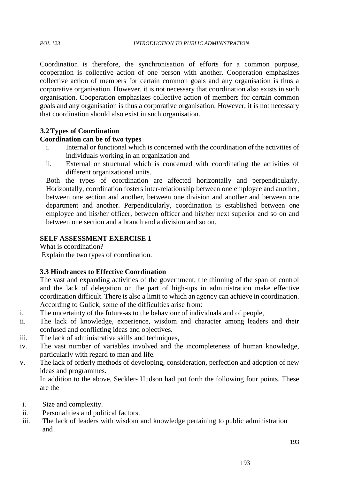Coordination is therefore, the synchronisation of efforts for a common purpose, cooperation is collective action of one person with another. Cooperation emphasizes collective action of members for certain common goals and any organisation is thus a corporative organisation. However, it is not necessary that coordination also exists in such organisation. Cooperation emphasizes collective action of members for certain common goals and any organisation is thus a corporative organisation. However, it is not necessary that coordination should also exist in such organisation.

## **3.2Types of Coordination**

## **Coordination can be of two types**

- i. Internal or functional which is concerned with the coordination of the activities of individuals working in an organization and
- ii. External or structural which is concerned with coordinating the activities of different organizational units.

Both the types of coordination are affected horizontally and perpendicularly. Horizontally, coordination fosters inter-relationship between one employee and another, between one section and another, between one division and another and between one department and another. Perpendicularly, coordination is established between one employee and his/her officer, between officer and his/her next superior and so on and between one section and a branch and a division and so on.

# **SELF ASSESSMENT EXERCISE 1**

What is coordination?

Explain the two types of coordination.

## **3.3 Hindrances to Effective Coordination**

The vast and expanding activities of the government, the thinning of the span of control and the lack of delegation on the part of high-ups in administration make effective coordination difficult. There is also a limit to which an agency can achieve in coordination. According to Gulick, some of the difficulties arise from:

- i. The uncertainty of the future-as to the behaviour of individuals and of people,
- ii. The lack of knowledge, experience, wisdom and character among leaders and their confused and conflicting ideas and objectives.
- iii. The lack of administrative skills and techniques,
- iv. The vast number of variables involved and the incompleteness of human knowledge, particularly with regard to man and life.
- v. The lack of orderly methods of developing, consideration, perfection and adoption of new ideas and programmes.

In addition to the above, Seckler- Hudson had put forth the following four points. These are the

- i. Size and complexity.
- ii. Personalities and political factors.
- iii. The lack of leaders with wisdom and knowledge pertaining to public administration and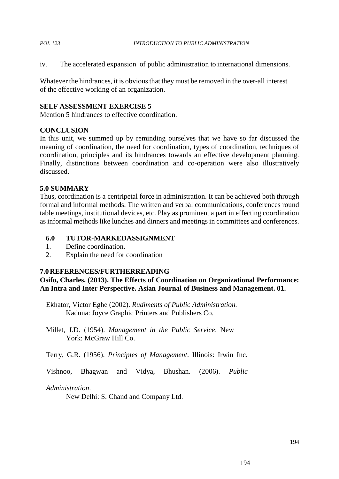iv. The accelerated expansion of public administration to international dimensions.

Whatever the hindrances, it is obvious that they must be removed in the over-all interest of the effective working of an organization.

### **SELF ASSESSMENT EXERCISE 5**

Mention 5 hindrances to effective coordination.

### **CONCLUSION**

In this unit, we summed up by reminding ourselves that we have so far discussed the meaning of coordination, the need for coordination, types of coordination, techniques of coordination, principles and its hindrances towards an effective development planning. Finally, distinctions between coordination and co-operation were also illustratively discussed.

### **5.0 SUMMARY**

Thus, coordination is a centripetal force in administration. It can be achieved both through formal and informal methods. The written and verbal communications, conferences round table meetings, institutional devices, etc. Play as prominent a part in effecting coordination as informal methods like lunches and dinners and meetings in committees and conferences.

- **6.0 TUTOR-MARKEDASSIGNMENT**
- 1. Define coordination.
- 2. Explain the need for coordination

### **7.0REFERENCES/FURTHERREADING**

**Osifo, Charles. (2013). The Effects of Coordination on Organizational Performance: An Intra and Inter Perspective. Asian Journal of Business and Management. 01.**

Ekhator, Victor Eghe (2002). *Rudiments of Public Administration.* Kaduna: Joyce Graphic Printers and Publishers Co.

Millet, J.D. (1954). *Management in the Public Service*. New York: McGraw Hill Co.

Terry, G.R. (1956). *Principles of Management*. Illinois: Irwin Inc.

Vishnoo, Bhagwan and Vidya, Bhushan. (2006). *Public*

### *Administration*.

New Delhi: S. Chand and Company Ltd.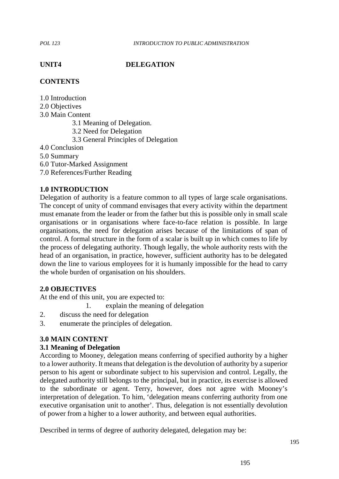## **UNIT4 DELEGATION**

# **CONTENTS**

1.0 Introduction 2.0 Objectives 3.0 Main Content 3.1 Meaning of Delegation. 3.2 Need for Delegation 3.3 General Principles of Delegation 4.0 Conclusion 5.0 Summary 6.0 Tutor-Marked Assignment 7.0 References/Further Reading

## **1.0 INTRODUCTION**

Delegation of authority is a feature common to all types of large scale organisations. The concept of unity of command envisages that every activity within the department must emanate from the leader or from the father but this is possible only in small scale organisations or in organisations where face-to-face relation is possible. In large organisations, the need for delegation arises because of the limitations of span of control. A formal structure in the form of a scalar is built up in which comes to life by the process of delegating authority. Though legally, the whole authority rests with the head of an organisation, in practice, however, sufficient authority has to be delegated down the line to various employees for it is humanly impossible for the head to carry the whole burden of organisation on his shoulders.

## **2.0 OBJECTIVES**

At the end of this unit, you are expected to:

1. explain the meaning of delegation

- 2. discuss the need for delegation
- 3. enumerate the principles of delegation.

## **3.0 MAIN CONTENT**

### **3.1 Meaning of Delegation**

According to Mooney, delegation means conferring of specified authority by a higher to a lower authority. It means that delegation is the devolution of authority by a superior person to his agent or subordinate subject to his supervision and control. Legally, the delegated authority still belongs to the principal, but in practice, its exercise is allowed to the subordinate or agent. Terry, however, does not agree with Mooney's interpretation of delegation. To him, 'delegation means conferring authority from one executive organisation unit to another'. Thus, delegation is not essentially devolution of power from a higher to a lower authority, and between equal authorities.

Described in terms of degree of authority delegated, delegation may be: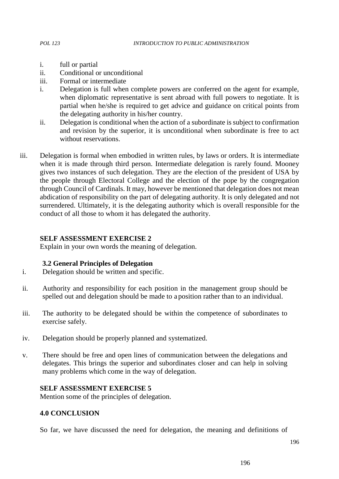- 
- i. full or partial
- ii. Conditional or unconditional
- iii. Formal or intermediate
- i. Delegation is full when complete powers are conferred on the agent for example, when diplomatic representative is sent abroad with full powers to negotiate. It is partial when he/she is required to get advice and guidance on critical points from the delegating authority in his/her country.
- ii. Delegation is conditional when the action of a subordinate is subject to confirmation and revision by the superior, it is unconditional when subordinate is free to act without reservations.
- iii. Delegation is formal when embodied in written rules, by laws or orders. It is intermediate when it is made through third person. Intermediate delegation is rarely found. Mooney gives two instances of such delegation. They are the election of the president of USA by the people through Electoral College and the election of the pope by the congregation through Council of Cardinals. It may, however be mentioned that delegation does not mean abdication of responsibility on the part of delegating authority. It is only delegated and not surrendered. Ultimately, it is the delegating authority which is overall responsible for the conduct of all those to whom it has delegated the authority.

### **SELF ASSESSMENT EXERCISE 2**

Explain in your own words the meaning of delegation.

### **3.2 General Principles of Delegation**

- i. Delegation should be written and specific.
- ii. Authority and responsibility for each position in the management group should be spelled out and delegation should be made to a position rather than to an individual.
- iii. The authority to be delegated should be within the competence of subordinates to exercise safely.
- iv. Delegation should be properly planned and systematized.
- v. There should be free and open lines of communication between the delegations and delegates. This brings the superior and subordinates closer and can help in solving many problems which come in the way of delegation.

### **SELF ASSESSMENT EXERCISE 5**

Mention some of the principles of delegation.

### **4.0 CONCLUSION**

So far, we have discussed the need for delegation, the meaning and definitions of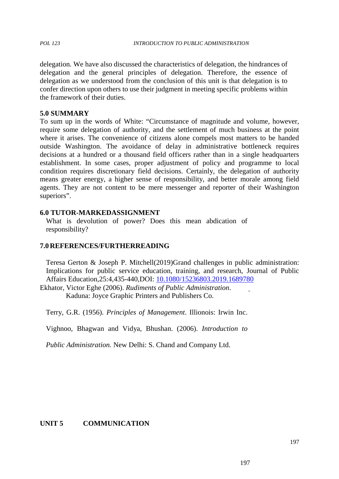delegation. We have also discussed the characteristics of delegation, the hindrances of delegation and the general principles of delegation. Therefore, the essence of delegation as we understood from the conclusion of this unit is that delegation is to confer direction upon others to use their judgment in meeting specific problems within the framework of their duties.

### **5.0 SUMMARY**

To sum up in the words of White: "Circumstance of magnitude and volume, however, require some delegation of authority, and the settlement of much business at the point where it arises. The convenience of citizens alone compels most matters to be handed outside Washington. The avoidance of delay in administrative bottleneck requires decisions at a hundred or a thousand field officers rather than in a single headquarters establishment. In some cases, proper adjustment of policy and programme to local condition requires discretionary field decisions. Certainly, the delegation of authority means greater energy, a higher sense of responsibility, and better morale among field agents. They are not content to be mere messenger and reporter of their Washington superiors".

### **6.0 TUTOR-MARKEDASSIGNMENT**

What is devolution of power? Does this mean abdication of responsibility?

### **7.0REFERENCES/FURTHERREADING**

Teresa Gerton & Joseph P. Mitchell(2019)Grand challenges in public administration: Implications for public service education, training, and research, Journal of Public Affairs Education,25:4,435-440,DOI: 10.1080/15236803.2019.1689780

Ekhator, Victor Eghe (2006). *Rudiments of Public Administration*. Kaduna: Joyce Graphic Printers and Publishers Co.

Terry, G.R. (1956). *Principles of Management*. Illionois: Irwin Inc.

Vighnoo, Bhagwan and Vidya, Bhushan. (2006). *Introduction to*

*Public Administration.* New Delhi: S. Chand and Company Ltd.

## **UNIT 5 COMMUNICATION**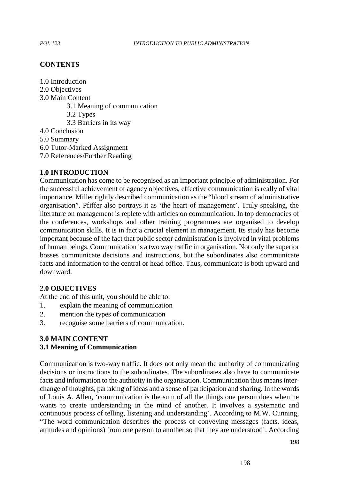## **CONTENTS**

- 1.0 Introduction
- 2.0 Objectives
- 3.0 Main Content
	- 3.1 Meaning of communication
	- 3.2 Types
	- 3.3 Barriers in its way
- 4.0 Conclusion
- 5.0 Summary
- 6.0 Tutor-Marked Assignment
- 7.0 References/Further Reading

## **1.0 INTRODUCTION**

Communication has come to be recognised as an important principle of administration. For the successful achievement of agency objectives, effective communication is really of vital importance. Millet rightly described communication as the "blood stream of administrative organisation". Pfiffer also portrays it as 'the heart of management'. Truly speaking, the literature on management is replete with articles on communication. In top democracies of the conferences, workshops and other training programmes are organised to develop communication skills. It is in fact a crucial element in management. Its study has become important because of the fact that public sector administration is involved in vital problems of human beings. Communication is a two way traffic in organisation. Not only the superior bosses communicate decisions and instructions, but the subordinates also communicate facts and information to the central or head office. Thus, communicate is both upward and downward.

### **2.0 OBJECTIVES**

At the end of this unit, you should be able to:

- 1. explain the meaning of communication
- 2. mention the types of communication
- 3. recognise some barriers of communication.

## **3.0 MAIN CONTENT**

## **3.1 Meaning of Communication**

Communication is two-way traffic. It does not only mean the authority of communicating decisions or instructions to the subordinates. The subordinates also have to communicate facts and information to the authority in the organisation. Communication thus means inter change of thoughts, partaking of ideas and a sense of participation and sharing. In the words of Louis A. Allen, 'communication is the sum of all the things one person does when he wants to create understanding in the mind of another. It involves a systematic and continuous process of telling, listening and understanding'. According to M.W. Cunning, "The word communication describes the process of conveying messages (facts, ideas, attitudes and opinions) from one person to another so thatthey are understood'. According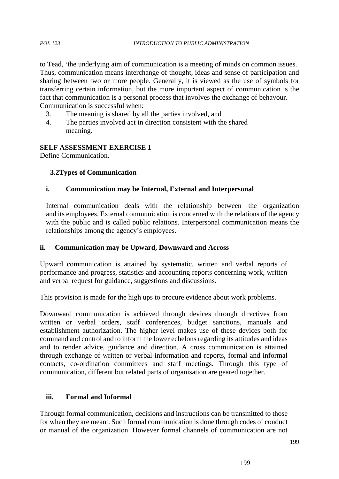to Tead, 'the underlying aim of communication is a meeting of minds on common issues. Thus, communication means interchange of thought, ideas and sense of participation and sharing between two or more people. Generally, it is viewed as the use of symbols for transferring certain information, but the more important aspect of communication is the fact that communication is a personal process that involves the exchange of behavour. Communication is successful when:

- 3. The meaning is shared by all the parties involved, and
- 4. The parties involved act in direction consistent with the shared meaning.

# **SELF ASSESSMENT EXERCISE 1**

Define Communication.

## **3.2Types of Communication**

## **i. Communication may be Internal, External and Interpersonal**

Internal communication deals with the relationship between the organization and its employees. External communication is concerned with the relations of the agency with the public and is called public relations. Interpersonal communication means the relationships among the agency's employees.

## **ii. Communication may be Upward, Downward and Across**

Upward communication is attained by systematic, written and verbal reports of performance and progress, statistics and accounting reports concerning work, written and verbal request for guidance, suggestions and discussions.

This provision is made for the high ups to procure evidence about work problems.

Downward communication is achieved through devices through directives from written or verbal orders, staff conferences, budget sanctions, manuals and establishment authorization. The higher level makes use of these devices both for command and control and to inform the lower echelons regarding its attitudes and ideas and to render advice, guidance and direction. A cross communication is attained through exchange of written or verbal information and reports, formal and informal contacts, co-ordination committees and staff meetings. Through this type of communication, different but related parts of organisation are geared together.

## **iii. Formal and Informal**

Through formal communication, decisions and instructions can be transmitted to those for when they are meant. Such formal communication is done through codes of conduct or manual of the organization. However formal channels of communication are not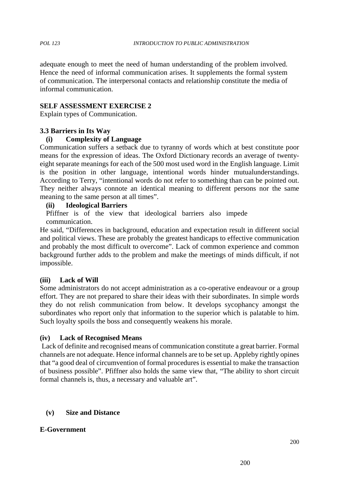adequate enough to meet the need of human understanding of the problem involved. Hence the need of informal communication arises. It supplements the formal system of communication. The interpersonal contacts and relationship constitute the media of informal communication.

## **SELF ASSESSMENT EXERCISE 2**

Explain types of Communication.

## **3.3 Barriers in Its Way**

## **(i) Complexity of Language**

Communication suffers a setback due to tyranny of words which at best constitute poor means for the expression of ideas. The Oxford Dictionary records an average of twenty eight separate meanings for each of the 500 most used word in the English language. Limit is the position in other language, intentional words hinder mutualunderstandings. According to Terry, "intentional words do not refer to something than can be pointed out. They neither always connote an identical meaning to different persons nor the same meaning to the same person at all times".

### **(ii) Ideological Barriers**

Pfiffner is of the view that ideological barriers also impede communication.

He said, "Differences in background, education and expectation result in different social and political views. These are probably the greatest handicaps to effective communication and probably the most difficult to overcome". Lack of common experience and common background further adds to the problem and make the meetings of minds difficult, if not impossible.

## **(iii) Lack of Will**

Some administrators do not accept administration as a co-operative endeavour or a group effort. They are not prepared to share their ideas with their subordinates. In simple words they do not relish communication from below. It develops sycophancy amongst the subordinates who report only that information to the superior which is palatable to him. Such loyalty spoils the boss and consequently weakens his morale.

## **(iv) Lack of Recognised Means**

Lack of definite and recognised means of communication constitute a great barrier. Formal channels are not adequate. Hence informal channels are to be set up. Appleby rightly opines that "a good deal of circumvention of formal procedures is essential to make the transaction of business possible". Pfiffner also holds the same view that, "The ability to short circuit formal channels is, thus, a necessary and valuable art".

## **(v) Size and Distance**

### **E-Government**